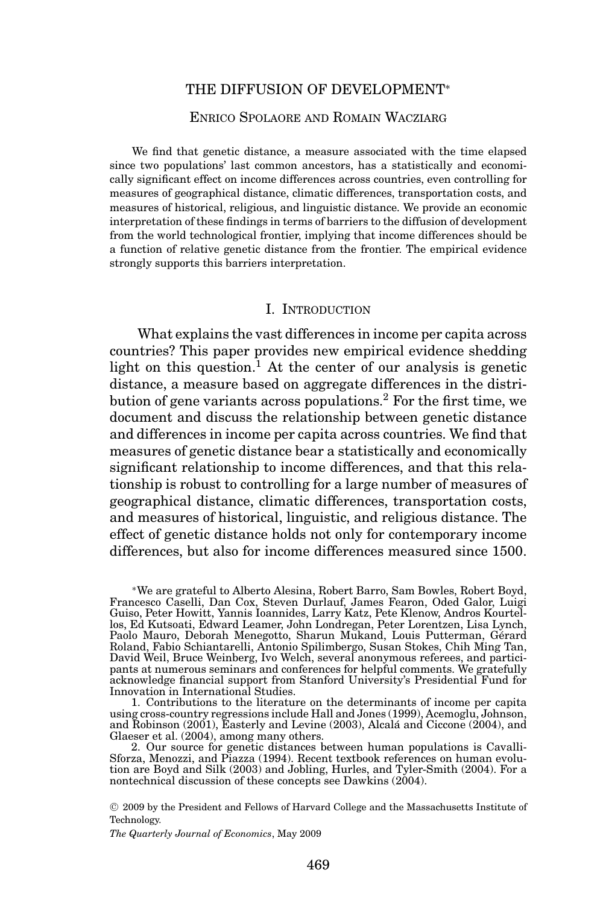## THE DIFFUSION OF DEVELOPMENT<sup>∗</sup>

#### ENRICO SPOLAORE AND ROMAIN WACZIARG

We find that genetic distance, a measure associated with the time elapsed since two populations' last common ancestors, has a statistically and economically significant effect on income differences across countries, even controlling for measures of geographical distance, climatic differences, transportation costs, and measures of historical, religious, and linguistic distance. We provide an economic interpretation of these findings in terms of barriers to the diffusion of development from the world technological frontier, implying that income differences should be a function of relative genetic distance from the frontier. The empirical evidence strongly supports this barriers interpretation.

#### I. INTRODUCTION

What explains the vast differences in income per capita across countries? This paper provides new empirical evidence shedding light on this question.<sup>1</sup> At the center of our analysis is genetic distance, a measure based on aggregate differences in the distribution of gene variants across populations.<sup>2</sup> For the first time, we document and discuss the relationship between genetic distance and differences in income per capita across countries. We find that measures of genetic distance bear a statistically and economically significant relationship to income differences, and that this relationship is robust to controlling for a large number of measures of geographical distance, climatic differences, transportation costs, and measures of historical, linguistic, and religious distance. The effect of genetic distance holds not only for contemporary income differences, but also for income differences measured since 1500.

<sup>&</sup>lt;sup>\*</sup>We are grateful to Alberto Alesina, Robert Barro, Sam Bowles, Robert Boyd,<br>Francesco Caselli, Dan Cox, Steven Durlauf, James Fearon, Oded Galor, Luigi<br>Guiso, Peter Howitt, Yannis Ioannides, Larry Katz, Pete Klenow, Andr los, Ed Kutsoati, Edward Leamer, John Londregan, Peter Lorentzen, Lisa Lynch, Paolo Mauro, Deborah Menegotto, Sharun Mukand, Louis Putterman, Gerard ´ Roland, Fabio Schiantarelli, Antonio Spilimbergo, Susan Stokes, Chih Ming Tan, David Weil, Bruce Weinberg, Ivo Welch, several anonymous referees, and partici-pants at numerous seminars and conferences for helpful comments. We gratefully acknowledge financial support from Stanford University's Presidential Fund for Innovation in International Studies.

<sup>1.</sup> Contributions to the literature on the determinants of income per capita using cross-country regressions include Hall and Jones (1999), Acemoglu, Johnson, and Robinson (2001), Easterly and Levine (2003), Alcalá and Ciccone (2004), and Glaeser et al. (2004), among many others.

<sup>2.</sup> Our source for genetic distances between human populations is Cavalli-Sforza, Menozzi, and Piazza (1994). Recent textbook references on human evolution are Boyd and Silk (2003) and Jobling, Hurles, and Tyler-Smith (2004). For a nontechnical discussion of these concepts see Dawkins (2004).

 $©$  2009 by the President and Fellows of Harvard College and the Massachusetts Institute of Technology.

*The Quarterly Journal of Economics*, May 2009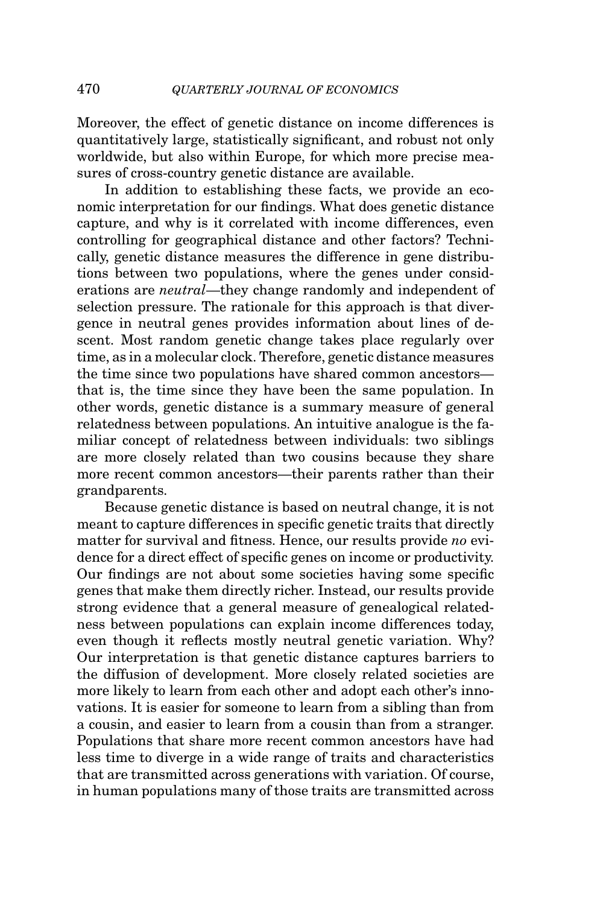Moreover, the effect of genetic distance on income differences is quantitatively large, statistically significant, and robust not only worldwide, but also within Europe, for which more precise measures of cross-country genetic distance are available.

In addition to establishing these facts, we provide an economic interpretation for our findings. What does genetic distance capture, and why is it correlated with income differences, even controlling for geographical distance and other factors? Technically, genetic distance measures the difference in gene distributions between two populations, where the genes under considerations are *neutral*—they change randomly and independent of selection pressure. The rationale for this approach is that divergence in neutral genes provides information about lines of descent. Most random genetic change takes place regularly over time, as in a molecular clock. Therefore, genetic distance measures the time since two populations have shared common ancestors that is, the time since they have been the same population. In other words, genetic distance is a summary measure of general relatedness between populations. An intuitive analogue is the familiar concept of relatedness between individuals: two siblings are more closely related than two cousins because they share more recent common ancestors—their parents rather than their grandparents.

Because genetic distance is based on neutral change, it is not meant to capture differences in specific genetic traits that directly matter for survival and fitness. Hence, our results provide *no* evidence for a direct effect of specific genes on income or productivity. Our findings are not about some societies having some specific genes that make them directly richer. Instead, our results provide strong evidence that a general measure of genealogical relatedness between populations can explain income differences today, even though it reflects mostly neutral genetic variation. Why? Our interpretation is that genetic distance captures barriers to the diffusion of development. More closely related societies are more likely to learn from each other and adopt each other's innovations. It is easier for someone to learn from a sibling than from a cousin, and easier to learn from a cousin than from a stranger. Populations that share more recent common ancestors have had less time to diverge in a wide range of traits and characteristics that are transmitted across generations with variation. Of course, in human populations many of those traits are transmitted across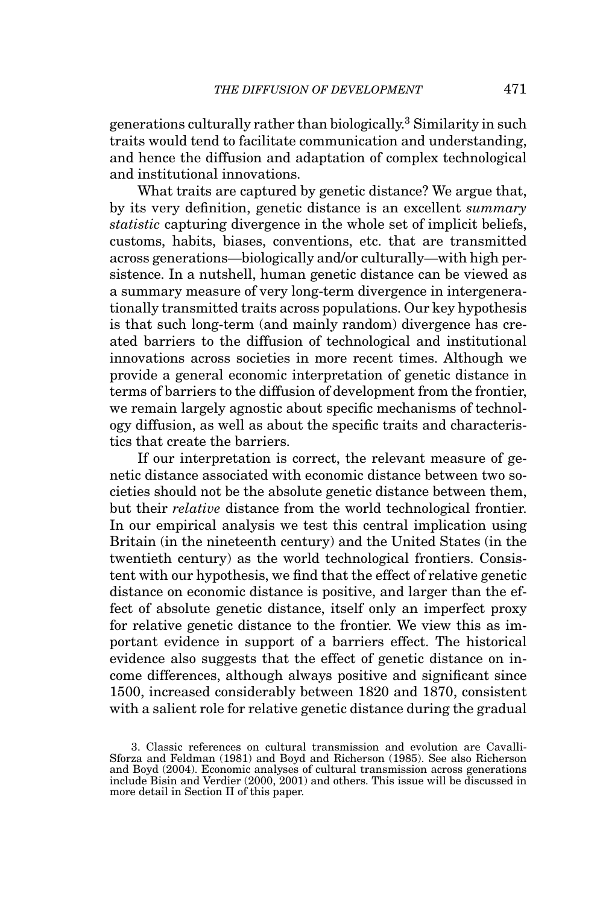generations culturally rather than biologically.3 Similarity in such traits would tend to facilitate communication and understanding, and hence the diffusion and adaptation of complex technological and institutional innovations.

What traits are captured by genetic distance? We argue that, by its very definition, genetic distance is an excellent *summary statistic* capturing divergence in the whole set of implicit beliefs, customs, habits, biases, conventions, etc. that are transmitted across generations—biologically and/or culturally—with high persistence. In a nutshell, human genetic distance can be viewed as a summary measure of very long-term divergence in intergenerationally transmitted traits across populations. Our key hypothesis is that such long-term (and mainly random) divergence has created barriers to the diffusion of technological and institutional innovations across societies in more recent times. Although we provide a general economic interpretation of genetic distance in terms of barriers to the diffusion of development from the frontier, we remain largely agnostic about specific mechanisms of technology diffusion, as well as about the specific traits and characteristics that create the barriers.

If our interpretation is correct, the relevant measure of genetic distance associated with economic distance between two societies should not be the absolute genetic distance between them, but their *relative* distance from the world technological frontier. In our empirical analysis we test this central implication using Britain (in the nineteenth century) and the United States (in the twentieth century) as the world technological frontiers. Consistent with our hypothesis, we find that the effect of relative genetic distance on economic distance is positive, and larger than the effect of absolute genetic distance, itself only an imperfect proxy for relative genetic distance to the frontier. We view this as important evidence in support of a barriers effect. The historical evidence also suggests that the effect of genetic distance on income differences, although always positive and significant since 1500, increased considerably between 1820 and 1870, consistent with a salient role for relative genetic distance during the gradual

<sup>3.</sup> Classic references on cultural transmission and evolution are Cavalli-Sforza and Feldman (1981) and Boyd and Richerson (1985). See also Richerson and Boyd (2004). Economic analyses of cultural transmission across generations include Bisin and Verdier (2000, 2001) and others. This issue will be discussed in more detail in Section II of this paper.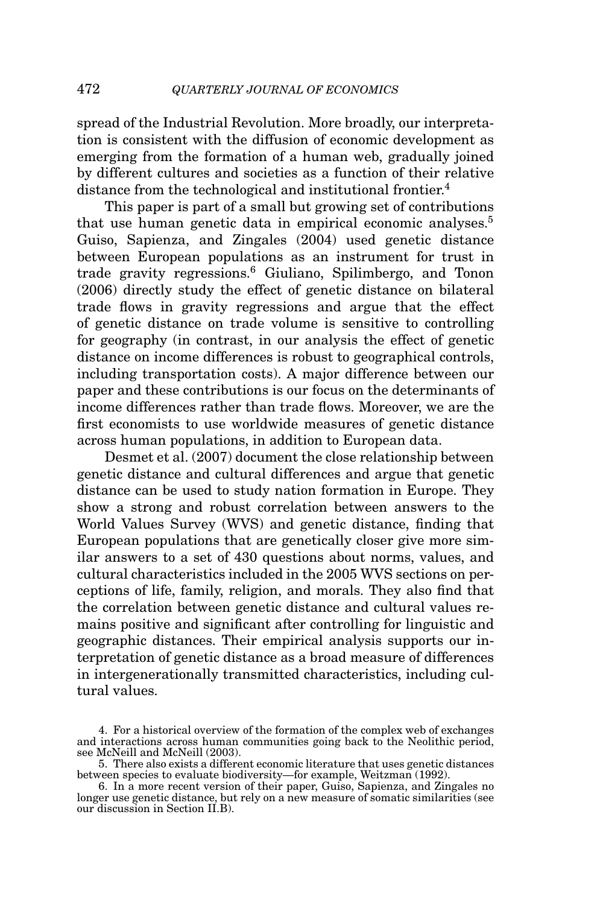spread of the Industrial Revolution. More broadly, our interpretation is consistent with the diffusion of economic development as emerging from the formation of a human web, gradually joined by different cultures and societies as a function of their relative distance from the technological and institutional frontier.<sup>4</sup>

This paper is part of a small but growing set of contributions that use human genetic data in empirical economic analyses.<sup>5</sup> Guiso, Sapienza, and Zingales (2004) used genetic distance between European populations as an instrument for trust in trade gravity regressions.6 Giuliano, Spilimbergo, and Tonon (2006) directly study the effect of genetic distance on bilateral trade flows in gravity regressions and argue that the effect of genetic distance on trade volume is sensitive to controlling for geography (in contrast, in our analysis the effect of genetic distance on income differences is robust to geographical controls, including transportation costs). A major difference between our paper and these contributions is our focus on the determinants of income differences rather than trade flows. Moreover, we are the first economists to use worldwide measures of genetic distance across human populations, in addition to European data.

Desmet et al. (2007) document the close relationship between genetic distance and cultural differences and argue that genetic distance can be used to study nation formation in Europe. They show a strong and robust correlation between answers to the World Values Survey (WVS) and genetic distance, finding that European populations that are genetically closer give more similar answers to a set of 430 questions about norms, values, and cultural characteristics included in the 2005 WVS sections on perceptions of life, family, religion, and morals. They also find that the correlation between genetic distance and cultural values remains positive and significant after controlling for linguistic and geographic distances. Their empirical analysis supports our interpretation of genetic distance as a broad measure of differences in intergenerationally transmitted characteristics, including cultural values.

<sup>4.</sup> For a historical overview of the formation of the complex web of exchanges and interactions across human communities going back to the Neolithic period, see McNeill and McNeill (2003).

<sup>5.</sup> There also exists a different economic literature that uses genetic distances between species to evaluate biodiversity—for example, Weitzman (1992).

<sup>6.</sup> In a more recent version of their paper, Guiso, Sapienza, and Zingales no longer use genetic distance, but rely on a new measure of somatic similarities (see our discussion in Section II.B).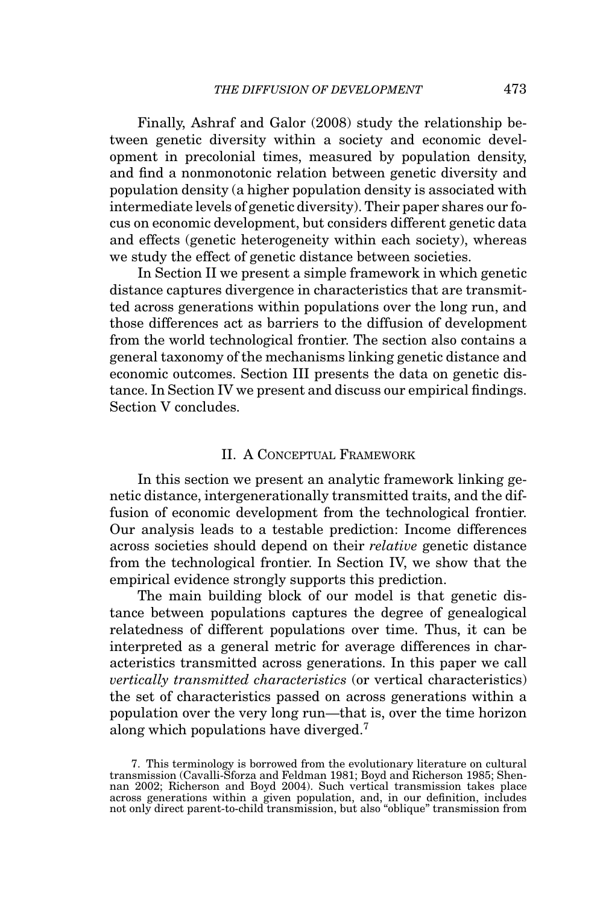Finally, Ashraf and Galor (2008) study the relationship between genetic diversity within a society and economic development in precolonial times, measured by population density, and find a nonmonotonic relation between genetic diversity and population density (a higher population density is associated with intermediate levels of genetic diversity). Their paper shares our focus on economic development, but considers different genetic data and effects (genetic heterogeneity within each society), whereas we study the effect of genetic distance between societies.

In Section II we present a simple framework in which genetic distance captures divergence in characteristics that are transmitted across generations within populations over the long run, and those differences act as barriers to the diffusion of development from the world technological frontier. The section also contains a general taxonomy of the mechanisms linking genetic distance and economic outcomes. Section III presents the data on genetic distance. In Section IV we present and discuss our empirical findings. Section V concludes.

# II. A CONCEPTUAL FRAMEWORK

In this section we present an analytic framework linking genetic distance, intergenerationally transmitted traits, and the diffusion of economic development from the technological frontier. Our analysis leads to a testable prediction: Income differences across societies should depend on their *relative* genetic distance from the technological frontier. In Section IV, we show that the empirical evidence strongly supports this prediction.

The main building block of our model is that genetic distance between populations captures the degree of genealogical relatedness of different populations over time. Thus, it can be interpreted as a general metric for average differences in characteristics transmitted across generations. In this paper we call *vertically transmitted characteristics* (or vertical characteristics) the set of characteristics passed on across generations within a population over the very long run—that is, over the time horizon along which populations have diverged.7

<sup>7.</sup> This terminology is borrowed from the evolutionary literature on cultural transmission (Cavalli-Sforza and Feldman 1981; Boyd and Richerson 1985; Shen-nan 2002; Richerson and Boyd 2004). Such vertical transmission takes place across generations within a given population, and, in our definition, includes not only direct parent-to-child transmission, but also "oblique" transmission from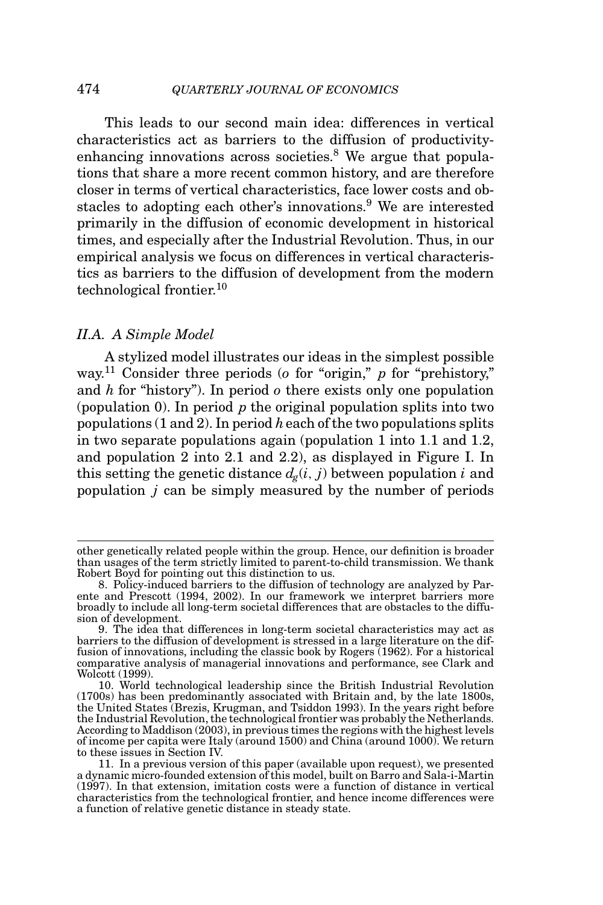This leads to our second main idea: differences in vertical characteristics act as barriers to the diffusion of productivityenhancing innovations across societies.<sup>8</sup> We argue that populations that share a more recent common history, and are therefore closer in terms of vertical characteristics, face lower costs and obstacles to adopting each other's innovations.<sup>9</sup> We are interested primarily in the diffusion of economic development in historical times, and especially after the Industrial Revolution. Thus, in our empirical analysis we focus on differences in vertical characteristics as barriers to the diffusion of development from the modern technological frontier.<sup>10</sup>

#### *II.A. A Simple Model*

A stylized model illustrates our ideas in the simplest possible way.<sup>11</sup> Consider three periods (*o* for "origin," *p* for "prehistory," and *h* for "history"). In period *o* there exists only one population (population 0). In period *p* the original population splits into two populations (1 and 2). In period *h*each of the two populations splits in two separate populations again (population 1 into 1.1 and 1.2, and population 2 into 2.1 and 2.2), as displayed in Figure I. In this setting the genetic distance  $d_g(i, j)$  between population *i* and population *j* can be simply measured by the number of periods

other genetically related people within the group. Hence, our definition is broader than usages of the term strictly limited to parent-to-child transmission. We thank Robert Boyd for pointing out this distinction to us.

<sup>8.</sup> Policy-induced barriers to the diffusion of technology are analyzed by Parente and Prescott (1994, 2002). In our framework we interpret barriers more broadly to include all long-term societal differences that are obstacles to the diffusion of development.

<sup>9.</sup> The idea that differences in long-term societal characteristics may act as barriers to the diffusion of development is stressed in a large literature on the diffusion of innovations, including the classic book by Rogers (1962). For a historical comparative analysis of managerial innovations and performance, see Clark and Wolcott (1999).

<sup>10.</sup> World technological leadership since the British Industrial Revolution (1700s) has been predominantly associated with Britain and, by the late 1800s, the United States (Brezis, Krugman, and Tsiddon 1993). In the years right before the Industrial Revolution, the technological frontier was probably the Netherlands. According to Maddison (2003), in previous times the regions with the highest levels of income per capita were Italy (around 1500) and China (around 1000). We return to these issues in Section IV.

<sup>11.</sup> In a previous version of this paper (available upon request), we presented a dynamic micro-founded extension of this model, built on Barro and Sala-i-Martin (1997). In that extension, imitation costs were a function of distance in vertical characteristics from the technological frontier, and hence income differences were a function of relative genetic distance in steady state.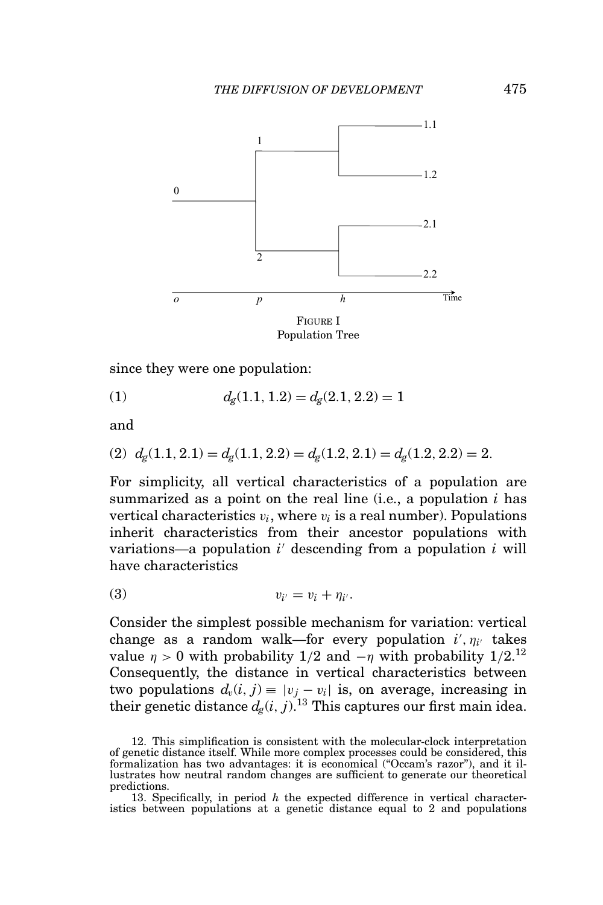

since they were one population:

$$
(1) \t dg(1.1, 1.2) = dg(2.1, 2.2) = 1
$$

and

$$
(2) d_g(1.1, 2.1) = d_g(1.1, 2.2) = d_g(1.2, 2.1) = d_g(1.2, 2.2) = 2.
$$

For simplicity, all vertical characteristics of a population are summarized as a point on the real line (i.e., a population *i* has vertical characteristics  $v_i$ , where  $v_i$  is a real number). Populations inherit characteristics from their ancestor populations with variations—a population *i* descending from a population *i* will have characteristics

$$
(3) \t v_{i'} = v_i + \eta_{i'}.
$$

Consider the simplest possible mechanism for variation: vertical change as a random walk—for every population  $i', \eta_{i'}$  takes value  $\eta > 0$  with probability 1/2 and  $-\eta$  with probability 1/2.<sup>12</sup> Consequently, the distance in vertical characteristics between two populations  $d_v(i, j) \equiv |v_j - v_i|$  is, on average, increasing in their genetic distance  $d_g(i, j)$ .<sup>13</sup> This captures our first main idea.

13. Specifically, in period *h* the expected difference in vertical characteristics between populations at a genetic distance equal to 2 and populations

<sup>12.</sup> This simplification is consistent with the molecular-clock interpretation of genetic distance itself. While more complex processes could be considered, this formalization has two advantages: it is economical ("Occam's razor"), and it illustrates how neutral random changes are sufficient to generate our theoretical predictions.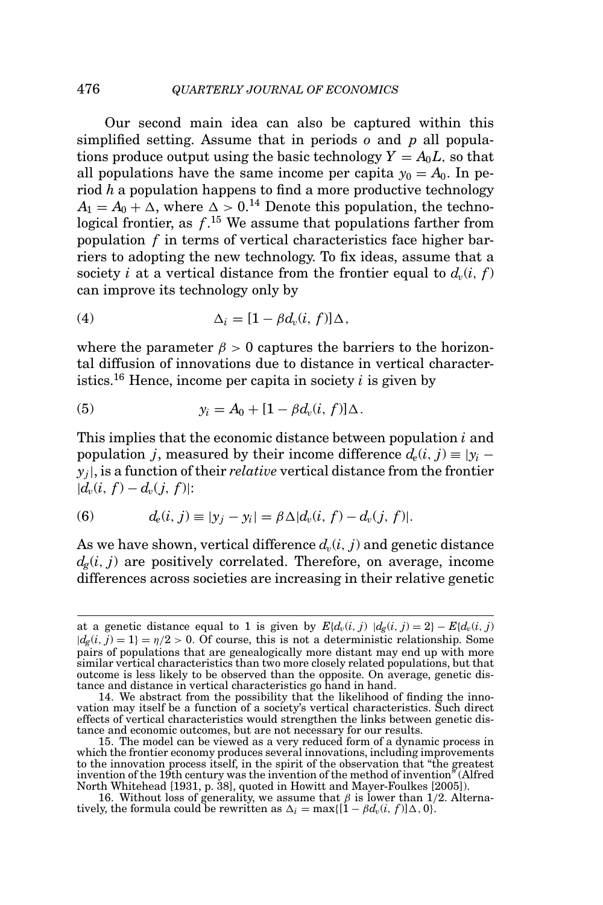Our second main idea can also be captured within this simplified setting. Assume that in periods *o* and *p* all populations produce output using the basic technology  $Y = A_0 L$ , so that all populations have the same income per capita  $y_0 = A_0$ . In period *h* a population happens to find a more productive technology  $A_1 = A_0 + \Delta$ , where  $\Delta > 0$ .<sup>14</sup> Denote this population, the technological frontier, as *f*. <sup>15</sup> We assume that populations farther from population *f* in terms of vertical characteristics face higher barriers to adopting the new technology. To fix ideas, assume that a society *i* at a vertical distance from the frontier equal to  $d_v(i, f)$ can improve its technology only by

(4) 
$$
\Delta_i = [1 - \beta d_v(i, f)] \Delta,
$$

where the parameter  $\beta > 0$  captures the barriers to the horizontal diffusion of innovations due to distance in vertical characteristics.<sup>16</sup> Hence, income per capita in society  $i$  is given by

(5) 
$$
y_i = A_0 + [1 - \beta d_v(i, f)] \Delta
$$
.

This implies that the economic distance between population *i* and population *j*, measured by their income difference  $d_e(i, j) \equiv |y_i - y_j|$  $y_i$ , is a function of their *relative* vertical distance from the frontier  $|d_v(i, f) - d_v(j, f)|$ :

(6) 
$$
d_e(i, j) \equiv |y_j - y_i| = \beta \Delta |d_v(i, f) - d_v(j, f)|.
$$

As we have shown, vertical difference  $d_v(i, j)$  and genetic distance  $d_g(i, j)$  are positively correlated. Therefore, on average, income differences across societies are increasing in their relative genetic

at a genetic distance equal to 1 is given by  $E{d_v(i, j) | d_\sigma(i, j) = 2} - E{d_v(i, j)}$  $|d_{\varphi}(i, j)| = 1$  =  $\eta/2 > 0$ . Of course, this is not a deterministic relationship. Some pairs of populations that are genealogically more distant may end up with more similar vertical characteristics than two more closely related populations, but that outcome is less likely to be observed than the opposite. On average, genetic distance and distance in vertical characteristics go hand in hand.

<sup>14.</sup> We abstract from the possibility that the likelihood of finding the innovation may itself be a function of a society's vertical characteristics. Such direct effects of vertical characteristics would strengthen the links between genetic distance and economic outcomes, but are not necessary for our results.

<sup>15.</sup> The model can be viewed as a very reduced form of a dynamic process in which the frontier economy produces several innovations, including improvements to the innovation process itself, in the spirit of the observation that "the greatest invention of the 19th century was the invention of the method of invention" (Alfred North Whitehead [1931, p. 38], quoted in Howitt and Mayer-Foulkes [2005]).

<sup>16.</sup> Without loss of generality, we assume that  $\beta$  is lower than 1/2. Alternatively, the formula could be rewritten as  $\Delta_i = \max\{[1 - \beta d_v(i, f)] \Delta, 0\}.$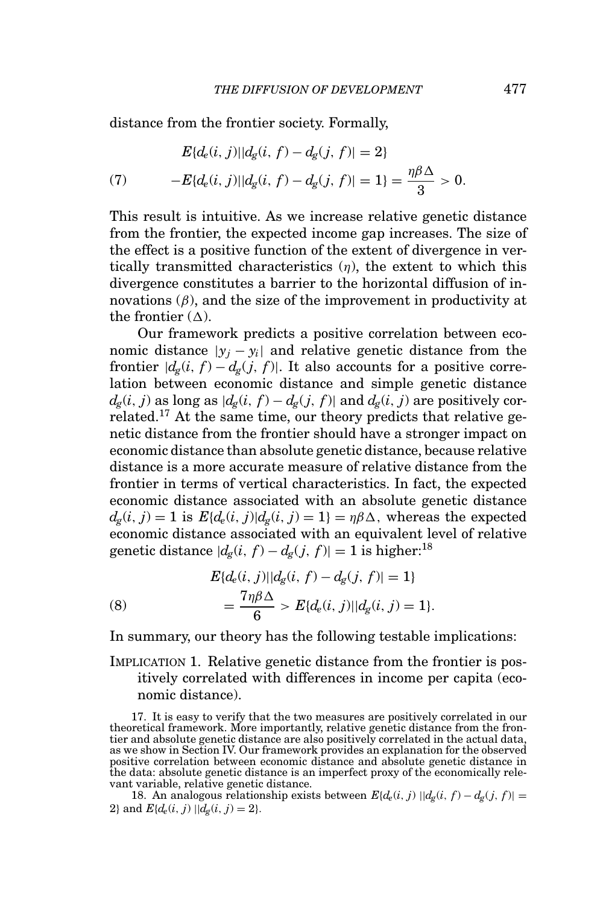distance from the frontier society. Formally,

(7) 
$$
E\{d_e(i, j)||d_g(i, f) - d_g(j, f)| = 2\}
$$

$$
-E\{d_e(i, j)||d_g(i, f) - d_g(j, f)| = 1\} = \frac{\eta \beta \Delta}{3} > 0.
$$

This result is intuitive. As we increase relative genetic distance from the frontier, the expected income gap increases. The size of the effect is a positive function of the extent of divergence in vertically transmitted characteristics  $(\eta)$ , the extent to which this divergence constitutes a barrier to the horizontal diffusion of innovations  $(\beta)$ , and the size of the improvement in productivity at the frontier  $(\Delta)$ .

Our framework predicts a positive correlation between economic distance  $|y_i - y_i|$  and relative genetic distance from the frontier  $|d_g(i, f) - d_g(j, f)|$ . It also accounts for a positive correlation between economic distance and simple genetic distance  $d_g(i, j)$  as long as  $|d_g(i, f) - d_g(j, f)|$  and  $d_g(i, j)$  are positively correlated.<sup>17</sup> At the same time, our theory predicts that relative genetic distance from the frontier should have a stronger impact on economic distance than absolute genetic distance, because relative distance is a more accurate measure of relative distance from the frontier in terms of vertical characteristics. In fact, the expected economic distance associated with an absolute genetic distance  $d_g(i, j) = 1$  is  $E{d_e(i, j)}$  $d_g(i, j) = 1} = \eta \beta \Delta$ , whereas the expected economic distance associated with an equivalent level of relative genetic distance  $|d_g(i, f) - d_g(j, f)| = 1$  is higher:<sup>18</sup>

(8) 
$$
E\{d_e(i, j)||d_g(i, f) - d_g(j, f)| = 1\}
$$

$$
= \frac{7\eta\beta\Delta}{6} > E\{d_e(i, j)||d_g(i, j) = 1\}.
$$

In summary, our theory has the following testable implications:

IMPLICATION 1. Relative genetic distance from the frontier is positively correlated with differences in income per capita (economic distance).

17. It is easy to verify that the two measures are positively correlated in our theoretical framework. More importantly, relative genetic distance from the frontier and absolute genetic distance are also positively correlated in the actual data, as we show in Section IV. Our framework provides an explanation for the observed positive correlation between economic distance and absolute genetic distance in the data: absolute genetic distance is an imperfect proxy of the economically relevant variable, relative genetic distance.

18. An analogous relationship exists between  $E{d_e(i, j) | d_g(i, f) - d_g(j, f)|}$  = 2} and  $E\{d_e(i, j) | | d_e(i, j) = 2\}.$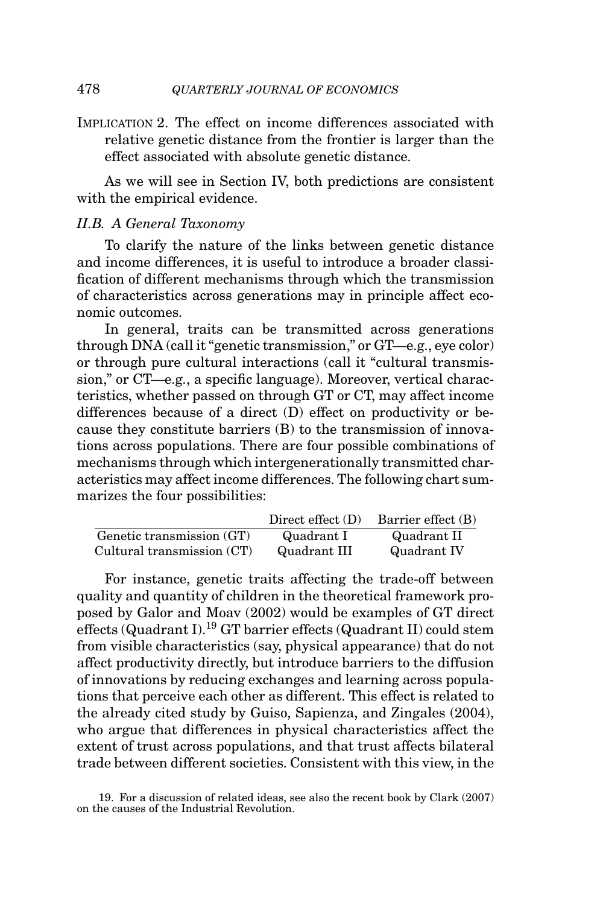IMPLICATION 2. The effect on income differences associated with relative genetic distance from the frontier is larger than the effect associated with absolute genetic distance.

As we will see in Section IV, both predictions are consistent with the empirical evidence.

#### *II.B. A General Taxonomy*

To clarify the nature of the links between genetic distance and income differences, it is useful to introduce a broader classification of different mechanisms through which the transmission of characteristics across generations may in principle affect economic outcomes.

In general, traits can be transmitted across generations through DNA (call it "genetic transmission," or GT—e.g., eye color) or through pure cultural interactions (call it "cultural transmission," or CT—e.g., a specific language). Moreover, vertical characteristics, whether passed on through GT or CT, may affect income differences because of a direct (D) effect on productivity or because they constitute barriers (B) to the transmission of innovations across populations. There are four possible combinations of mechanisms through which intergenerationally transmitted characteristics may affect income differences. The following chart summarizes the four possibilities:

|                            | Direct effect $(D)$ | Barrier effect (B) |
|----------------------------|---------------------|--------------------|
| Genetic transmission (GT)  | Quadrant I          | Quadrant II        |
| Cultural transmission (CT) | Quadrant III        | Quadrant IV        |

For instance, genetic traits affecting the trade-off between quality and quantity of children in the theoretical framework proposed by Galor and Moav (2002) would be examples of GT direct effects (Quadrant I).<sup>19</sup> GT barrier effects (Quadrant II) could stem from visible characteristics (say, physical appearance) that do not affect productivity directly, but introduce barriers to the diffusion of innovations by reducing exchanges and learning across populations that perceive each other as different. This effect is related to the already cited study by Guiso, Sapienza, and Zingales (2004), who argue that differences in physical characteristics affect the extent of trust across populations, and that trust affects bilateral trade between different societies. Consistent with this view, in the

19. For a discussion of related ideas, see also the recent book by Clark (2007) on the causes of the Industrial Revolution.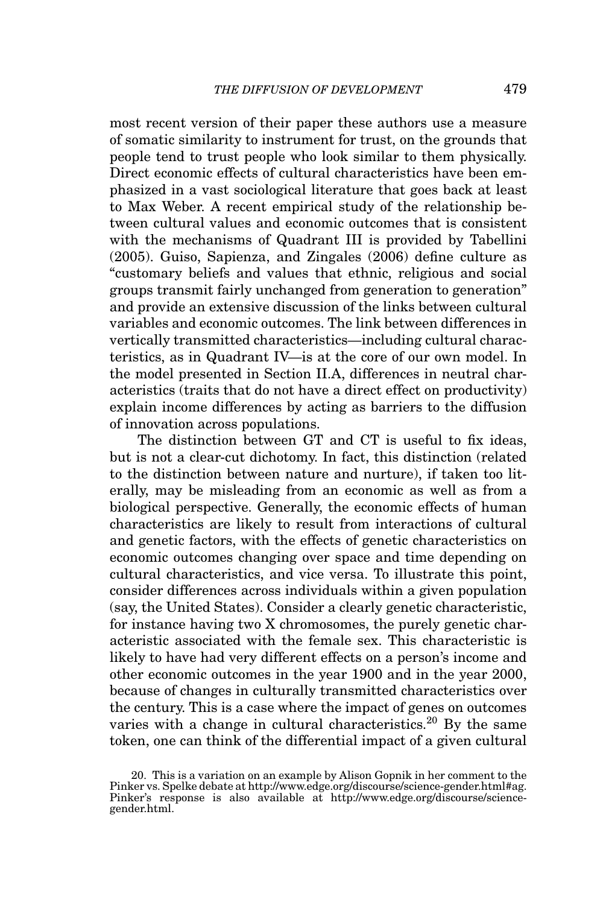most recent version of their paper these authors use a measure of somatic similarity to instrument for trust, on the grounds that people tend to trust people who look similar to them physically. Direct economic effects of cultural characteristics have been emphasized in a vast sociological literature that goes back at least to Max Weber. A recent empirical study of the relationship between cultural values and economic outcomes that is consistent with the mechanisms of Quadrant III is provided by Tabellini (2005). Guiso, Sapienza, and Zingales (2006) define culture as "customary beliefs and values that ethnic, religious and social groups transmit fairly unchanged from generation to generation" and provide an extensive discussion of the links between cultural variables and economic outcomes. The link between differences in vertically transmitted characteristics—including cultural characteristics, as in Quadrant IV—is at the core of our own model. In the model presented in Section II.A, differences in neutral characteristics (traits that do not have a direct effect on productivity) explain income differences by acting as barriers to the diffusion of innovation across populations.

The distinction between GT and CT is useful to fix ideas, but is not a clear-cut dichotomy. In fact, this distinction (related to the distinction between nature and nurture), if taken too literally, may be misleading from an economic as well as from a biological perspective. Generally, the economic effects of human characteristics are likely to result from interactions of cultural and genetic factors, with the effects of genetic characteristics on economic outcomes changing over space and time depending on cultural characteristics, and vice versa. To illustrate this point, consider differences across individuals within a given population (say, the United States). Consider a clearly genetic characteristic, for instance having two X chromosomes, the purely genetic characteristic associated with the female sex. This characteristic is likely to have had very different effects on a person's income and other economic outcomes in the year 1900 and in the year 2000, because of changes in culturally transmitted characteristics over the century. This is a case where the impact of genes on outcomes varies with a change in cultural characteristics.<sup>20</sup> By the same token, one can think of the differential impact of a given cultural

<sup>20.</sup> This is a variation on an example by Alison Gopnik in her comment to the Pinker vs. Spelke debate at http://www.edge.org/discourse/science-gender.html#ag. Pinker's response is also available at http://www.edge.org/discourse/sciencegender.html.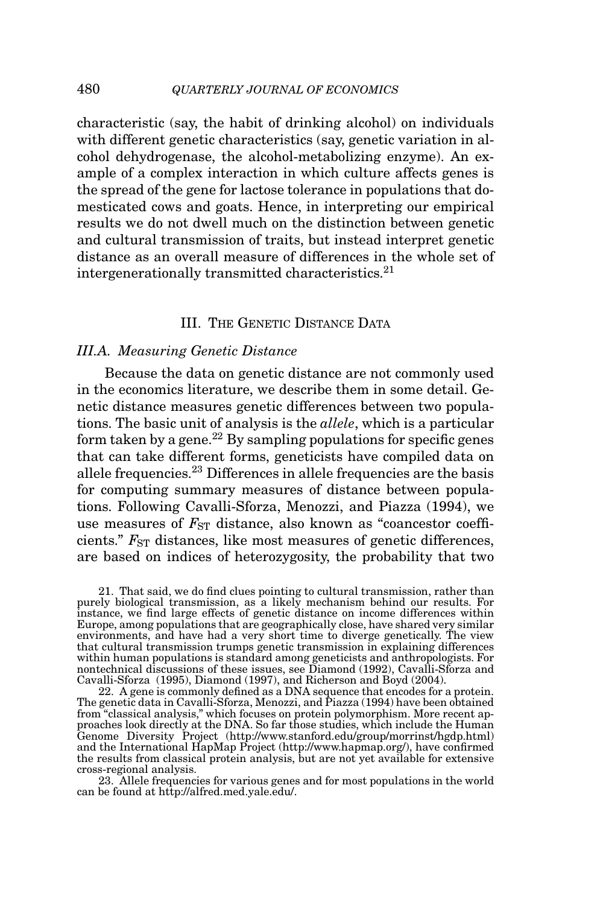characteristic (say, the habit of drinking alcohol) on individuals with different genetic characteristics (say, genetic variation in alcohol dehydrogenase, the alcohol-metabolizing enzyme). An example of a complex interaction in which culture affects genes is the spread of the gene for lactose tolerance in populations that domesticated cows and goats. Hence, in interpreting our empirical results we do not dwell much on the distinction between genetic and cultural transmission of traits, but instead interpret genetic distance as an overall measure of differences in the whole set of intergenerationally transmitted characteristics.<sup>21</sup>

# III. THE GENETIC DISTANCE DATA

# *III.A. Measuring Genetic Distance*

Because the data on genetic distance are not commonly used in the economics literature, we describe them in some detail. Genetic distance measures genetic differences between two populations. The basic unit of analysis is the *allele*, which is a particular form taken by a gene.<sup>22</sup> By sampling populations for specific genes that can take different forms, geneticists have compiled data on allele frequencies. $^{23}$  Differences in allele frequencies are the basis for computing summary measures of distance between populations. Following Cavalli-Sforza, Menozzi, and Piazza (1994), we use measures of  $F_{ST}$  distance, also known as "coancestor coefficients."  $F_{ST}$  distances, like most measures of genetic differences, are based on indices of heterozygosity, the probability that two

23. Allele frequencies for various genes and for most populations in the world can be found at http://alfred.med.yale.edu/.

<sup>21.</sup> That said, we do find clues pointing to cultural transmission, rather than purely biological transmission, as a likely mechanism behind our results. For instance, we find large effects of genetic distance on income differences within Europe, among populations that are geographically close, have shared very similar environments, and have had a very short time to diverge genetically. The view that cultural transmission trumps genetic transmission in explaining differences within human populations is standard among geneticists and anthropologists. For nontechnical discussions of these issues, see Diamond (1992), Cavalli-Sforza and Cavalli-Sforza (1995), Diamond (1997), and Richerson and Boyd (2004).

<sup>22.</sup> A gene is commonly defined as a DNA sequence that encodes for a protein. The genetic data in Cavalli-Sforza, Menozzi, and Piazza (1994) have been obtained from "classical analysis," which focuses on protein polymorphism. More recent approaches look directly at the DNA. So far those studies, which include the Human Genome Diversity Project (http://www.stanford.edu/group/morrinst/hgdp.html) and the International HapMap Project (http://www.hapmap.org/), have confirmed the results from classical protein analysis, but are not yet available for extensive cross-regional analysis.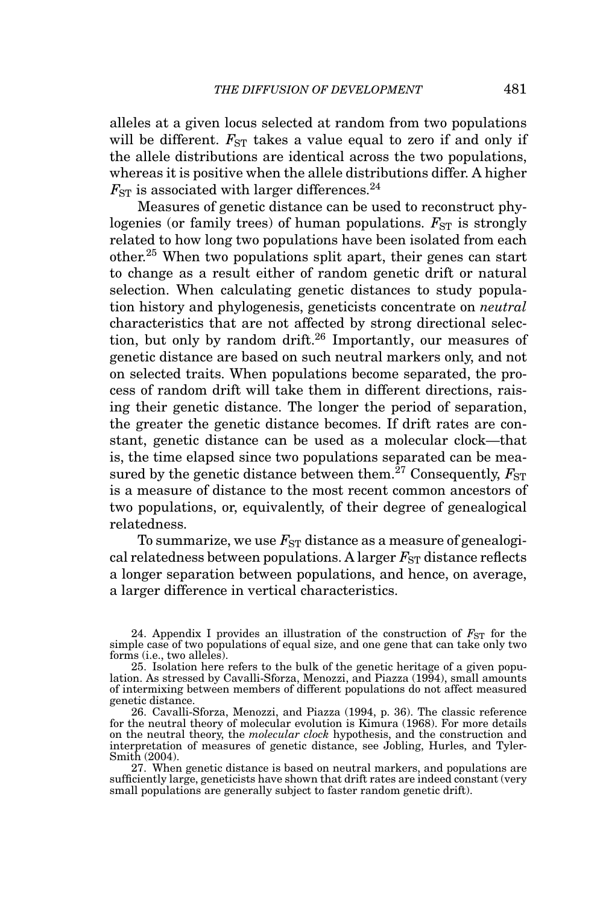alleles at a given locus selected at random from two populations will be different.  $F_{ST}$  takes a value equal to zero if and only if the allele distributions are identical across the two populations, whereas it is positive when the allele distributions differ. A higher  $F<sub>ST</sub>$  is associated with larger differences.<sup>24</sup>

Measures of genetic distance can be used to reconstruct phylogenies (or family trees) of human populations.  $F_{ST}$  is strongly related to how long two populations have been isolated from each other.<sup>25</sup> When two populations split apart, their genes can start to change as a result either of random genetic drift or natural selection. When calculating genetic distances to study population history and phylogenesis, geneticists concentrate on *neutral* characteristics that are not affected by strong directional selection, but only by random drift.<sup>26</sup> Importantly, our measures of genetic distance are based on such neutral markers only, and not on selected traits. When populations become separated, the process of random drift will take them in different directions, raising their genetic distance. The longer the period of separation, the greater the genetic distance becomes. If drift rates are constant, genetic distance can be used as a molecular clock—that is, the time elapsed since two populations separated can be measured by the genetic distance between them.<sup>27</sup> Consequently,  $F_{ST}$ is a measure of distance to the most recent common ancestors of two populations, or, equivalently, of their degree of genealogical relatedness.

To summarize, we use  $F_{ST}$  distance as a measure of genealogical relatedness between populations. A larger  $F_{ST}$  distance reflects a longer separation between populations, and hence, on average, a larger difference in vertical characteristics.

<sup>24.</sup> Appendix I provides an illustration of the construction of  $F_{ST}$  for the simple case of two populations of equal size, and one gene that can take only two forms (i.e., two alleles).

<sup>25.</sup> Isolation here refers to the bulk of the genetic heritage of a given population. As stressed by Cavalli-Sforza, Menozzi, and Piazza (1994), small amounts of intermixing between members of different populations do not affect measured genetic distance.

<sup>26.</sup> Cavalli-Sforza, Menozzi, and Piazza (1994, p. 36). The classic reference for the neutral theory of molecular evolution is Kimura (1968). For more details on the neutral theory, the *molecular clock* hypothesis, and the construction and interpretation of measures of genetic distance, see Jobling, Hurles, and Tyler-Smith (2004).

<sup>27.</sup> When genetic distance is based on neutral markers, and populations are sufficiently large, geneticists have shown that drift rates are indeed constant (very small populations are generally subject to faster random genetic drift).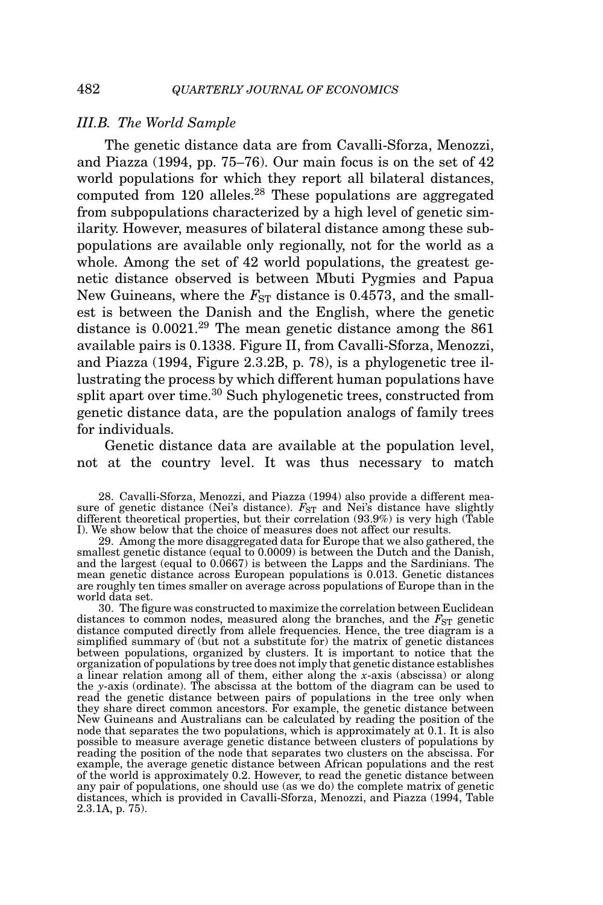#### *III.B. The World Sample*

The genetic distance data are from Cavalli-Sforza, Menozzi, and Piazza (1994, pp. 75–76). Our main focus is on the set of 42 world populations for which they report all bilateral distances, computed from 120 alleles.<sup>28</sup> These populations are aggregated from subpopulations characterized by a high level of genetic similarity. However, measures of bilateral distance among these subpopulations are available only regionally, not for the world as a whole. Among the set of 42 world populations, the greatest genetic distance observed is between Mbuti Pygmies and Papua New Guineans, where the  $F_{ST}$  distance is 0.4573, and the smallest is between the Danish and the English, where the genetic distance is  $0.0021<sup>29</sup>$  The mean genetic distance among the 861 available pairs is 0.1338. Figure II, from Cavalli-Sforza, Menozzi, and Piazza (1994, Figure 2.3.2B, p. 78), is a phylogenetic tree illustrating the process by which different human populations have split apart over time.<sup>30</sup> Such phylogenetic trees, constructed from genetic distance data, are the population analogs of family trees for individuals.

Genetic distance data are available at the population level, not at the country level. It was thus necessary to match

28. Cavalli-Sforza, Menozzi, and Piazza (1994) also provide a different measure of genetic distance (Nei's distance).  $F_{ST}$  and Nei's distance have slightly different theoretical properties, but their correlation (93.9%) I). We show below that the choice of measures does not affect our results.

29. Among the more disaggregated data for Europe that we also gathered, the smallest genetic distance (equal to 0.0009) is between the Dutch and the Danish, and the largest (equal to 0.0667) is between the Lapps and the Sardinians. The mean genetic distance across European populations is 0.013. Genetic distances are roughly ten times smaller on average across populations of Europe than in the world data set.

30. The figure was constructed to maximize the correlation between Euclidean distances to common nodes, measured along the branches, and the  $F_{ST}$  genetic distance computed directly from allele frequencies. Hence, the tree diagram is a simplified summary of (but not a substitute for) the matrix of genetic distances between populations, organized by clusters. It is important to notice that the organization of populations by tree does not imply that genetic distance establishes a linear relation among all of them, either along the *x*-axis (abscissa) or along the *y*-axis (ordinate). The abscissa at the bottom of the diagram can be used to read the genetic distance between pairs of populations in the tree only when they share direct common ancestors. For example, the genetic distance between New Guineans and Australians can be calculated by reading the position of the node that separates the two populations, which is approximately at 0.1. It is also possible to measure average genetic distance between clusters of populations by reading the position of the node that separates two clusters on the abscissa. For example, the average genetic distance between African populations and the rest of the world is approximately 0.2. However, to read the genetic distance between any pair of populations, one should use (as we do) the complete matrix of genetic distances, which is provided in Cavalli-Sforza, Menozzi, and Piazza (1994, Table 2.3.1A, p. 75).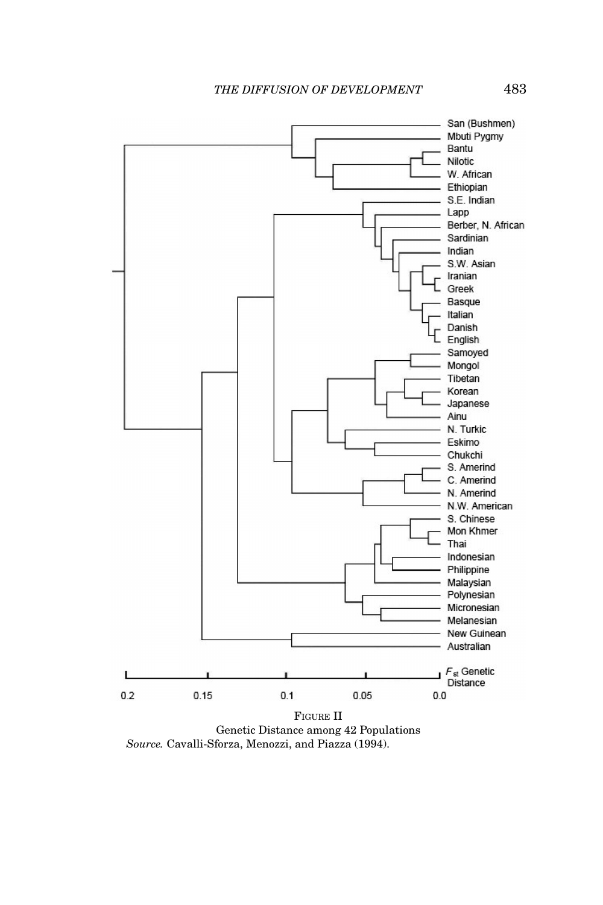

*Source.* Cavalli-Sforza, Menozzi, and Piazza (1994).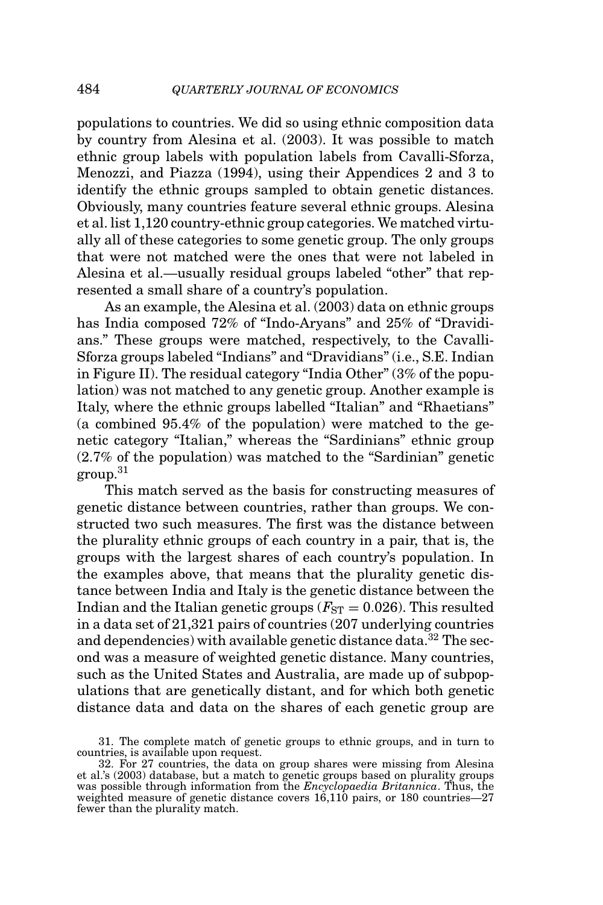populations to countries. We did so using ethnic composition data by country from Alesina et al. (2003). It was possible to match ethnic group labels with population labels from Cavalli-Sforza, Menozzi, and Piazza (1994), using their Appendices 2 and 3 to identify the ethnic groups sampled to obtain genetic distances. Obviously, many countries feature several ethnic groups. Alesina et al. list 1,120 country-ethnic group categories. We matched virtually all of these categories to some genetic group. The only groups that were not matched were the ones that were not labeled in Alesina et al.—usually residual groups labeled "other" that represented a small share of a country's population.

As an example, the Alesina et al. (2003) data on ethnic groups has India composed 72% of "Indo-Aryans" and 25% of "Dravidians." These groups were matched, respectively, to the Cavalli-Sforza groups labeled "Indians" and "Dravidians" (i.e., S.E. Indian in Figure II). The residual category "India Other" (3% of the population) was not matched to any genetic group. Another example is Italy, where the ethnic groups labelled "Italian" and "Rhaetians" (a combined 95.4% of the population) were matched to the genetic category "Italian," whereas the "Sardinians" ethnic group (2.7% of the population) was matched to the "Sardinian" genetic  $group.<sup>31</sup>$ 

This match served as the basis for constructing measures of genetic distance between countries, rather than groups. We constructed two such measures. The first was the distance between the plurality ethnic groups of each country in a pair, that is, the groups with the largest shares of each country's population. In the examples above, that means that the plurality genetic distance between India and Italy is the genetic distance between the Indian and the Italian genetic groups  $(F_{ST} = 0.026)$ . This resulted in a data set of 21,321 pairs of countries (207 underlying countries and dependencies) with available genetic distance data. $32$  The second was a measure of weighted genetic distance. Many countries, such as the United States and Australia, are made up of subpopulations that are genetically distant, and for which both genetic distance data and data on the shares of each genetic group are

<sup>31.</sup> The complete match of genetic groups to ethnic groups, and in turn to countries, is available upon request.

<sup>32.</sup> For 27 countries, the data on group shares were missing from Alesina et al.'s (2003) database, but a match to genetic groups based on plurality groups was possible through information from the *Encyclopaedia Britannica*. Thus, the weighted measure of genetic distance covers 16,110 pairs, or 180 countries—27 fewer than the plurality match.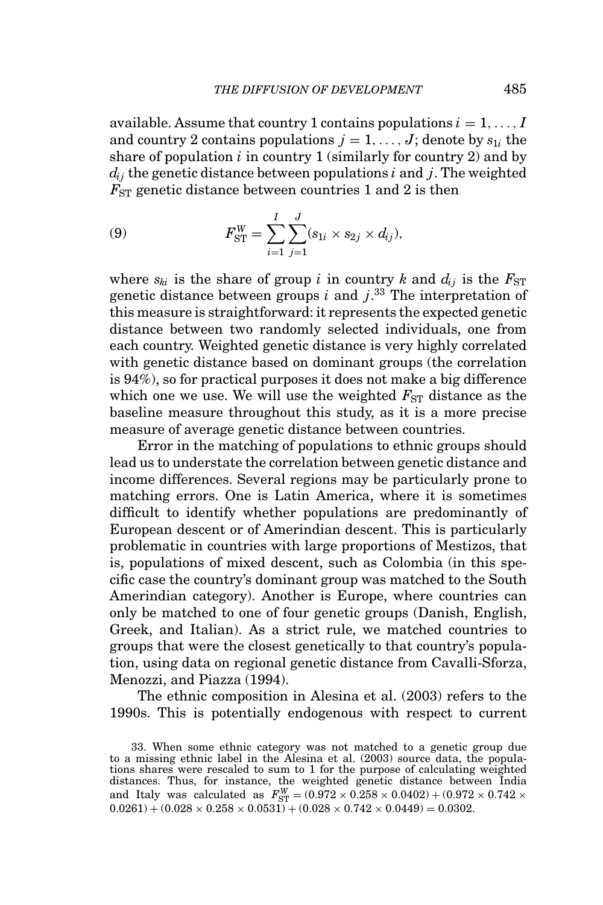available. Assume that country 1 contains populations  $i = 1, \ldots, I$ and country 2 contains populations  $j = 1, \ldots, J$ ; denote by  $s_{1i}$  the share of population  $i$  in country 1 (similarly for country 2) and by  $d_{ij}$  the genetic distance between populations  $i$  and  $j$ . The weighted  $F_{ST}$  genetic distance between countries 1 and 2 is then

(9) 
$$
F_{ST}^W = \sum_{i=1}^I \sum_{j=1}^J (s_{1i} \times s_{2j} \times d_{ij}),
$$

where  $s_{ki}$  is the share of group *i* in country *k* and  $d_{ij}$  is the  $F_{ST}$ genetic distance between groups *i* and *j*. <sup>33</sup> The interpretation of this measure is straightforward: it represents the expected genetic distance between two randomly selected individuals, one from each country. Weighted genetic distance is very highly correlated with genetic distance based on dominant groups (the correlation is 94%), so for practical purposes it does not make a big difference which one we use. We will use the weighted  $F_{ST}$  distance as the baseline measure throughout this study, as it is a more precise measure of average genetic distance between countries.

Error in the matching of populations to ethnic groups should lead us to understate the correlation between genetic distance and income differences. Several regions may be particularly prone to matching errors. One is Latin America, where it is sometimes difficult to identify whether populations are predominantly of European descent or of Amerindian descent. This is particularly problematic in countries with large proportions of Mestizos, that is, populations of mixed descent, such as Colombia (in this specific case the country's dominant group was matched to the South Amerindian category). Another is Europe, where countries can only be matched to one of four genetic groups (Danish, English, Greek, and Italian). As a strict rule, we matched countries to groups that were the closest genetically to that country's population, using data on regional genetic distance from Cavalli-Sforza, Menozzi, and Piazza (1994).

The ethnic composition in Alesina et al. (2003) refers to the 1990s. This is potentially endogenous with respect to current

<sup>33.</sup> When some ethnic category was not matched to a genetic group due to a missing ethnic label in the Alesina et al. (2003) source data, the populations shares were rescaled to sum to 1 for the purpose of calculating weighted distances. Thus, for instance, the weighted genetic distance between India and Italy was calculated as  $F_{ST}^{W} = (0.972 \times 0.258 \times 0.0402) + (0.972 \times 0.742 \times 0.0252)$  $(0.0261) + (0.028 \times 0.258 \times 0.0531) + (0.028 \times 0.742 \times 0.0449) = 0.0302.$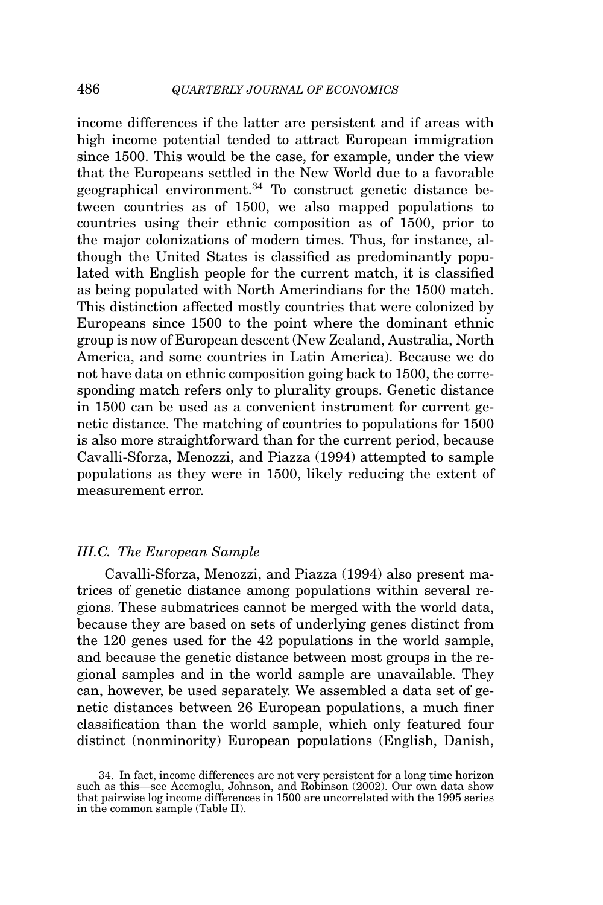income differences if the latter are persistent and if areas with high income potential tended to attract European immigration since 1500. This would be the case, for example, under the view that the Europeans settled in the New World due to a favorable geographical environment.<sup>34</sup> To construct genetic distance between countries as of 1500, we also mapped populations to countries using their ethnic composition as of 1500, prior to the major colonizations of modern times. Thus, for instance, although the United States is classified as predominantly populated with English people for the current match, it is classified as being populated with North Amerindians for the 1500 match. This distinction affected mostly countries that were colonized by Europeans since 1500 to the point where the dominant ethnic group is now of European descent (New Zealand, Australia, North America, and some countries in Latin America). Because we do not have data on ethnic composition going back to 1500, the corresponding match refers only to plurality groups. Genetic distance in 1500 can be used as a convenient instrument for current genetic distance. The matching of countries to populations for 1500 is also more straightforward than for the current period, because Cavalli-Sforza, Menozzi, and Piazza (1994) attempted to sample populations as they were in 1500, likely reducing the extent of measurement error.

#### *III.C. The European Sample*

Cavalli-Sforza, Menozzi, and Piazza (1994) also present matrices of genetic distance among populations within several regions. These submatrices cannot be merged with the world data, because they are based on sets of underlying genes distinct from the 120 genes used for the 42 populations in the world sample, and because the genetic distance between most groups in the regional samples and in the world sample are unavailable. They can, however, be used separately. We assembled a data set of genetic distances between 26 European populations, a much finer classification than the world sample, which only featured four distinct (nonminority) European populations (English, Danish,

<sup>34.</sup> In fact, income differences are not very persistent for a long time horizon such as this—see Acemoglu, Johnson, and Robinson (2002). Our own data show that pairwise log income differences in 1500 are uncorrelated with the 1995 series in the common sample (Table II).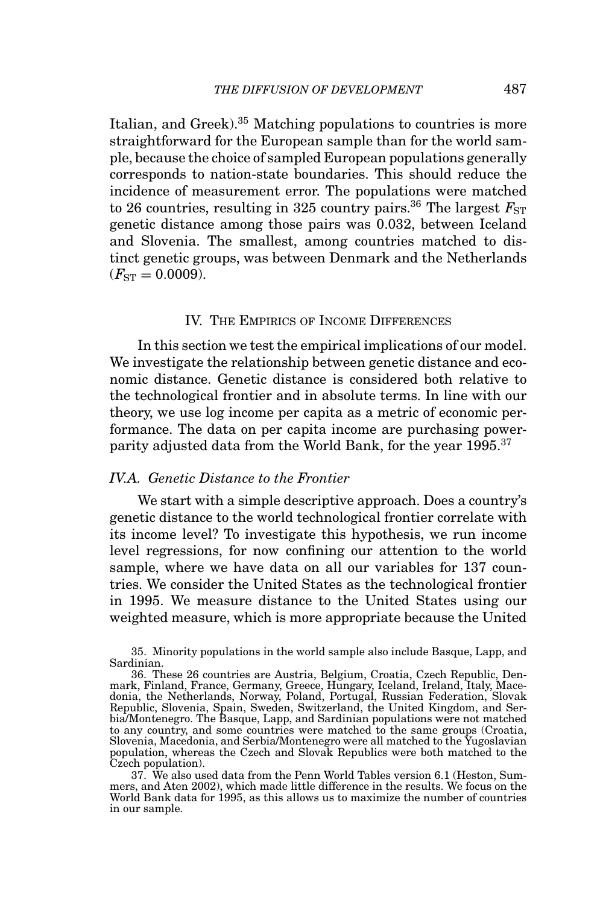Italian, and Greek).35 Matching populations to countries is more straightforward for the European sample than for the world sample, because the choice of sampled European populations generally corresponds to nation-state boundaries. This should reduce the incidence of measurement error. The populations were matched to 26 countries, resulting in 325 country pairs.<sup>36</sup> The largest  $F_{ST}$ genetic distance among those pairs was 0.032, between Iceland and Slovenia. The smallest, among countries matched to distinct genetic groups, was between Denmark and the Netherlands  $(F_{ST} = 0.0009)$ .

### IV. THE EMPIRICS OF INCOME DIFFERENCES

In this section we test the empirical implications of our model. We investigate the relationship between genetic distance and economic distance. Genetic distance is considered both relative to the technological frontier and in absolute terms. In line with our theory, we use log income per capita as a metric of economic performance. The data on per capita income are purchasing powerparity adjusted data from the World Bank, for the year 1995.<sup>37</sup>

# *IV.A. Genetic Distance to the Frontier*

We start with a simple descriptive approach. Does a country's genetic distance to the world technological frontier correlate with its income level? To investigate this hypothesis, we run income level regressions, for now confining our attention to the world sample, where we have data on all our variables for 137 countries. We consider the United States as the technological frontier in 1995. We measure distance to the United States using our weighted measure, which is more appropriate because the United

37. We also used data from the Penn World Tables version 6.1 (Heston, Summers, and Aten 2002), which made little difference in the results. We focus on the World Bank data for 1995, as this allows us to maximize the number of countries in our sample.

<sup>35.</sup> Minority populations in the world sample also include Basque, Lapp, and Sardinian.

<sup>36.</sup> These 26 countries are Austria, Belgium, Croatia, Czech Republic, Denmark, Finland, France, Germany, Greece, Hungary, Iceland, Ireland, Italy, Macedonia, the Netherlands, Norway, Poland, Portugal, Russian Federation, Slovak Republic, Slovenia, Spain, Sweden, Switzerland, the United Kingdom, and Serbia/Montenegro. The Basque, Lapp, and Sardinian populations were not matched<br>to any country, and some countries were matched to the same groups (Croatia,<br>Slovenia, Macedonia, and Serbia/Montenegro were all matched to the Y population, whereas the Czech and Slovak Republics were both matched to the Czech population).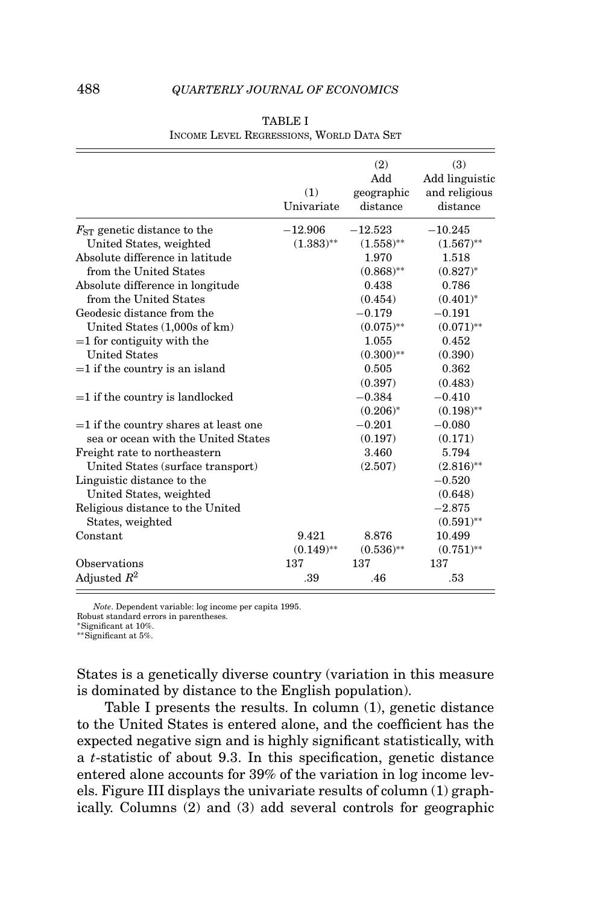|                                          |              | (2)          | (3)            |
|------------------------------------------|--------------|--------------|----------------|
|                                          |              | Add          | Add linguistic |
|                                          | (1)          | geographic   | and religious  |
|                                          | Univariate   | distance     | distance       |
| $FST$ genetic distance to the            | $-12.906$    | $-12.523$    | $-10.245$      |
| United States, weighted                  | $(1.383)$ ** | $(1.558)$ ** | $(1.567)$ **   |
| Absolute difference in latitude          |              | 1.970        | 1.518          |
| from the United States                   |              | $(0.868)$ ** | $(0.827)^*$    |
| Absolute difference in longitude         |              | 0.438        | 0.786          |
| from the United States                   |              | (0.454)      | $(0.401)^*$    |
| Geodesic distance from the               |              | $-0.179$     | $-0.191$       |
| United States (1,000s of km)             |              | $(0.075)$ ** | $(0.071)$ **   |
| $=$ 1 for contiguity with the            |              | 1.055        | 0.452          |
| <b>United States</b>                     |              | $(0.300)$ ** | (0.390)        |
| $=1$ if the country is an island         |              | 0.505        | 0.362          |
|                                          |              | (0.397)      | (0.483)        |
| $=1$ if the country is landlocked        |              | $-0.384$     | $-0.410$       |
|                                          |              | $(0.206)^*$  | $(0.198)$ **   |
| $=$ 1 if the country shares at least one |              | $-0.201$     | $-0.080$       |
| sea or ocean with the United States      |              | (0.197)      | (0.171)        |
| Freight rate to northeastern             |              | 3.460        | 5.794          |
| United States (surface transport)        |              | (2.507)      | $(2.816)$ **   |
| Linguistic distance to the               |              |              | $-0.520$       |
| United States, weighted                  |              |              | (0.648)        |
| Religious distance to the United         |              |              | $-2.875$       |
| States, weighted                         |              |              | $(0.591)$ **   |
| Constant                                 | 9.421        | 8.876        | 10.499         |
|                                          | $(0.149)$ ** | $(0.536)$ ** | $(0.751)$ **   |
| Observations                             | 137          | 137          | 137            |
| Adjusted $R^2$                           | .39          | .46          | .53            |

| <b>TABLE I</b>                           |  |  |
|------------------------------------------|--|--|
| INCOME LEVEL REGRESSIONS, WORLD DATA SET |  |  |

*Note*. Dependent variable: log income per capita 1995. Robust standard errors in parentheses.

<sup>∗</sup>Significant at 10%.

∗∗Significant at 5%.

States is a genetically diverse country (variation in this measure is dominated by distance to the English population).

Table I presents the results. In column (1), genetic distance to the United States is entered alone, and the coefficient has the expected negative sign and is highly significant statistically, with a *t*-statistic of about 9.3. In this specification, genetic distance entered alone accounts for 39% of the variation in log income levels. Figure III displays the univariate results of column (1) graphically. Columns (2) and (3) add several controls for geographic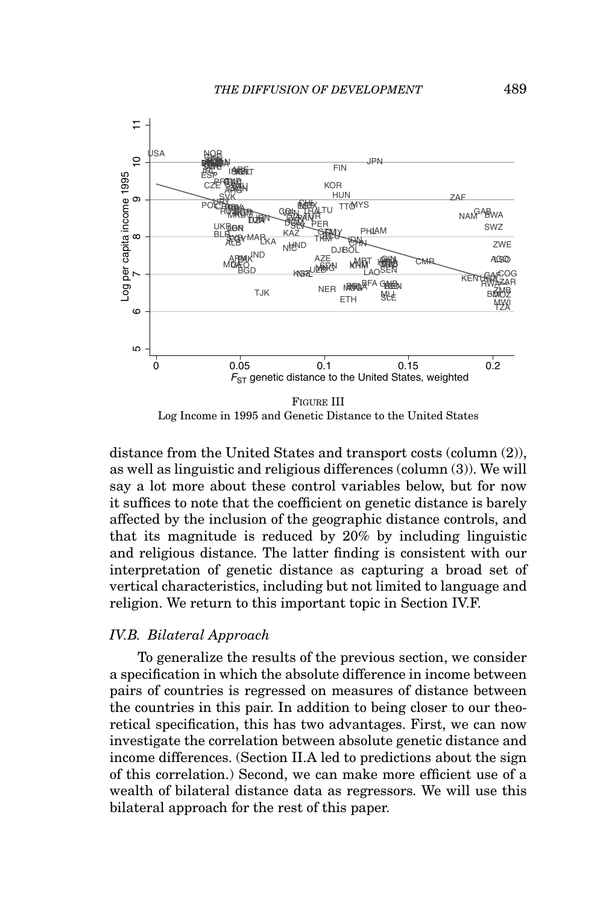

FIGURE III Log Income in 1995 and Genetic Distance to the United States

distance from the United States and transport costs (column (2)), as well as linguistic and religious differences (column (3)). We will say a lot more about these control variables below, but for now it suffices to note that the coefficient on genetic distance is barely affected by the inclusion of the geographic distance controls, and that its magnitude is reduced by 20% by including linguistic and religious distance. The latter finding is consistent with our interpretation of genetic distance as capturing a broad set of vertical characteristics, including but not limited to language and religion. We return to this important topic in Section IV.F.

#### *IV.B. Bilateral Approach*

To generalize the results of the previous section, we consider a specification in which the absolute difference in income between pairs of countries is regressed on measures of distance between the countries in this pair. In addition to being closer to our theoretical specification, this has two advantages. First, we can now investigate the correlation between absolute genetic distance and income differences. (Section II.A led to predictions about the sign of this correlation.) Second, we can make more efficient use of a wealth of bilateral distance data as regressors. We will use this bilateral approach for the rest of this paper.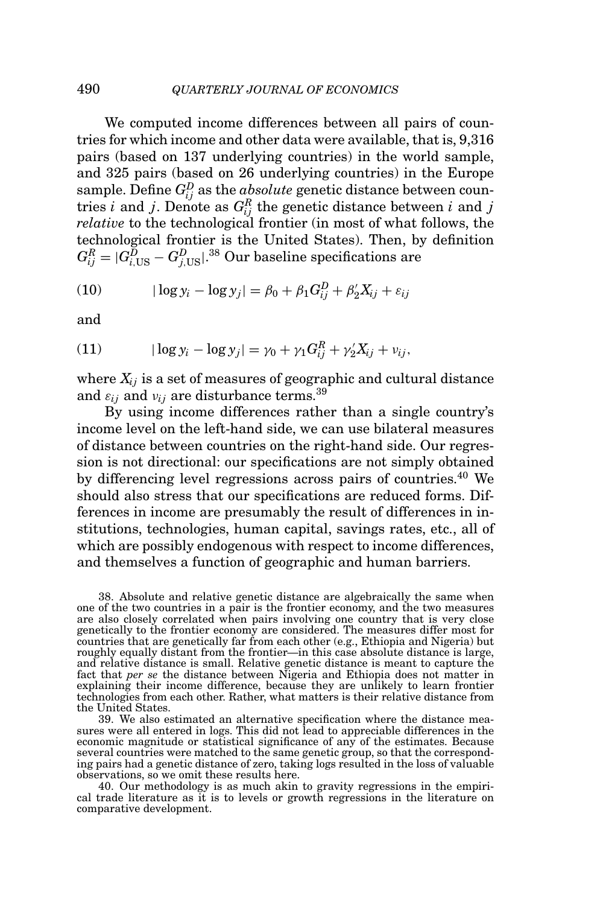We computed income differences between all pairs of countries for which income and other data were available, that is, 9,316 pairs (based on 137 underlying countries) in the world sample, and 325 pairs (based on 26 underlying countries) in the Europe sample. Define  $G_{ij}^D$  as the  $a_{\mathcal{B}}$ *solute* genetic distance between countries *i* and *j*. Denote as  $G_{ij}^R$  the genetic distance between *i* and *j relative* to the technological frontier (in most of what follows, the technological frontier is the United States). Then, by definition  $G_{ij}^R = | G_{i, \rm{US}}^D - G_{j, \rm{US}}^D |^{.38}$  Our baseline specifications are

$$
(10) \qquad |\log y_i - \log y_j| = \beta_0 + \beta_1 G_{ij}^D + \beta_2' X_{ij} + \varepsilon_{ij}
$$

and

(11) 
$$
|\log y_i - \log y_j| = \gamma_0 + \gamma_1 G_{ij}^R + \gamma_2' X_{ij} + \nu_{ij},
$$

where  $X_{ij}$  is a set of measures of geographic and cultural distance and  $\varepsilon_{ij}$  and  $v_{ij}$  are disturbance terms.<sup>39</sup>

By using income differences rather than a single country's income level on the left-hand side, we can use bilateral measures of distance between countries on the right-hand side. Our regression is not directional: our specifications are not simply obtained by differencing level regressions across pairs of countries.<sup>40</sup> We should also stress that our specifications are reduced forms. Differences in income are presumably the result of differences in institutions, technologies, human capital, savings rates, etc., all of which are possibly endogenous with respect to income differences, and themselves a function of geographic and human barriers.

38. Absolute and relative genetic distance are algebraically the same when one of the two countries in a pair is the frontier economy, and the two measures are also closely correlated when pairs involving one country that is very close genetically to the frontier economy are considered. The measures differ most for countries that are genetically far from each other (e.g., Ethiopia and Nigeria) but roughly equally distant from the frontier—in this case absolute distance is large, and relative distance is small. Relative genetic distance is meant to capture the fact that *per se* the distance between Nigeria and Ethiopia does not matter in explaining their income difference, because they are unlikel technologies from each other. Rather, what matters is their relative distance from the United States.

39. We also estimated an alternative specification where the distance measures were all entered in logs. This did not lead to appreciable differences in the economic magnitude or statistical significance of any of the estimates. Because several countries were matched to the same genetic group, so that the corresponding pairs had a genetic distance of zero, taking logs resulted in the loss of valuable observations, so we omit these results here.

40. Our methodology is as much akin to gravity regressions in the empirical trade literature as it is to levels or growth regressions in the literature on comparative development.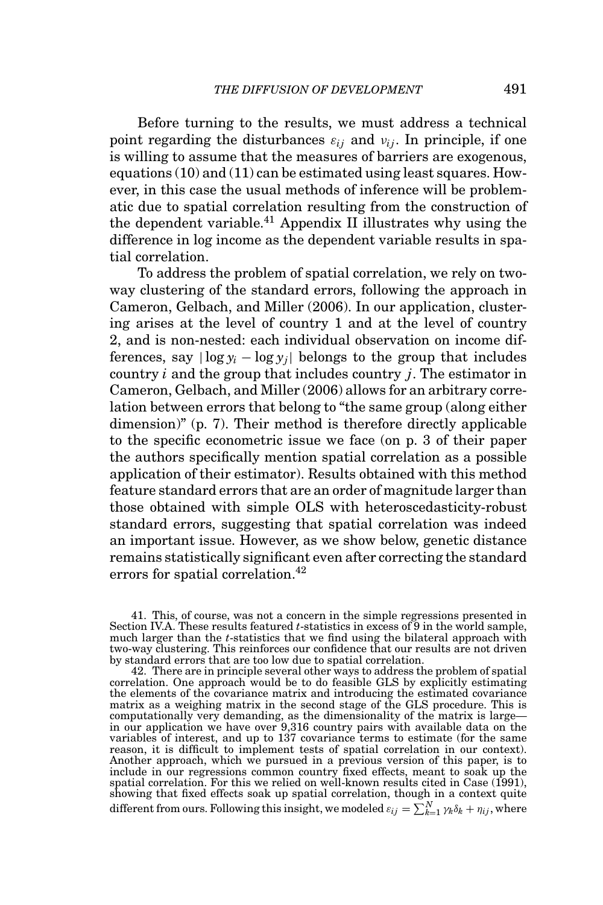Before turning to the results, we must address a technical point regarding the disturbances  $\varepsilon_{ij}$  and  $v_{ij}$ . In principle, if one is willing to assume that the measures of barriers are exogenous, equations (10) and (11) can be estimated using least squares. However, in this case the usual methods of inference will be problematic due to spatial correlation resulting from the construction of the dependent variable.41 Appendix II illustrates why using the difference in log income as the dependent variable results in spatial correlation.

To address the problem of spatial correlation, we rely on twoway clustering of the standard errors, following the approach in Cameron, Gelbach, and Miller (2006). In our application, clustering arises at the level of country 1 and at the level of country 2, and is non-nested: each individual observation on income differences, say  $|\log y_i - \log y_j|$  belongs to the group that includes country *i* and the group that includes country *j*. The estimator in Cameron, Gelbach, and Miller (2006) allows for an arbitrary correlation between errors that belong to "the same group (along either dimension)" (p. 7). Their method is therefore directly applicable to the specific econometric issue we face (on p. 3 of their paper the authors specifically mention spatial correlation as a possible application of their estimator). Results obtained with this method feature standard errors that are an order of magnitude larger than those obtained with simple OLS with heteroscedasticity-robust standard errors, suggesting that spatial correlation was indeed an important issue. However, as we show below, genetic distance remains statistically significant even after correcting the standard errors for spatial correlation.42

41. This, of course, was not a concern in the simple regressions presented in Section IV.A. These results featured *t*-statistics in excess of 9 in the world sample, much larger than the *t*-statistics that we find using the bilateral approach with two-way clustering. This reinforces our confidence that our results are not driven by standard errors that are too low due to spatial correlation.

42. There are in principle several other ways to address the problem of spatial correlation. One approach would be to do feasible GLS by explicitly estimating the elements of the covariance matrix and introducing the estim computationally very demanding, as the dimensionality of the matrix is large in our application we have over 9,316 country pairs with available data on the variables of interest, and up to 137 covariance terms to estimate (for the same reason, it is difficult to implement tests of spatial correlation in our context). Another approach, which we pursued in a previous version of this paper, is to include in our regressions common country fixed effects, meant to soak up the spatial correlation. For this we relied on well-known results cite different from ours. Following this insight, we modeled  $\varepsilon_{ij} = \sum_{k=1}^N \gamma_k \delta_k + \eta_{ij}$ , where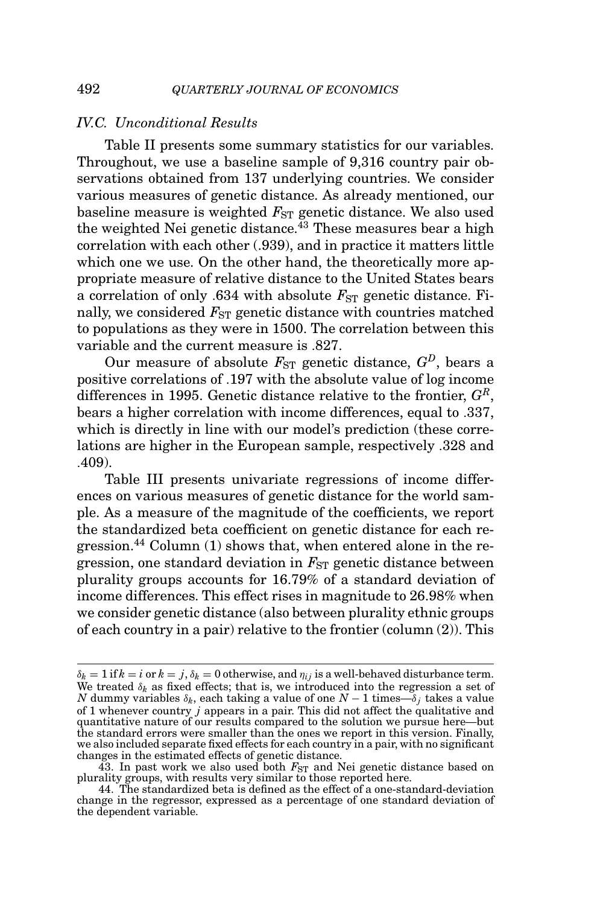#### *IV.C. Unconditional Results*

Table II presents some summary statistics for our variables. Throughout, we use a baseline sample of 9,316 country pair observations obtained from 137 underlying countries. We consider various measures of genetic distance. As already mentioned, our baseline measure is weighted  $F_{ST}$  genetic distance. We also used the weighted Nei genetic distance. $^{43}$  These measures bear a high correlation with each other (.939), and in practice it matters little which one we use. On the other hand, the theoretically more appropriate measure of relative distance to the United States bears a correlation of only .634 with absolute  $F_{ST}$  genetic distance. Finally, we considered  $F_{ST}$  genetic distance with countries matched to populations as they were in 1500. The correlation between this variable and the current measure is .827.

Our measure of absolute  $F_{ST}$  genetic distance,  $G<sup>D</sup>$ , bears a positive correlations of .197 with the absolute value of log income differences in 1995. Genetic distance relative to the frontier, *G<sup>R</sup>*, bears a higher correlation with income differences, equal to .337, which is directly in line with our model's prediction (these correlations are higher in the European sample, respectively .328 and .409).

Table III presents univariate regressions of income differences on various measures of genetic distance for the world sample. As a measure of the magnitude of the coefficients, we report the standardized beta coefficient on genetic distance for each regression.<sup>44</sup> Column (1) shows that, when entered alone in the regression, one standard deviation in  $F_{ST}$  genetic distance between plurality groups accounts for 16.79% of a standard deviation of income differences. This effect rises in magnitude to 26.98% when we consider genetic distance (also between plurality ethnic groups of each country in a pair) relative to the frontier (column (2)). This

 $\delta_k = 1$  if  $k = i$  or  $k = j$ ,  $\delta_k = 0$  otherwise, and  $\eta_{ij}$  is a well-behaved disturbance term. We treated  $\delta_k$  as fixed effects; that is, we introduced into the regression a set of *N* dummy variables  $\delta_k$ , each taking a value of one  $N-1$  times— $\delta_j$  takes a value of 1 whenever country *j* appears in a pair. This did not affect the qualitative and quantitative nature of our results compared to the solution we pursue here—but the standard errors were smaller than the ones we report in this version. Finally, we also included separate fixed effects for each country in a pair, with no significant changes in the estimated effects of genetic distance.

<sup>43.</sup> In past work we also used both  $F_{ST}$  and Nei genetic distance based on plurality groups, with results very similar to those reported here.

<sup>44.</sup> The standardized beta is defined as the effect of a one-standard-deviation change in the regressor, expressed as a percentage of one standard deviation of the dependent variable.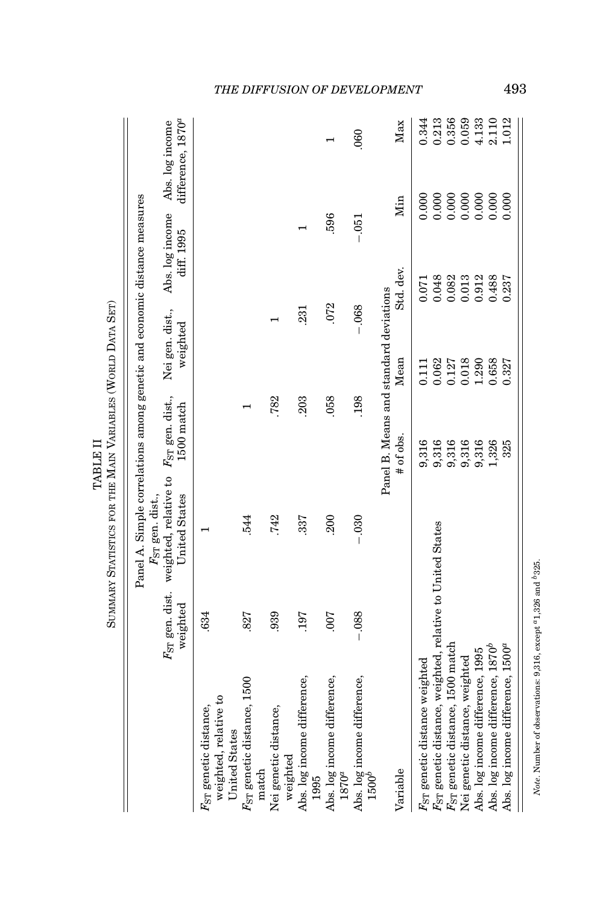|                                                                          |                            | SUMMARY STATISTICS FOR THE MAIN VARIABLES (WORLD DATA SET)                |                                                        |                             |                               |                                         |
|--------------------------------------------------------------------------|----------------------------|---------------------------------------------------------------------------|--------------------------------------------------------|-----------------------------|-------------------------------|-----------------------------------------|
|                                                                          |                            | Panel A. Simple correlations among genetic and economic distance measures |                                                        |                             |                               |                                         |
|                                                                          | Fsr gen. dist.<br>weighted | weighted, relative to<br>United States<br>Fsr gen. dist.,                 | F <sub>ST</sub> gen. dist.,<br>1500 match              | Nei gen. dist.,<br>weighted | Abs. log income<br>diff. 1995 | difference, $1870^a$<br>Abs. log income |
| weighted, relative to<br>$F_{\rm ST}$ genetic distance,<br>United States | 634                        |                                                                           |                                                        |                             |                               |                                         |
| F <sub>ST</sub> genetic distance, 1500<br>match                          | 827                        | 544                                                                       |                                                        |                             |                               |                                         |
| Nei genetic distance,<br>weighted                                        | 939                        | 742                                                                       | .782                                                   |                             |                               |                                         |
| Abs. log income difference,<br>1995                                      | 197                        | 337                                                                       | 203                                                    | 231                         |                               |                                         |
| Abs. log income difference,<br>$1870^a$                                  | <b>COO</b> .               | <b>200</b>                                                                | .058                                                   | .072                        | 596                           |                                         |
| Abs. log income difference,<br>$1500^b$                                  | $-.088$                    | $-0.30$                                                                   | .198                                                   | $-.068$                     | $-.051$                       | 060                                     |
| Variable                                                                 |                            |                                                                           | Panel B. Means and standard deviations<br>of obs.<br># | Mean                        | Std. dev.                     | Max<br>Min                              |
| F <sub>ST</sub> genetic distance weighted                                |                            |                                                                           | 9,316                                                  | 0.111                       | 0.071                         | 0.344<br>0.000                          |
| F <sub>ST</sub> genetic distance, weighted, relative to United States    |                            |                                                                           | 9,316                                                  | 0.062                       | 0.048                         | 0.213<br>0.000                          |
| F <sub>ST</sub> genetic distance, 1500 match                             |                            |                                                                           | 9,316                                                  | 0.127                       | 0.082                         | 0.356<br>0.000                          |
| Nei genetic distance, weighted                                           |                            |                                                                           | 9,316                                                  | 0.018                       | 0.013                         | 0.059<br>0.000                          |
| Abs. log income difference, 1995                                         |                            |                                                                           | 9,316                                                  | 1.290                       | 0.912                         | 4.133<br>0.000                          |
| Abs. log income difference, 1870 <sup>6</sup>                            |                            |                                                                           | 1,326                                                  | 0.658                       | 0.488                         | 2.110<br>0.000                          |
| Abs. log income difference, 1500 <sup>c</sup>                            |                            |                                                                           | 325                                                    | 0.327                       | 0.237                         | 1.012<br>0.000                          |
|                                                                          |                            |                                                                           |                                                        |                             |                               |                                         |

Stimmary Statistics for the Main Variables (World Data Sett) VARIABLES (WORLD TABLE  $\Pi$ TABLE II SUMMARY STATISTICS FOR THE THE DIFFUSION OF DEVELOPMENT 493

Note. Number of observations: 9,316, except  $^a\rm 1,326$  and  $^b\rm 325.$ *Note*. Number of observations: 9,316, except *a*1,326 and *b*325.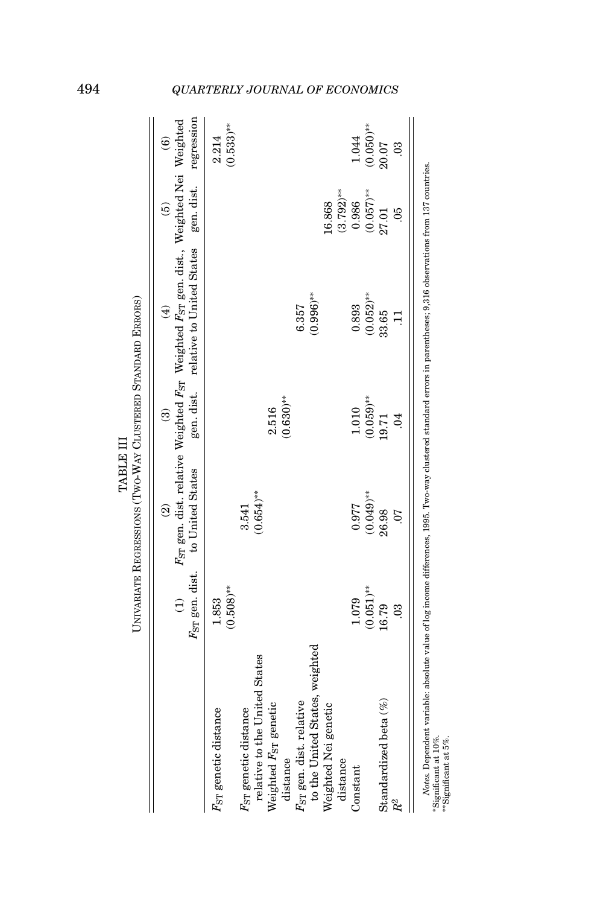|                                                                                   |                                 | UNIVARIATE REGRESSIONS (TWO-WAY CLUSTERED STANDARD ERRORS) |               |                                                                                                                                                                                   |               |                        |
|-----------------------------------------------------------------------------------|---------------------------------|------------------------------------------------------------|---------------|-----------------------------------------------------------------------------------------------------------------------------------------------------------------------------------|---------------|------------------------|
|                                                                                   | Fsr gen. dist.<br>$\widehat{E}$ | to United States<br>$\widehat{\mathfrak{D}}$               | $\widehat{c}$ | gen. dist. relative to United States gen. dist. regression<br>$F_{ST}$ gen. dist. relative Weighted $F_{ST}$ Weighted $F_{ST}$ gen. dist., Weighted Nei Weighted<br>$\widehat{E}$ | $\widehat{e}$ | $\widehat{\mathbf{e}}$ |
| F <sub>ST</sub> genetic distance                                                  | $(0.508)$ **<br>1.853           |                                                            |               |                                                                                                                                                                                   |               | $(0.533)$ **<br>2.214  |
| F <sub>ST</sub> genetic distance                                                  |                                 | 3.541                                                      |               |                                                                                                                                                                                   |               |                        |
| relative to the United States                                                     |                                 | $(0.654)$ **                                               |               |                                                                                                                                                                                   |               |                        |
| Weighted F <sub>ST</sub> genetic                                                  |                                 |                                                            | 2.516         |                                                                                                                                                                                   |               |                        |
| distance                                                                          |                                 |                                                            | $(0.630)$ **  |                                                                                                                                                                                   |               |                        |
| F <sub>ST</sub> gen. dist. relative                                               |                                 |                                                            |               | 6.357                                                                                                                                                                             |               |                        |
| to the United States, weighted                                                    |                                 |                                                            |               | $(0.996)$ **                                                                                                                                                                      |               |                        |
| Weighted Nei genetic                                                              |                                 |                                                            |               |                                                                                                                                                                                   | 16.868        |                        |
| distance                                                                          |                                 |                                                            |               |                                                                                                                                                                                   | $(3.792)$ **  |                        |
| Constant                                                                          | 1.079                           | 0.977                                                      | 1.010         | 0.893                                                                                                                                                                             | 0.986         | 1.044                  |
|                                                                                   | $(0.051)$ **                    | $(0.049)$ **                                               | $(0.059)$ **  | $(0.052)$ **                                                                                                                                                                      | $(0.057)$ **  | $(0.050)$ **           |
| Standardized beta (%)                                                             | 16.79                           | 26.98                                                      | 19.71         | 33.65                                                                                                                                                                             | 27.01         | 20.07                  |
| R <sup>2</sup>                                                                    | $\mathbb{S}^3$                  | 07                                                         | $^{04}$       |                                                                                                                                                                                   | ЬŠ            | $\mathbf{S}$           |
| "我们的人都是不是,我们的人都是不是一个人的。""我们的人,我们的人都是不是,我们的人都是不是,我们的人都是不是,我们的人都是不是,我们的人都是不是,我们的人都是 |                                 |                                                            |               |                                                                                                                                                                                   |               |                        |

 $\rm{{TABLE}}$ III TABLE III

Notes. Dependent variable: absolute value of log income differences, 1995. Two-way clustered standard errors in parentheses; 9,316 observations from 137 countries.<br>\*Significant at 5%.<br>\*\*Significant at 5%. *Notes.* Dependent variable: absolute value of log income differences, 1995. Two-way clustered standard errors in parentheses; 9,316 observations from 137 countries. ∗Significant at 10%. ∗∗Significant at 5%.

# 494 *QUARTERLY JOURNAL OF ECONOMICS*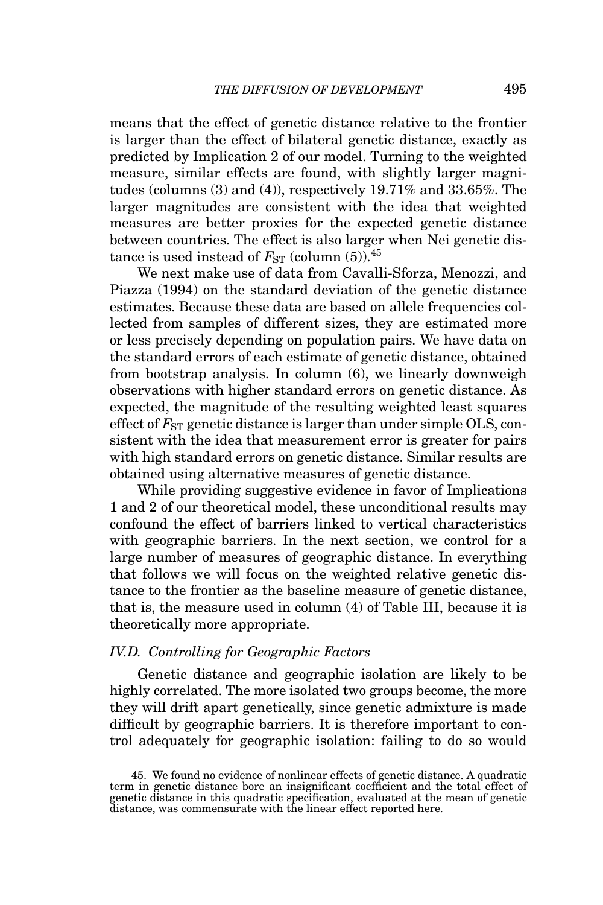means that the effect of genetic distance relative to the frontier is larger than the effect of bilateral genetic distance, exactly as predicted by Implication 2 of our model. Turning to the weighted measure, similar effects are found, with slightly larger magnitudes (columns (3) and (4)), respectively 19.71% and 33.65%. The larger magnitudes are consistent with the idea that weighted measures are better proxies for the expected genetic distance between countries. The effect is also larger when Nei genetic distance is used instead of  $F_{ST}$  (column (5)).<sup>45</sup>

We next make use of data from Cavalli-Sforza, Menozzi, and Piazza (1994) on the standard deviation of the genetic distance estimates. Because these data are based on allele frequencies collected from samples of different sizes, they are estimated more or less precisely depending on population pairs. We have data on the standard errors of each estimate of genetic distance, obtained from bootstrap analysis. In column (6), we linearly downweigh observations with higher standard errors on genetic distance. As expected, the magnitude of the resulting weighted least squares effect of  $F_{ST}$  genetic distance is larger than under simple OLS, consistent with the idea that measurement error is greater for pairs with high standard errors on genetic distance. Similar results are obtained using alternative measures of genetic distance.

While providing suggestive evidence in favor of Implications 1 and 2 of our theoretical model, these unconditional results may confound the effect of barriers linked to vertical characteristics with geographic barriers. In the next section, we control for a large number of measures of geographic distance. In everything that follows we will focus on the weighted relative genetic distance to the frontier as the baseline measure of genetic distance, that is, the measure used in column (4) of Table III, because it is theoretically more appropriate.

#### *IV.D. Controlling for Geographic Factors*

Genetic distance and geographic isolation are likely to be highly correlated. The more isolated two groups become, the more they will drift apart genetically, since genetic admixture is made difficult by geographic barriers. It is therefore important to control adequately for geographic isolation: failing to do so would

<sup>45.</sup> We found no evidence of nonlinear effects of genetic distance. A quadratic term in genetic distance bore an insignificant coefficient and the total effect of genetic distance in this quadratic specification, evaluated at the mean of genetic distance, was commensurate with the linear effect reported here.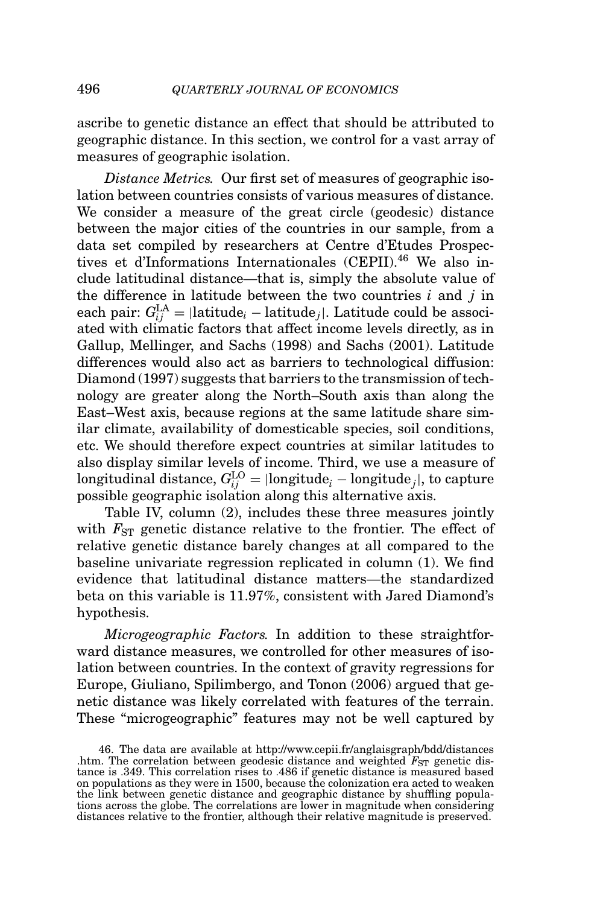ascribe to genetic distance an effect that should be attributed to geographic distance. In this section, we control for a vast array of measures of geographic isolation.

*Distance Metrics.* Our first set of measures of geographic isolation between countries consists of various measures of distance. We consider a measure of the great circle (geodesic) distance between the major cities of the countries in our sample, from a data set compiled by researchers at Centre d'Etudes Prospectives et d'Informations Internationales (CEPII).<sup>46</sup> We also include latitudinal distance—that is, simply the absolute value of the difference in latitude between the two countries *i* and *j* in each pair:  $G_{ij}^{\text{LA}} = |\text{latitude}_i - \text{latitude}_j|$ . Latitude could be associated with climatic factors that affect income levels directly, as in Gallup, Mellinger, and Sachs (1998) and Sachs (2001). Latitude differences would also act as barriers to technological diffusion: Diamond (1997) suggests that barriers to the transmission of technology are greater along the North–South axis than along the East–West axis, because regions at the same latitude share similar climate, availability of domesticable species, soil conditions, etc. We should therefore expect countries at similar latitudes to also display similar levels of income. Third, we use a measure of  $\mathrm{longitudinal\ distance},\, G_{ij}^{\mathrm{LO}} = |\mathrm{longitude}_i - \mathrm{longitude}_j|, \mathrm{\,to\, capture}$ possible geographic isolation along this alternative axis.

Table IV, column (2), includes these three measures jointly with  $F_{ST}$  genetic distance relative to the frontier. The effect of relative genetic distance barely changes at all compared to the baseline univariate regression replicated in column (1). We find evidence that latitudinal distance matters—the standardized beta on this variable is 11.97%, consistent with Jared Diamond's hypothesis.

*Microgeographic Factors.* In addition to these straightforward distance measures, we controlled for other measures of isolation between countries. In the context of gravity regressions for Europe, Giuliano, Spilimbergo, and Tonon (2006) argued that genetic distance was likely correlated with features of the terrain. These "microgeographic" features may not be well captured by

<sup>46.</sup> The data are available at http://www.cepii.fr/anglaisgraph/bdd/distances .htm. The correlation between geodesic distance and weighted  $F_{ST}$  genetic distance is .349. This correlation rises to .486 if genetic distance is measured based on populations as they were in 1500, because the colonization era acted to weaken the link between genetic distance and geographic distance by shuffling populations across the globe. The correlations are lower in magnitude when considering distances relative to the frontier, although their relative magnitude is preserved.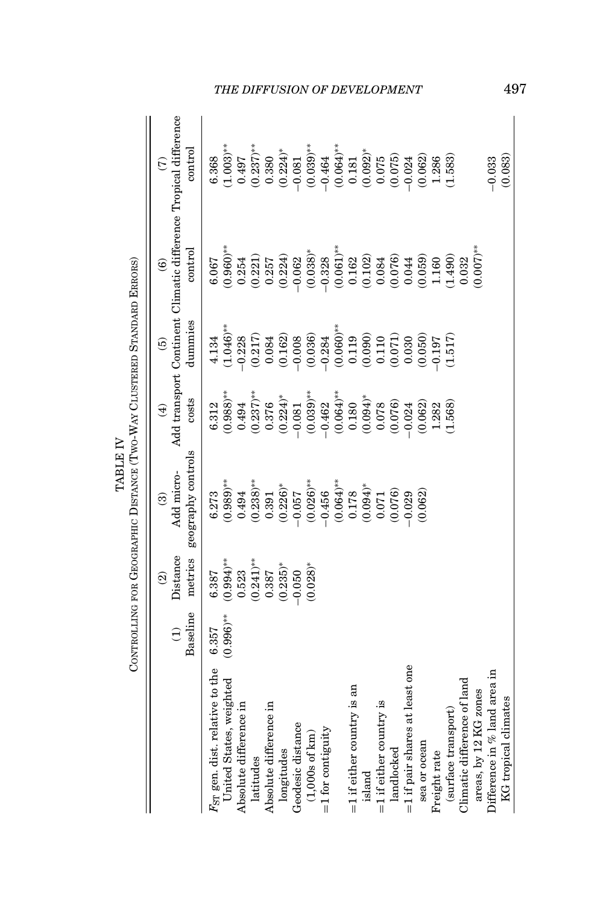|                                            |                 |                          | CONTROLLING FOR GEOGRAPHIC DISTANCE (TWO-WAY CLUSTERED STANDARD ERRORS)<br>TABLE IV |                        |                                                                            |                         |                                                                         |
|--------------------------------------------|-----------------|--------------------------|-------------------------------------------------------------------------------------|------------------------|----------------------------------------------------------------------------|-------------------------|-------------------------------------------------------------------------|
|                                            |                 | $\widehat{\mathfrak{D}}$ | $\widehat{\mathcal{C}}$                                                             | $\bigoplus$            | $\widehat{e}$                                                              | $\widehat{\mathbf{e}}$  | $\widehat{C}$                                                           |
|                                            | $\widehat{\Xi}$ | Distance                 | Add micro-                                                                          |                        |                                                                            |                         | Add transport Continent Climatic difference Tropical difference         |
|                                            | Baseline        | metrics                  | geography controls                                                                  | costs                  | dummies                                                                    | $\rm control$           | control                                                                 |
| F <sub>ST</sub> gen. dist. relative to the | 6.357           | 6.387                    | 6.273                                                                               | 6.312                  | 4.134                                                                      | 6.067                   | 6.368                                                                   |
| United States, weighted                    | $(0.996)$ **    | $(0.994)$ **             | $(0.989)$ **                                                                        | $(888)$ **             | $1.046$ <sup>**</sup>                                                      | $0.960$ <sup>**</sup>   | $1.003**$                                                               |
| Absolute difference in                     |                 |                          | 0.494                                                                               | 0.494                  | $-0.228$                                                                   | 0.254                   | 0.497                                                                   |
| latitudes                                  |                 | $0.523$<br>$(0.241)$ **  | $0.238$ <sup>**</sup>                                                               | $(0.237)$ **           | (0.217)                                                                    | (0.221)                 | $(0.237)$ **<br>0.380                                                   |
| Absolute difference in                     |                 | 0.387                    | 0.391                                                                               | 0.376                  | 0.084                                                                      | 0.257                   |                                                                         |
| longitudes                                 |                 | $(0.235)^*$              | $(0.226)*$<br>-0.057                                                                | $(0.224)$ *            | (0.162)                                                                    | (0.224)                 |                                                                         |
| Geodesic distance                          |                 | $-0.050$                 |                                                                                     | $-0.081$               |                                                                            | $-0.062$                |                                                                         |
| $(1,000s$ of $km)$                         |                 | $(0.028)^{*}$            | $(0.026)$ **<br>-0.456                                                              | $(0.039)$ **           | $\begin{array}{c}\n -0.008 \\  \hline\n (0.036) \\  -0.284\n \end{array}$  | $(0.038)^*$<br>-0.328   | $(0.224)^*$<br>$-0.081$<br>$(0.039)^{**}$<br>$-0.464$<br>$(0.064)^{**}$ |
| $=1$ for contiguity                        |                 |                          |                                                                                     | $-0.462$               |                                                                            |                         |                                                                         |
|                                            |                 |                          | $(0.064)$ **                                                                        | $(0.064)$ **           | $(0.060)$ **                                                               | $(0.061)$ **            |                                                                         |
| $=$ 1 if either country is an              |                 |                          | $\frac{0.178}{(0.094)^*}$                                                           | $0.180$<br>$(0.094)^*$ |                                                                            |                         |                                                                         |
| island                                     |                 |                          |                                                                                     |                        | $\begin{array}{c} 0.119 \\ 0.090) \\ 0.110 \\ 0.110 \\ 0.071) \end{array}$ | $\frac{0.162}{(0.102)}$ | $\begin{array}{c} 0.181 \\ (0.092)^* \\ 0.075 \end{array}$              |
| $=1$ if either country is                  |                 |                          | $0.071\,$                                                                           | 0.078                  |                                                                            | 0.084                   |                                                                         |
| landlocked                                 |                 |                          | (0.076)                                                                             | (0.076)                |                                                                            | (0.076)                 | (0.075)                                                                 |
| =1 if pair shares at least one             |                 |                          | 0.029                                                                               | $-0.024$               | 0.030                                                                      | 0.044                   | $-0.024$                                                                |
| sea or ocean                               |                 |                          | (0.062)                                                                             | (0.062)                | (0.050)                                                                    | (0.059)                 | (0.062)                                                                 |
| Freight rate                               |                 |                          |                                                                                     | 1.282                  | 0.197                                                                      | 1.160                   | 1.286                                                                   |
| (surface transport)                        |                 |                          |                                                                                     | (1.568)                | (1.517)                                                                    | 1.490)                  | 1.583)                                                                  |
| Climatic difference of land                |                 |                          |                                                                                     |                        |                                                                            | 0.032                   |                                                                         |
| areas, by 12 KG zones                      |                 |                          |                                                                                     |                        |                                                                            | $(0.007)$ **            |                                                                         |
| Difference in % land area in               |                 |                          |                                                                                     |                        |                                                                            |                         | $-0.033$                                                                |
| KG tropical climates                       |                 |                          |                                                                                     |                        |                                                                            |                         | (0.083)                                                                 |

# THE DIFFUSION OF DEVELOPMENT 497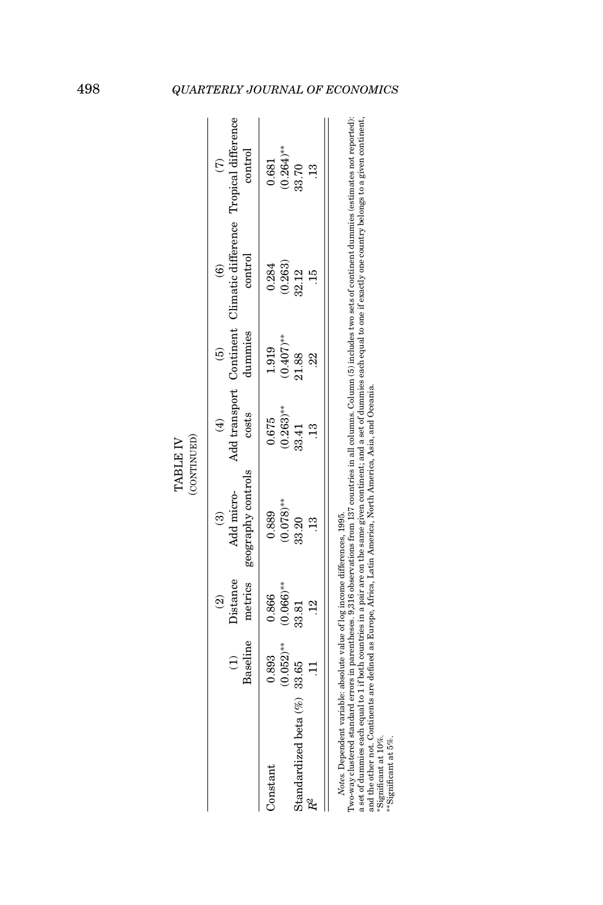|                                                                                                                                                                                                                                                                                                                                                                                                                                                                                                                                                                                                                                       |                           |                       |                                                            | (CONTINUED)<br>TABLE IV |                                |                                                                                                    |                                |
|---------------------------------------------------------------------------------------------------------------------------------------------------------------------------------------------------------------------------------------------------------------------------------------------------------------------------------------------------------------------------------------------------------------------------------------------------------------------------------------------------------------------------------------------------------------------------------------------------------------------------------------|---------------------------|-----------------------|------------------------------------------------------------|-------------------------|--------------------------------|----------------------------------------------------------------------------------------------------|--------------------------------|
|                                                                                                                                                                                                                                                                                                                                                                                                                                                                                                                                                                                                                                       | Baseline<br>$\widehat{z}$ | Distance<br>metrics   | geography controls<br>Add micro-<br>$\widehat{\mathbb{C}}$ | costs                   | dummies<br>$\overline{5}$      | Add transport Continent Climatic difference Tropical difference<br>control<br>$\widehat{\epsilon}$ | control                        |
| Constant                                                                                                                                                                                                                                                                                                                                                                                                                                                                                                                                                                                                                              | $(0.052)$ **<br>0.893     | $(0.066)$ **<br>0.866 | $(0.078)$ **<br>0.889                                      | $(0.263)$ **<br>0.675   | $0.407$ <sup>**</sup><br>1.919 | (0.263)<br>0.284                                                                                   | $0.264$ <sup>**</sup><br>0.681 |
| Standardized beta (%) 33.65                                                                                                                                                                                                                                                                                                                                                                                                                                                                                                                                                                                                           |                           | $^{2}$<br>33.81       | 33.20<br>$\frac{3}{2}$                                     | 33.41<br>$\frac{3}{2}$  | 21.88                          | 32.12<br>15                                                                                        | 33.70<br>$\frac{3}{2}$         |
| Two-way dustered standard errors in parentheses. 9,316 observations from 137 countries in all columns. Column (5) includes two sets of continent dummies (estimates not reported):<br>a set of dummies each equal to 1 if both countries in a pair are on the same given continent; and a set of dummies each equal to one if exactly one country belongs to a given continent,<br>and the other not. Continents are defined as Europe, Africa, Latin America, North America, Asia, and Oceania.<br>Notes. Dependent variable: absolute value of log income differences, 1995.<br>$*$ Significant at $10\%$ .<br>**Significant at 5%. |                           |                       |                                                            |                         |                                |                                                                                                    |                                |

# 498 *QUARTERLY JOURNAL OF ECONOMICS*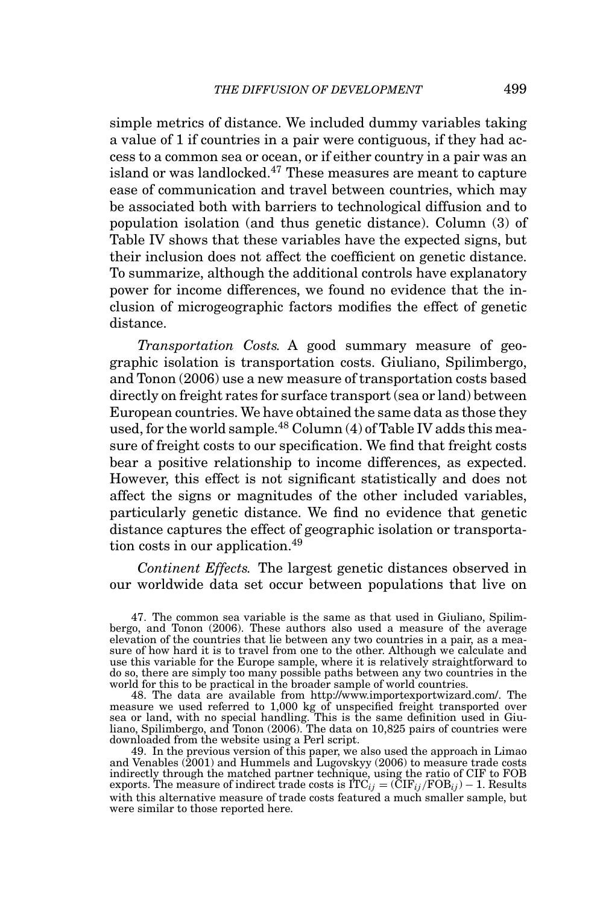simple metrics of distance. We included dummy variables taking a value of 1 if countries in a pair were contiguous, if they had access to a common sea or ocean, or if either country in a pair was an island or was landlocked.<sup>47</sup> These measures are meant to capture ease of communication and travel between countries, which may be associated both with barriers to technological diffusion and to population isolation (and thus genetic distance). Column (3) of Table IV shows that these variables have the expected signs, but their inclusion does not affect the coefficient on genetic distance. To summarize, although the additional controls have explanatory power for income differences, we found no evidence that the inclusion of microgeographic factors modifies the effect of genetic distance.

*Transportation Costs.* A good summary measure of geographic isolation is transportation costs. Giuliano, Spilimbergo, and Tonon (2006) use a new measure of transportation costs based directly on freight rates for surface transport (sea or land) between European countries. We have obtained the same data as those they used, for the world sample.<sup>48</sup> Column (4) of Table IV adds this measure of freight costs to our specification. We find that freight costs bear a positive relationship to income differences, as expected. However, this effect is not significant statistically and does not affect the signs or magnitudes of the other included variables, particularly genetic distance. We find no evidence that genetic distance captures the effect of geographic isolation or transportation costs in our application.49

*Continent Effects.* The largest genetic distances observed in our worldwide data set occur between populations that live on

47. The common sea variable is the same as that used in Giuliano, Spilimbergo, and Tonon (2006). These authors also used a measure of the average elevation of the countries that lie between any two countries in a pair, as a mea-sure of how hard it is to travel from one to the other. Although we calculate and use this variable for the Europe sample, where it is relatively straightforward to do so, there are simply too many possible paths between any two countries in the world for this to be practical in the broader sample of world countries.

48. The data are available from http://www.importexportwizard.com/. The measure we used referred to 1,000 kg of unspecified freight transported over sea or land, with no special handling. This is the same definition used downloaded from the website using a Perl script.

49. In the previous version of this paper, we also used the approach in Limao and Venables (2001) and Hummels and Lugovskyy (2006) to measure trade costs indirectly through the matched partner technique, using the ratio of CIF to FOB exports. The measure of indirect trade costs is ITC<sub>*ij*</sub> = (CIF<sub>*ij*</sub>/FOB<sub>*ij*</sub>) − 1. Results with this alternative measure of trade costs featured a much smaller sample, but were similar to those reported here.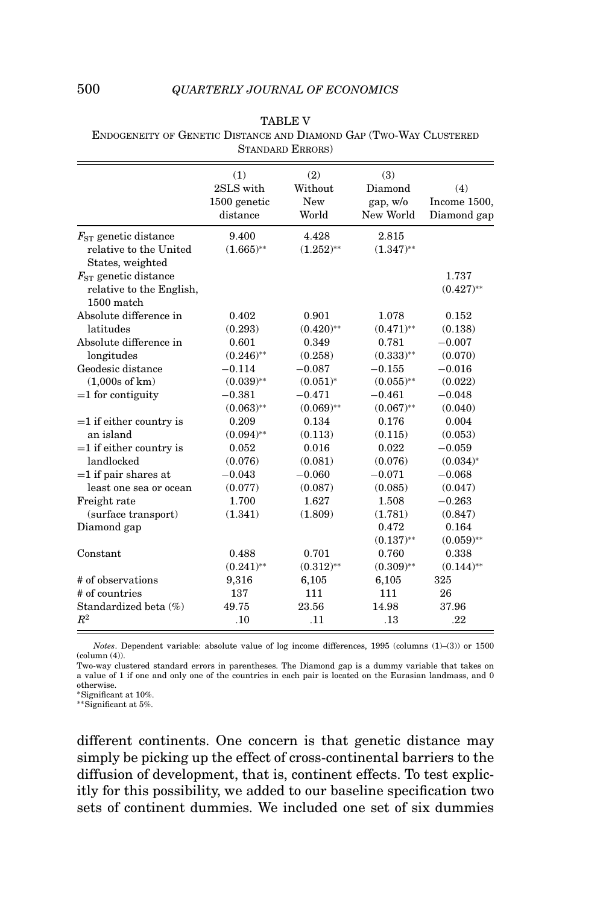|                                          | (1)<br>2SLS with<br>1500 genetic<br>distance | (2)<br>Without<br>New<br>World | (3)<br>Diamond<br>gap, w/o<br>New World | (4)<br>Income 1500,<br>Diamond gap |
|------------------------------------------|----------------------------------------------|--------------------------------|-----------------------------------------|------------------------------------|
| $F_{ST}$ genetic distance                | 9.400                                        | 4.428                          | 2.815                                   |                                    |
| relative to the United                   | $(1.665)$ **                                 | $(1.252)$ **                   | $(1.347)$ **                            |                                    |
| States, weighted                         |                                              |                                |                                         |                                    |
| $F_{ST}$ genetic distance                |                                              |                                |                                         | 1.737                              |
| relative to the English,<br>$1500$ match |                                              |                                |                                         | $(0.427)$ **                       |
| Absolute difference in                   | 0.402                                        | 0.901                          | 1.078                                   | 0.152                              |
| latitudes                                | (0.293)                                      | $(0.420)$ **                   | $(0.471)$ **                            | (0.138)                            |
| Absolute difference in                   | 0.601                                        | 0.349                          | 0.781                                   | $-0.007$                           |
| longitudes                               | $(0.246)$ **                                 | (0.258)                        | $(0.333)$ **                            | (0.070)                            |
| Geodesic distance                        | $-0.114$                                     | $-0.087$                       | $-0.155$                                | $-0.016$                           |
| $(1,000s$ of km $)$                      | $(0.039)$ **                                 | $(0.051)^*$                    | $(0.055)$ **                            | (0.022)                            |
| $=1$ for contiguity                      | $-0.381$                                     | $-0.471$                       | $-0.461$                                | $-0.048$                           |
|                                          | $(0.063)$ **                                 | $(0.069)$ **                   | $(0.067)$ **                            | (0.040)                            |
| $=1$ if either country is                | 0.209                                        | 0.134                          | 0.176                                   | 0.004                              |
| an island                                | $(0.094)$ **                                 | (0.113)                        | (0.115)                                 | (0.053)                            |
| $=1$ if either country is                | 0.052                                        | 0.016                          | 0.022                                   | $-0.059$                           |
| landlocked                               | (0.076)                                      | (0.081)                        | (0.076)                                 | $(0.034)^{*}$                      |
| $=1$ if pair shares at                   | $-0.043$                                     | $-0.060$                       | $-0.071$                                | $-0.068$                           |
| least one sea or ocean                   | (0.077)                                      | (0.087)                        | (0.085)                                 | (0.047)                            |
| Freight rate                             | 1.700                                        | 1.627                          | 1.508                                   | $-0.263$                           |
| (surface transport)                      | (1.341)                                      | (1.809)                        | (1.781)                                 | (0.847)                            |
| Diamond gap                              |                                              |                                | 0.472                                   | 0.164                              |
|                                          |                                              |                                | $(0.137)$ **                            | $(0.059)$ **                       |
| Constant                                 | 0.488                                        | 0.701                          | 0.760                                   | 0.338                              |
|                                          | $(0.241)$ **                                 | $(0.312)$ **                   | $(0.309)$ **                            | $(0.144)$ **                       |
| # of observations                        | 9,316                                        | 6,105                          | 6,105                                   | 325                                |
| # of countries                           | 137                                          | 111                            | 111                                     | 26                                 |
| Standardized beta (%)                    | 49.75                                        | 23.56                          | 14.98                                   | 37.96                              |
| $R^2$                                    | .10                                          | .11                            | .13                                     | .22                                |

TABLE V ENDOGENEITY OF GENETIC DISTANCE AND DIAMOND GAP (TWO-WAY CLUSTERED STANDARD ERRORS)

*Notes*. Dependent variable: absolute value of log income differences, 1995 (columns (1)–(3)) or 1500 (column (4)).

Two-way clustered standard errors in parentheses. The Diamond gap is a dummy variable that takes on a value of 1 if one and only one of the countries in each pair is located on the Eurasian landmass, and 0 otherwise.

<sup>∗</sup>Significant at 10%.

∗∗Significant at 5%.

different continents. One concern is that genetic distance may simply be picking up the effect of cross-continental barriers to the diffusion of development, that is, continent effects. To test explicitly for this possibility, we added to our baseline specification two sets of continent dummies. We included one set of six dummies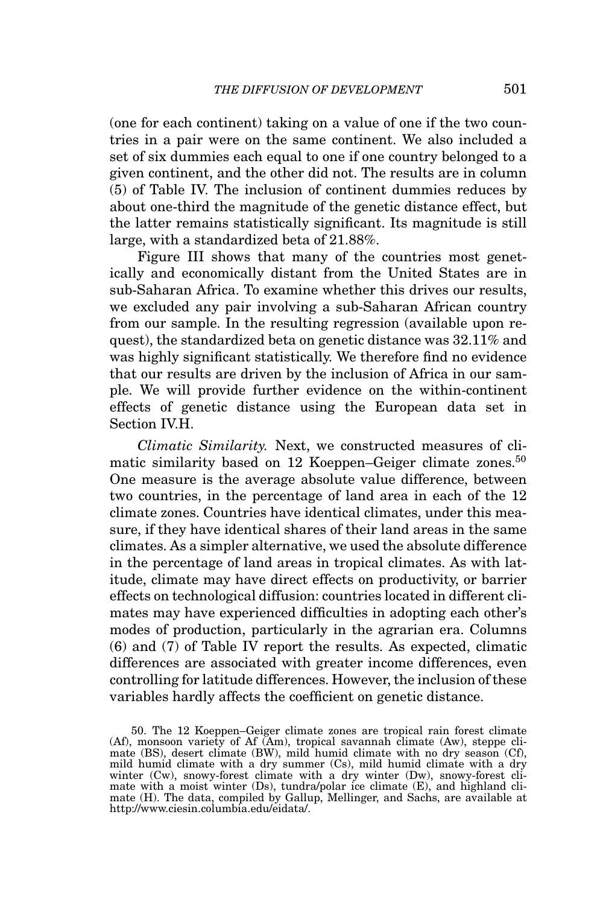(one for each continent) taking on a value of one if the two countries in a pair were on the same continent. We also included a set of six dummies each equal to one if one country belonged to a given continent, and the other did not. The results are in column (5) of Table IV. The inclusion of continent dummies reduces by about one-third the magnitude of the genetic distance effect, but the latter remains statistically significant. Its magnitude is still large, with a standardized beta of 21.88%.

Figure III shows that many of the countries most genetically and economically distant from the United States are in sub-Saharan Africa. To examine whether this drives our results, we excluded any pair involving a sub-Saharan African country from our sample. In the resulting regression (available upon request), the standardized beta on genetic distance was 32.11% and was highly significant statistically. We therefore find no evidence that our results are driven by the inclusion of Africa in our sample. We will provide further evidence on the within-continent effects of genetic distance using the European data set in Section IV.H.

*Climatic Similarity.* Next, we constructed measures of climatic similarity based on 12 Koeppen–Geiger climate zones.<sup>50</sup> One measure is the average absolute value difference, between two countries, in the percentage of land area in each of the 12 climate zones. Countries have identical climates, under this measure, if they have identical shares of their land areas in the same climates. As a simpler alternative, we used the absolute difference in the percentage of land areas in tropical climates. As with latitude, climate may have direct effects on productivity, or barrier effects on technological diffusion: countries located in different climates may have experienced difficulties in adopting each other's modes of production, particularly in the agrarian era. Columns (6) and (7) of Table IV report the results. As expected, climatic differences are associated with greater income differences, even controlling for latitude differences. However, the inclusion of these variables hardly affects the coefficient on genetic distance.

<sup>50.</sup> The 12 Koeppen–Geiger climate zones are tropical rain forest climate (Af), monsoon variety of Af (Am), tropical savannah climate (Aw), steppe cli-mate (BS), desert climate (BW), mild humid climate with no dry season (Cf), mild humid climate with a dry summer (Cs), mild humid climate with a dry winter (Cw), snowy-forest climate with a dry winter (Dw), snowy-forest cli-mate with a moist winter (Ds), tundra/polar ice climate (E), and highland climate (H). The data, compiled by Gallup, Mellinger, and Sachs, are available at http://www.ciesin.columbia.edu/eidata/.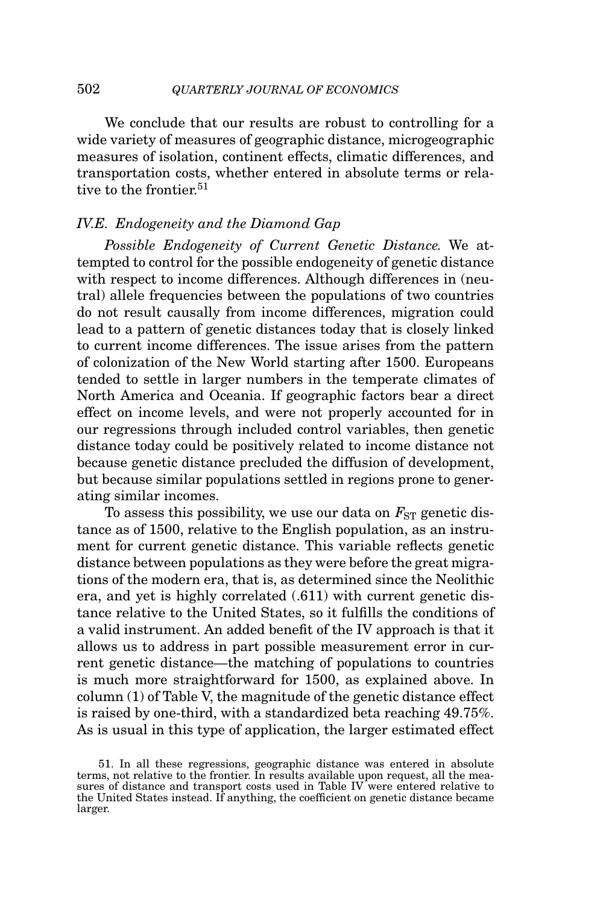We conclude that our results are robust to controlling for a wide variety of measures of geographic distance, microgeographic measures of isolation, continent effects, climatic differences, and transportation costs, whether entered in absolute terms or relative to the frontier.<sup>51</sup>

## *IV.E. Endogeneity and the Diamond Gap*

*Possible Endogeneity of Current Genetic Distance.* We attempted to control for the possible endogeneity of genetic distance with respect to income differences. Although differences in (neutral) allele frequencies between the populations of two countries do not result causally from income differences, migration could lead to a pattern of genetic distances today that is closely linked to current income differences. The issue arises from the pattern of colonization of the New World starting after 1500. Europeans tended to settle in larger numbers in the temperate climates of North America and Oceania. If geographic factors bear a direct effect on income levels, and were not properly accounted for in our regressions through included control variables, then genetic distance today could be positively related to income distance not because genetic distance precluded the diffusion of development, but because similar populations settled in regions prone to generating similar incomes.

To assess this possibility, we use our data on  $F_{ST}$  genetic distance as of 1500, relative to the English population, as an instrument for current genetic distance. This variable reflects genetic distance between populations as they were before the great migrations of the modern era, that is, as determined since the Neolithic era, and yet is highly correlated (.611) with current genetic distance relative to the United States, so it fulfills the conditions of a valid instrument. An added benefit of the IV approach is that it allows us to address in part possible measurement error in current genetic distance—the matching of populations to countries is much more straightforward for 1500, as explained above. In column (1) of Table V, the magnitude of the genetic distance effect is raised by one-third, with a standardized beta reaching 49.75%. As is usual in this type of application, the larger estimated effect

<sup>51.</sup> In all these regressions, geographic distance was entered in absolute terms, not relative to the frontier. In results available upon request, all the measures of distance and transport costs used in Table IV were enter the United States instead. If anything, the coefficient on genetic distance became larger.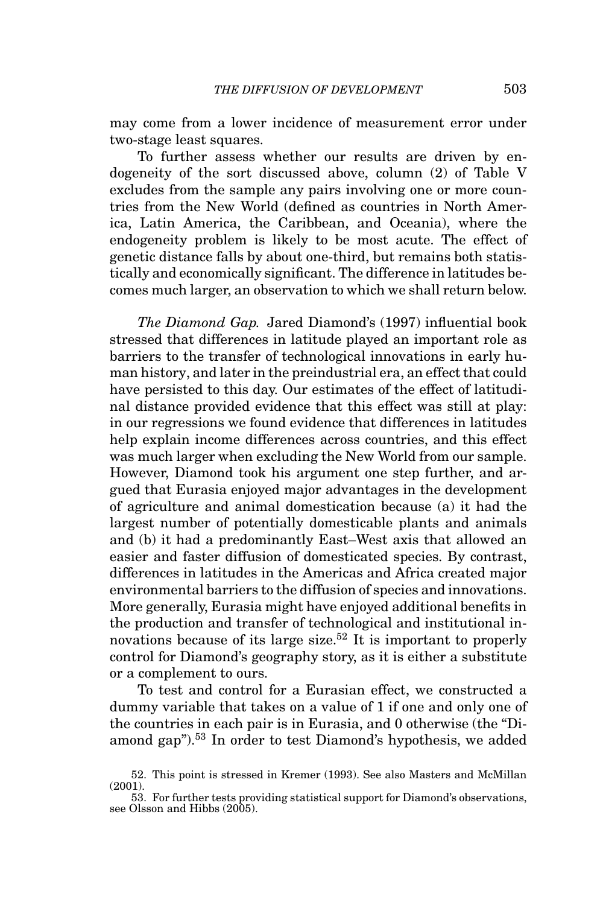may come from a lower incidence of measurement error under two-stage least squares.

To further assess whether our results are driven by endogeneity of the sort discussed above, column (2) of Table V excludes from the sample any pairs involving one or more countries from the New World (defined as countries in North America, Latin America, the Caribbean, and Oceania), where the endogeneity problem is likely to be most acute. The effect of genetic distance falls by about one-third, but remains both statistically and economically significant. The difference in latitudes becomes much larger, an observation to which we shall return below.

*The Diamond Gap.* Jared Diamond's (1997) influential book stressed that differences in latitude played an important role as barriers to the transfer of technological innovations in early human history, and later in the preindustrial era, an effect that could have persisted to this day. Our estimates of the effect of latitudinal distance provided evidence that this effect was still at play: in our regressions we found evidence that differences in latitudes help explain income differences across countries, and this effect was much larger when excluding the New World from our sample. However, Diamond took his argument one step further, and argued that Eurasia enjoyed major advantages in the development of agriculture and animal domestication because (a) it had the largest number of potentially domesticable plants and animals and (b) it had a predominantly East–West axis that allowed an easier and faster diffusion of domesticated species. By contrast, differences in latitudes in the Americas and Africa created major environmental barriers to the diffusion of species and innovations. More generally, Eurasia might have enjoyed additional benefits in the production and transfer of technological and institutional innovations because of its large size.<sup>52</sup> It is important to properly control for Diamond's geography story, as it is either a substitute or a complement to ours.

To test and control for a Eurasian effect, we constructed a dummy variable that takes on a value of 1 if one and only one of the countries in each pair is in Eurasia, and 0 otherwise (the "Diamond gap").<sup>53</sup> In order to test Diamond's hypothesis, we added

<sup>52.</sup> This point is stressed in Kremer (1993). See also Masters and McMillan (2001).

<sup>53.</sup> For further tests providing statistical support for Diamond's observations, see Olsson and Hibbs (2005).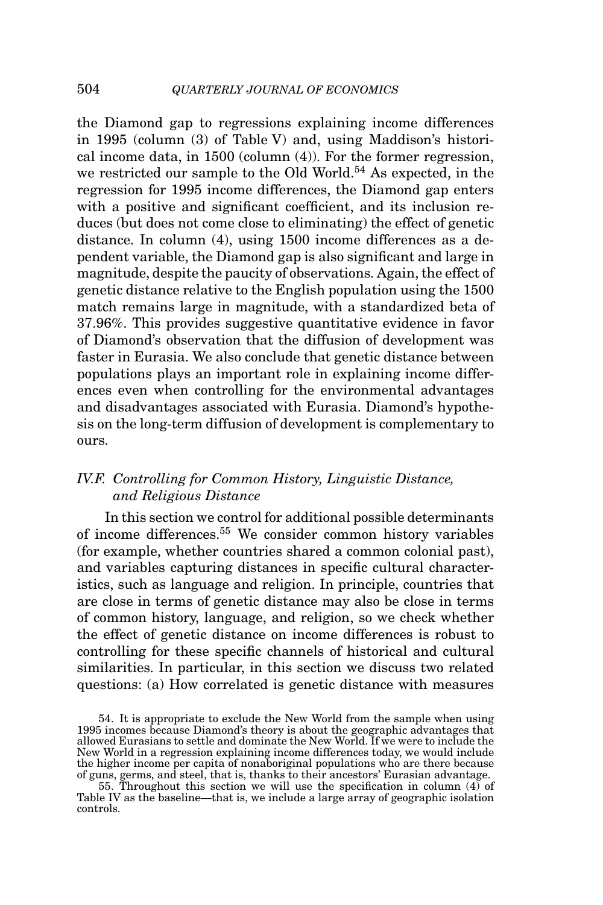the Diamond gap to regressions explaining income differences in 1995 (column (3) of Table V) and, using Maddison's historical income data, in 1500 (column (4)). For the former regression, we restricted our sample to the Old World.<sup>54</sup> As expected, in the regression for 1995 income differences, the Diamond gap enters with a positive and significant coefficient, and its inclusion reduces (but does not come close to eliminating) the effect of genetic distance. In column (4), using 1500 income differences as a dependent variable, the Diamond gap is also significant and large in magnitude, despite the paucity of observations. Again, the effect of genetic distance relative to the English population using the 1500 match remains large in magnitude, with a standardized beta of 37.96%. This provides suggestive quantitative evidence in favor of Diamond's observation that the diffusion of development was faster in Eurasia. We also conclude that genetic distance between populations plays an important role in explaining income differences even when controlling for the environmental advantages and disadvantages associated with Eurasia. Diamond's hypothesis on the long-term diffusion of development is complementary to ours.

# *IV.F. Controlling for Common History, Linguistic Distance, and Religious Distance*

In this section we control for additional possible determinants of income differences.<sup>55</sup> We consider common history variables (for example, whether countries shared a common colonial past), and variables capturing distances in specific cultural characteristics, such as language and religion. In principle, countries that are close in terms of genetic distance may also be close in terms of common history, language, and religion, so we check whether the effect of genetic distance on income differences is robust to controlling for these specific channels of historical and cultural similarities. In particular, in this section we discuss two related questions: (a) How correlated is genetic distance with measures

<sup>54.</sup> It is appropriate to exclude the New World from the sample when using 1995 incomes because Diamond's theory is about the geographic advantages that<br>allowed Eurasians to settle and dominate the New World. If we were to include the<br>New World in a regression explaining income differences today, the higher income per capita of nonaboriginal populations who are there because of guns, germs, and steel, that is, thanks to their ancestors' Eurasian advantage.

<sup>55.</sup> Throughout this section we will use the specification in column  $\overline{(4)}$  of Table IV as the baseline—that is, we include a large array of geographic isolation controls.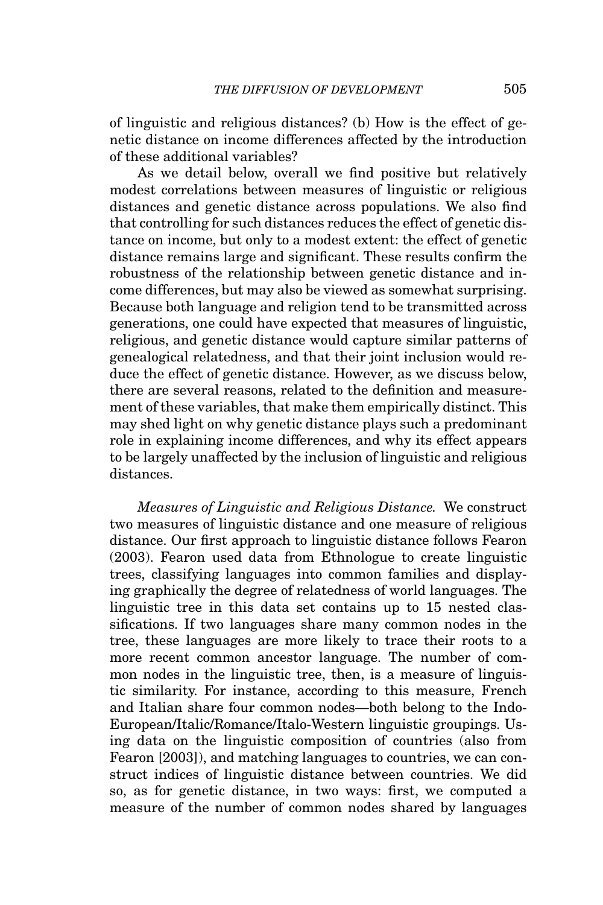of linguistic and religious distances? (b) How is the effect of genetic distance on income differences affected by the introduction of these additional variables?

As we detail below, overall we find positive but relatively modest correlations between measures of linguistic or religious distances and genetic distance across populations. We also find that controlling for such distances reduces the effect of genetic distance on income, but only to a modest extent: the effect of genetic distance remains large and significant. These results confirm the robustness of the relationship between genetic distance and income differences, but may also be viewed as somewhat surprising. Because both language and religion tend to be transmitted across generations, one could have expected that measures of linguistic, religious, and genetic distance would capture similar patterns of genealogical relatedness, and that their joint inclusion would reduce the effect of genetic distance. However, as we discuss below, there are several reasons, related to the definition and measurement of these variables, that make them empirically distinct. This may shed light on why genetic distance plays such a predominant role in explaining income differences, and why its effect appears to be largely unaffected by the inclusion of linguistic and religious distances.

*Measures of Linguistic and Religious Distance.* We construct two measures of linguistic distance and one measure of religious distance. Our first approach to linguistic distance follows Fearon (2003). Fearon used data from Ethnologue to create linguistic trees, classifying languages into common families and displaying graphically the degree of relatedness of world languages. The linguistic tree in this data set contains up to 15 nested classifications. If two languages share many common nodes in the tree, these languages are more likely to trace their roots to a more recent common ancestor language. The number of common nodes in the linguistic tree, then, is a measure of linguistic similarity. For instance, according to this measure, French and Italian share four common nodes—both belong to the Indo-European/Italic/Romance/Italo-Western linguistic groupings. Using data on the linguistic composition of countries (also from Fearon [2003]), and matching languages to countries, we can construct indices of linguistic distance between countries. We did so, as for genetic distance, in two ways: first, we computed a measure of the number of common nodes shared by languages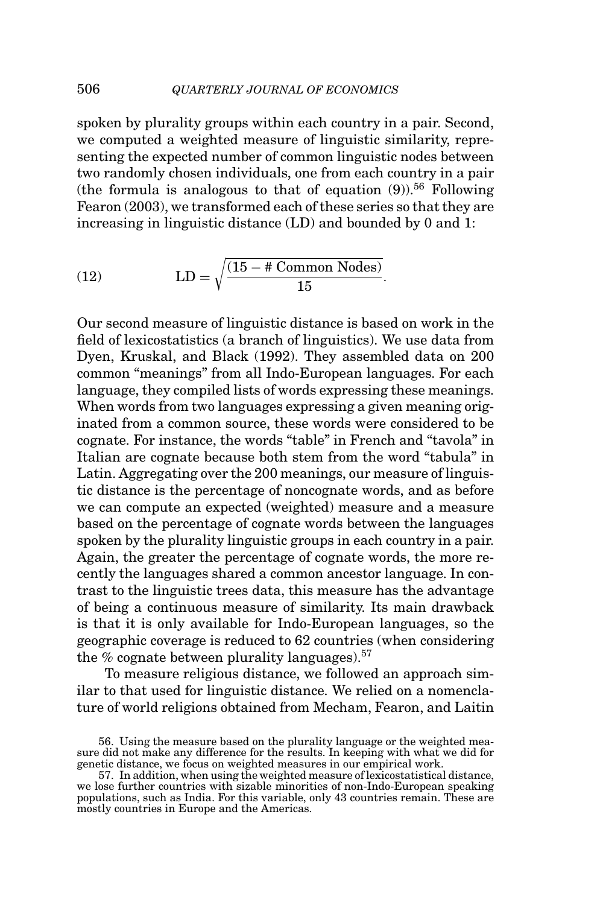spoken by plurality groups within each country in a pair. Second, we computed a weighted measure of linguistic similarity, representing the expected number of common linguistic nodes between two randomly chosen individuals, one from each country in a pair (the formula is analogous to that of equation  $(9)$ ).<sup>56</sup> Following Fearon (2003), we transformed each of these series so that they are increasing in linguistic distance (LD) and bounded by 0 and 1:

(12) 
$$
LD = \sqrt{\frac{(15 - # Common Nodes)}{15}}.
$$

Our second measure of linguistic distance is based on work in the field of lexicostatistics (a branch of linguistics). We use data from Dyen, Kruskal, and Black (1992). They assembled data on 200 common "meanings" from all Indo-European languages. For each language, they compiled lists of words expressing these meanings. When words from two languages expressing a given meaning originated from a common source, these words were considered to be cognate. For instance, the words "table" in French and "tavola" in Italian are cognate because both stem from the word "tabula" in Latin. Aggregating over the 200 meanings, our measure of linguistic distance is the percentage of noncognate words, and as before we can compute an expected (weighted) measure and a measure based on the percentage of cognate words between the languages spoken by the plurality linguistic groups in each country in a pair. Again, the greater the percentage of cognate words, the more recently the languages shared a common ancestor language. In contrast to the linguistic trees data, this measure has the advantage of being a continuous measure of similarity. Its main drawback is that it is only available for Indo-European languages, so the geographic coverage is reduced to 62 countries (when considering the % cognate between plurality languages).<sup>57</sup>

To measure religious distance, we followed an approach similar to that used for linguistic distance. We relied on a nomenclature of world religions obtained from Mecham, Fearon, and Laitin

<sup>56.</sup> Using the measure based on the plurality language or the weighted mea-sure did not make any difference for the results. In keeping with what we did for genetic distance, we focus on weighted measures in our empirical work.

<sup>57.</sup> In addition, when using the weighted measure of lexicostatistical distance, we lose further countries with sizable minorities of non-Indo-European speaking populations, such as India. For this variable, only 43 countries remain. These are mostly countries in Europe and the Americas.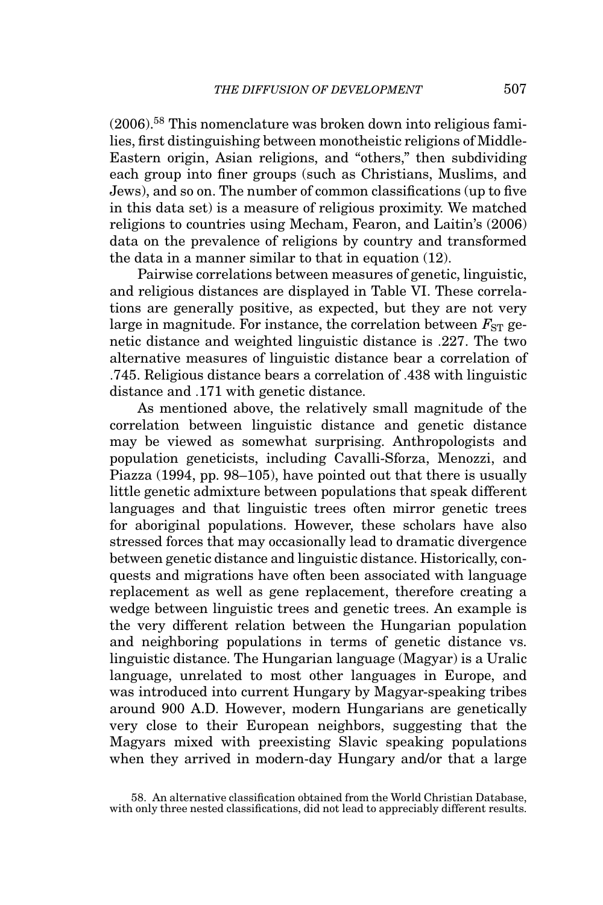$(2006)$ <sup>58</sup> This nomenclature was broken down into religious families, first distinguishing between monotheistic religions of Middle-Eastern origin, Asian religions, and "others," then subdividing each group into finer groups (such as Christians, Muslims, and Jews), and so on. The number of common classifications (up to five in this data set) is a measure of religious proximity. We matched religions to countries using Mecham, Fearon, and Laitin's (2006) data on the prevalence of religions by country and transformed the data in a manner similar to that in equation (12).

Pairwise correlations between measures of genetic, linguistic, and religious distances are displayed in Table VI. These correlations are generally positive, as expected, but they are not very large in magnitude. For instance, the correlation between  $F_{ST}$  genetic distance and weighted linguistic distance is .227. The two alternative measures of linguistic distance bear a correlation of .745. Religious distance bears a correlation of .438 with linguistic distance and .171 with genetic distance.

As mentioned above, the relatively small magnitude of the correlation between linguistic distance and genetic distance may be viewed as somewhat surprising. Anthropologists and population geneticists, including Cavalli-Sforza, Menozzi, and Piazza (1994, pp. 98–105), have pointed out that there is usually little genetic admixture between populations that speak different languages and that linguistic trees often mirror genetic trees for aboriginal populations. However, these scholars have also stressed forces that may occasionally lead to dramatic divergence between genetic distance and linguistic distance. Historically, conquests and migrations have often been associated with language replacement as well as gene replacement, therefore creating a wedge between linguistic trees and genetic trees. An example is the very different relation between the Hungarian population and neighboring populations in terms of genetic distance vs. linguistic distance. The Hungarian language (Magyar) is a Uralic language, unrelated to most other languages in Europe, and was introduced into current Hungary by Magyar-speaking tribes around 900 A.D. However, modern Hungarians are genetically very close to their European neighbors, suggesting that the Magyars mixed with preexisting Slavic speaking populations when they arrived in modern-day Hungary and/or that a large

<sup>58.</sup> An alternative classification obtained from the World Christian Database, with only three nested classifications, did not lead to appreciably different results.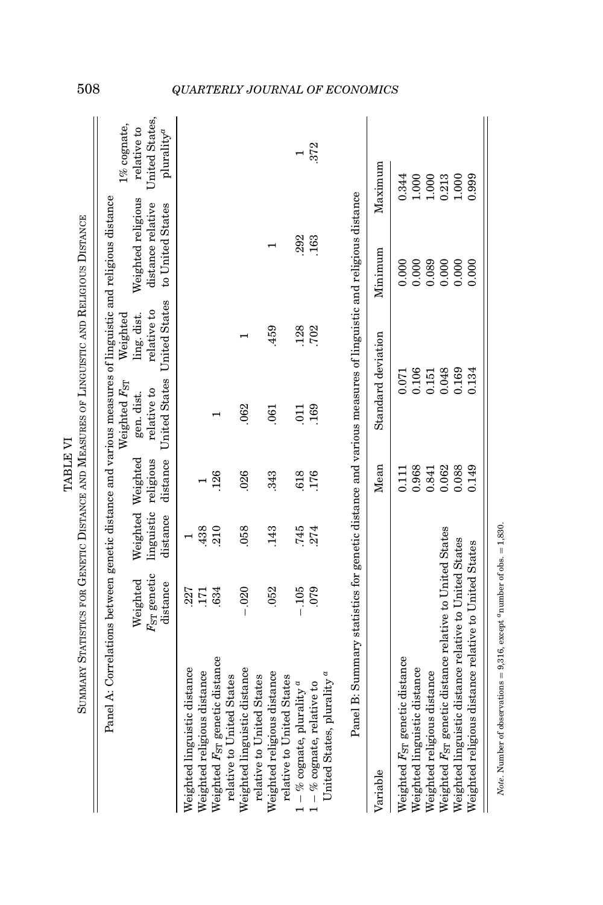|                                                              |                         |          |                      | Weighted F <sub>ST</sub> | Weighted      | Panel A: Correlations between genetic distance and various measures of linguistic and religious distance   | 1% cognate,                |
|--------------------------------------------------------------|-------------------------|----------|----------------------|--------------------------|---------------|------------------------------------------------------------------------------------------------------------|----------------------------|
|                                                              | Weighted                |          | Weighted Weighted    | gen. dist.               | ling. dist.   | Weighted religious                                                                                         | relative to                |
|                                                              | F <sub>ST</sub> genetic |          | linguistic religious | relative to              | relative to   | distance relative                                                                                          | United States,             |
|                                                              | distance                | distance | distance             | <b>United States</b>     | United States | to United States                                                                                           | $\mathrm{p}$ lurality $^a$ |
| Weighted linguistic distance                                 | 227                     |          |                      |                          |               |                                                                                                            |                            |
| Weighted religious distance                                  | 171                     | 438      |                      |                          |               |                                                                                                            |                            |
| Weighted F <sub>ST</sub> genetic distance                    | 634                     | 210      | 126                  |                          |               |                                                                                                            |                            |
| relative to United States                                    |                         |          |                      |                          |               |                                                                                                            |                            |
| Weighted linguistic distance<br>relative to United States    | $-0.020$                | .058     | .026                 | .062                     |               |                                                                                                            |                            |
| Weighted religious distance                                  | 052                     | 143      | 343                  | $\overline{0}$           | 459           |                                                                                                            |                            |
| relative to United States                                    |                         |          |                      |                          |               |                                                                                                            |                            |
| $-$ % cognate, plurality $^a$<br>$\mathbf{\mathbf{r}}$       | $-105$                  | 745      | 618                  | $\overline{0}11$         | 128           | 292                                                                                                        |                            |
| $1 - \%$ cognate, relative to                                | 079                     | 274      | 176                  | 169                      | 702           | 163                                                                                                        | 372                        |
| United States, plurality <sup>a</sup>                        |                         |          |                      |                          |               |                                                                                                            |                            |
|                                                              |                         |          |                      |                          |               | Panel B: Summary statistics for genetic distance and various measures of linguistic and religious distance |                            |
| Variable                                                     |                         |          | Mean                 | Standard deviation       |               | Minimum                                                                                                    | Maximum                    |
| Weighted F <sub>ST</sub> genetic distance                    |                         |          | 0.111                | 0.071                    |               | 0.000                                                                                                      | 0.344                      |
| Weighted linguistic distance                                 |                         |          | 0.968                | 0.106                    |               | 0.000                                                                                                      | 1.000                      |
| Weighted religious distance                                  |                         |          | 0.841                | 0.151                    |               | 0.089                                                                                                      | 1.000                      |
| Weighted $F_{ST}$ genetic distance relative to United States |                         |          | 0.062                | 0.048                    |               | 0.000                                                                                                      | 0.213                      |
| Weighted linguistic distance relative to United States       |                         |          | 0.088                | 0.169                    |               | 0.000                                                                                                      | 1.000                      |

Note. Number of observations =  $9,316$ , except  $^a$  number of obs. = 1,830. *Note*. Number of observations = 9,316, except *a*number of obs. = 1,830.

Weighted religious distance relative to United States

 $\overline{\phantom{a}}$ 

Weighted linguistic distance relative to United States 0.169 0.088 0.088 0.169 0.000 0.000 0.000 0.000 0.000 0.000 0.000 0.000 0.000 0.000 0.000 0.000 0.000 0.000 0.000 0.000 0.000 0.000 0.000 0.000 0.000 0.000 0.000 0.00 Weighted religious distance relative to United States 0.149  $0.134$  0.134 0.999

0.088 0.149

0.134

 $1.000\,$ 0.999

 $0.000$  $0.000$ 

# 508 *QUARTERLY JOURNAL OF ECONOMICS*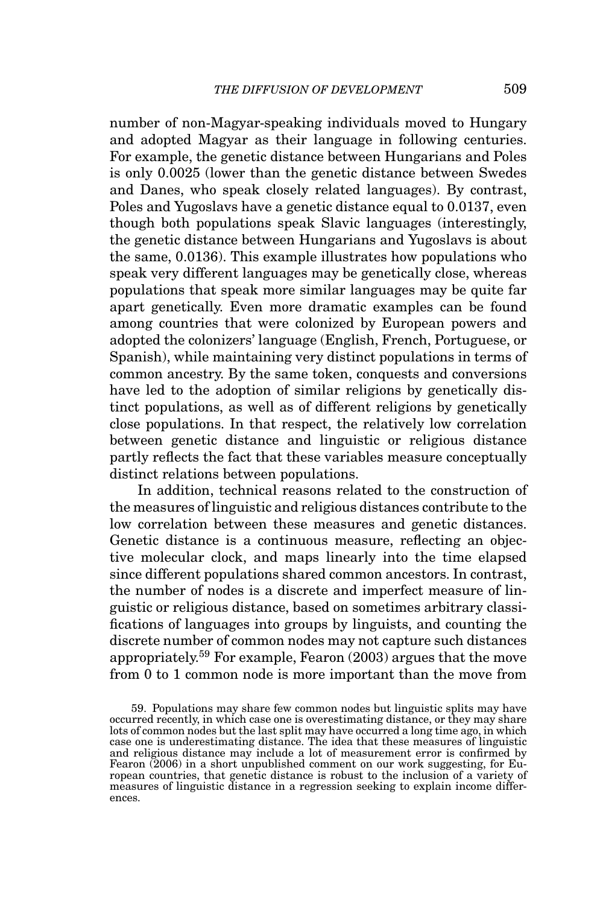number of non-Magyar-speaking individuals moved to Hungary and adopted Magyar as their language in following centuries. For example, the genetic distance between Hungarians and Poles is only 0.0025 (lower than the genetic distance between Swedes and Danes, who speak closely related languages). By contrast, Poles and Yugoslavs have a genetic distance equal to 0.0137, even though both populations speak Slavic languages (interestingly, the genetic distance between Hungarians and Yugoslavs is about the same, 0.0136). This example illustrates how populations who speak very different languages may be genetically close, whereas populations that speak more similar languages may be quite far apart genetically. Even more dramatic examples can be found among countries that were colonized by European powers and adopted the colonizers' language (English, French, Portuguese, or Spanish), while maintaining very distinct populations in terms of common ancestry. By the same token, conquests and conversions have led to the adoption of similar religions by genetically distinct populations, as well as of different religions by genetically close populations. In that respect, the relatively low correlation between genetic distance and linguistic or religious distance partly reflects the fact that these variables measure conceptually distinct relations between populations.

In addition, technical reasons related to the construction of the measures of linguistic and religious distances contribute to the low correlation between these measures and genetic distances. Genetic distance is a continuous measure, reflecting an objective molecular clock, and maps linearly into the time elapsed since different populations shared common ancestors. In contrast, the number of nodes is a discrete and imperfect measure of linguistic or religious distance, based on sometimes arbitrary classifications of languages into groups by linguists, and counting the discrete number of common nodes may not capture such distances appropriately.59 For example, Fearon (2003) argues that the move from 0 to 1 common node is more important than the move from

<sup>59.</sup> Populations may share few common nodes but linguistic splits may have occurred recently, in which case one is overestimating distance, or they may share lots of common nodes but the last split may have occurred a long time ago, in which<br>case one is underestimating distance. The idea that these measures of linguistic<br>and religious distance may include a lot of measurement e Fearon (2006) in a short unpublished comment on our work suggesting, for European countries, that genetic distance is robust to the inclusion of a variety of measures of linguistic distance in a regression seeking to explain income differences.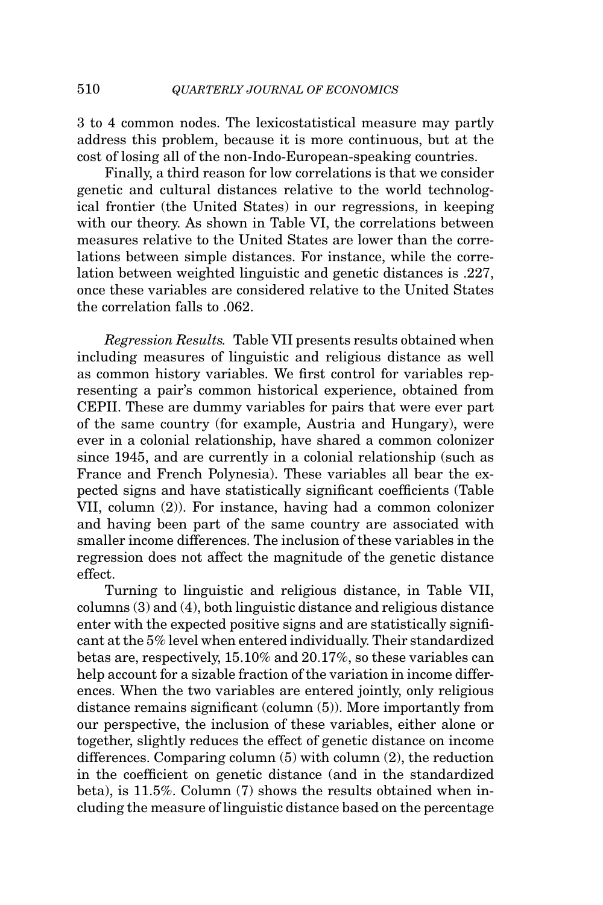3 to 4 common nodes. The lexicostatistical measure may partly address this problem, because it is more continuous, but at the cost of losing all of the non-Indo-European-speaking countries.

Finally, a third reason for low correlations is that we consider genetic and cultural distances relative to the world technological frontier (the United States) in our regressions, in keeping with our theory. As shown in Table VI, the correlations between measures relative to the United States are lower than the correlations between simple distances. For instance, while the correlation between weighted linguistic and genetic distances is .227, once these variables are considered relative to the United States the correlation falls to .062.

*Regression Results.* Table VII presents results obtained when including measures of linguistic and religious distance as well as common history variables. We first control for variables representing a pair's common historical experience, obtained from CEPII. These are dummy variables for pairs that were ever part of the same country (for example, Austria and Hungary), were ever in a colonial relationship, have shared a common colonizer since 1945, and are currently in a colonial relationship (such as France and French Polynesia). These variables all bear the expected signs and have statistically significant coefficients (Table VII, column (2)). For instance, having had a common colonizer and having been part of the same country are associated with smaller income differences. The inclusion of these variables in the regression does not affect the magnitude of the genetic distance effect.

Turning to linguistic and religious distance, in Table VII, columns (3) and (4), both linguistic distance and religious distance enter with the expected positive signs and are statistically significant at the 5% level when entered individually. Their standardized betas are, respectively, 15.10% and 20.17%, so these variables can help account for a sizable fraction of the variation in income differences. When the two variables are entered jointly, only religious distance remains significant (column (5)). More importantly from our perspective, the inclusion of these variables, either alone or together, slightly reduces the effect of genetic distance on income differences. Comparing column (5) with column (2), the reduction in the coefficient on genetic distance (and in the standardized beta), is 11.5%. Column (7) shows the results obtained when including the measure of linguistic distance based on the percentage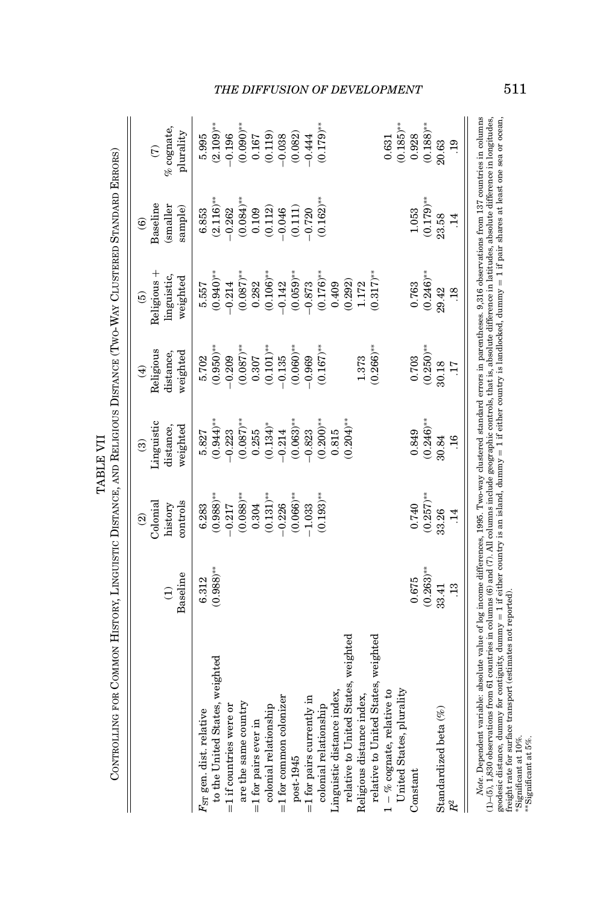|                                                                                                                                                                                                                                                                                                                                                                                                                                                                                                                                                                                                                                                                                | Baseline      | controls<br>Colonial<br>history<br>$\widehat{\mathfrak{D}}$ | inguistic<br>weighted<br>distance,<br>ම | Religious<br>weighted<br>distance,<br>$\overline{4}$ | Religious +<br>linguistic,<br>weighted<br>$\widehat{e}$ | Baseline<br>(smaller<br>sample)<br>$\widehat{\mathbf{e}}$            | $\%$ cognate,<br>$_{\rm plurality}$<br>$\widehat{c}$      |
|--------------------------------------------------------------------------------------------------------------------------------------------------------------------------------------------------------------------------------------------------------------------------------------------------------------------------------------------------------------------------------------------------------------------------------------------------------------------------------------------------------------------------------------------------------------------------------------------------------------------------------------------------------------------------------|---------------|-------------------------------------------------------------|-----------------------------------------|------------------------------------------------------|---------------------------------------------------------|----------------------------------------------------------------------|-----------------------------------------------------------|
| Fsr gen. dist. relative                                                                                                                                                                                                                                                                                                                                                                                                                                                                                                                                                                                                                                                        | 6.312         | 6.283                                                       | 5.827                                   | 5.702                                                | 5.557                                                   | 6.853                                                                | 5.995                                                     |
| to the United States, weighted                                                                                                                                                                                                                                                                                                                                                                                                                                                                                                                                                                                                                                                 | $(0.988)$ **  | $(0.988)$ **                                                | $(0.944)$ **                            | $(0.950)$ **                                         | $(0.940)$ **                                            | $(2.116)$ **                                                         | $(2.109)$ **                                              |
| $=1$ if countries were or                                                                                                                                                                                                                                                                                                                                                                                                                                                                                                                                                                                                                                                      |               | $-0.217$                                                    | $-0.223$                                | $-0.209$                                             | $-0.214$                                                | $-0.262$                                                             |                                                           |
| are the same country                                                                                                                                                                                                                                                                                                                                                                                                                                                                                                                                                                                                                                                           |               | $(0.088)$ **                                                | $(0.087)$ **                            | $(0.087)$ **                                         | $(0.087)^{**}$                                          | $(0.084)$ **                                                         | $-0.196$<br>(0.090)**                                     |
| =1 for pairs ever in                                                                                                                                                                                                                                                                                                                                                                                                                                                                                                                                                                                                                                                           |               | 0.304                                                       | 0.255                                   | 0.307                                                | 0.282                                                   | 0.109                                                                |                                                           |
| colonial relationship                                                                                                                                                                                                                                                                                                                                                                                                                                                                                                                                                                                                                                                          |               | $(0.131)***$<br>-0.226                                      | $(0.134)^{*}$                           | $(0.101)$ **                                         | $(0.106)$ **                                            | (0.112)                                                              | $\begin{array}{c} 0.167 \\ (0.119) \\ -0.038 \end{array}$ |
| =1 for common colonizer                                                                                                                                                                                                                                                                                                                                                                                                                                                                                                                                                                                                                                                        |               |                                                             | $-0.214$                                | $-0.135$                                             | $-0.142$                                                | $-0.046$                                                             |                                                           |
| post-1945                                                                                                                                                                                                                                                                                                                                                                                                                                                                                                                                                                                                                                                                      |               | $(0.066)$ **                                                | $(0.063)$ **                            | $(0.060)$ **                                         | $(0.059)$ **                                            | (0.111)                                                              | (0.082)                                                   |
| $=1$ for pairs currently in                                                                                                                                                                                                                                                                                                                                                                                                                                                                                                                                                                                                                                                    |               | $-1.033$                                                    | $-0.823$                                | $-0.969$                                             | $-0.873$<br>$(0.176)$ **                                | $-0.720$                                                             | $-0.444$                                                  |
| colonial relationship                                                                                                                                                                                                                                                                                                                                                                                                                                                                                                                                                                                                                                                          |               | $(0.193)$ **                                                | $(0.200)$ **                            | $(0.167)$ **                                         |                                                         | $(0.162)$ **                                                         | $(0.179)$ **                                              |
| Linguistic distance index                                                                                                                                                                                                                                                                                                                                                                                                                                                                                                                                                                                                                                                      |               |                                                             | 0.815                                   |                                                      | 0.409                                                   |                                                                      |                                                           |
| relative to United States, weighted                                                                                                                                                                                                                                                                                                                                                                                                                                                                                                                                                                                                                                            |               |                                                             | $0.204$ <sup>**</sup>                   |                                                      | (0.292)                                                 |                                                                      |                                                           |
| Religious distance index,                                                                                                                                                                                                                                                                                                                                                                                                                                                                                                                                                                                                                                                      |               |                                                             |                                         | 1.373                                                | 1.172                                                   |                                                                      |                                                           |
| relative to United States, weighted                                                                                                                                                                                                                                                                                                                                                                                                                                                                                                                                                                                                                                            |               |                                                             |                                         | $(0.266)$ **                                         | $(0.317)$ **                                            |                                                                      |                                                           |
| $1 - \%$ cognate, relative to                                                                                                                                                                                                                                                                                                                                                                                                                                                                                                                                                                                                                                                  |               |                                                             |                                         |                                                      |                                                         |                                                                      |                                                           |
| United States, plurality                                                                                                                                                                                                                                                                                                                                                                                                                                                                                                                                                                                                                                                       |               |                                                             |                                         |                                                      |                                                         |                                                                      | $0.631$<br>$(0.185)$ **                                   |
| Constant                                                                                                                                                                                                                                                                                                                                                                                                                                                                                                                                                                                                                                                                       | 0.675         | 0.740                                                       | 0.849                                   |                                                      |                                                         | $\begin{array}{c} 1.053 \\ (0.179) ^{\ast\ast} \\ 23.58 \end{array}$ | 0.928                                                     |
|                                                                                                                                                                                                                                                                                                                                                                                                                                                                                                                                                                                                                                                                                | $(0.263)$ **  | $(0.257)$ **                                                | $(0.246)$ **                            | $0.703$<br>(0.250)**                                 | $\frac{0.763}{(0.246)**}$<br>29.42                      |                                                                      | $(0.188)$ **                                              |
| Standardized beta (%)                                                                                                                                                                                                                                                                                                                                                                                                                                                                                                                                                                                                                                                          | 33.41         | 33.26                                                       | 30.84                                   | 30.18                                                |                                                         |                                                                      | 20.63                                                     |
| $R^2$                                                                                                                                                                                                                                                                                                                                                                                                                                                                                                                                                                                                                                                                          | $\frac{3}{2}$ | $\ddot{14}$                                                 | $\frac{16}{1}$                          | $\overline{17}$                                      | $\overline{.18}$                                        | $\ddot{1}$                                                           | $\frac{1}{2}$                                             |
| Note. Dependent variable: absolute value of log income differences, 1995. Two-way clustered standard errors in parentheses. 9,316 observations from 137 countries in columns<br>$(1-6)$ , 1,830 observations from 61 countries in columns (6) and (7). All columns include geographic controls, that is, absolute difference in latitudes, absolute difference in longitudes,<br>geodesic distance, dummy for contiguity, dummy = 1 if either country is an island, dummy = 1 if either country is landlocked, dummy = 1 if pair shares at least one sea or ocean,<br>freight rate for surface transport (estimates not reported)<br>Significant at 10%<br>**Significant at 5% |               |                                                             |                                         |                                                      |                                                         |                                                                      |                                                           |

DISTANCE (TWO-WAY RELIGIOUS TABLE VII TABLE VII DISTANCE, AND HISTORY, LINGUISTIC THE DIFFUSION OF DEVELOPMENT 511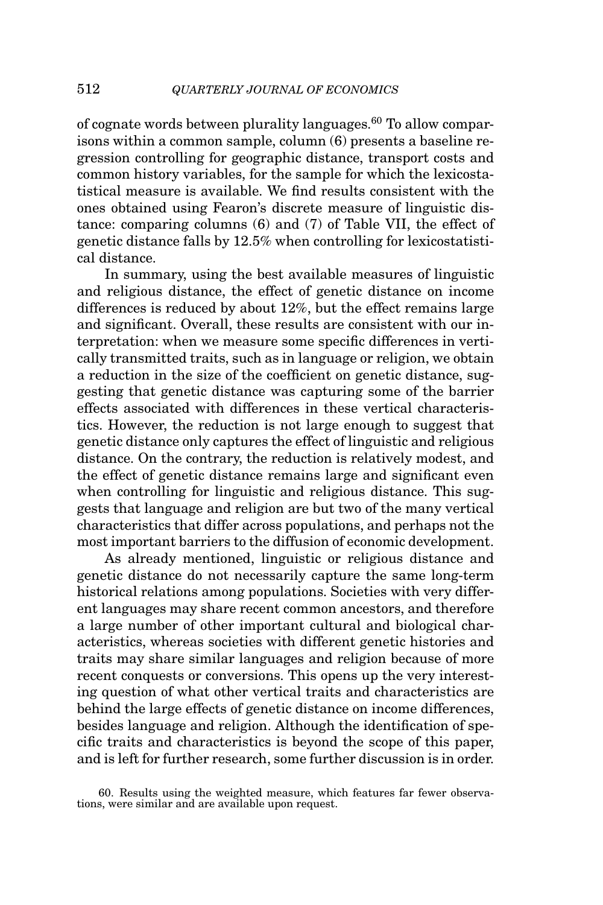of cognate words between plurality languages.<sup>60</sup> To allow comparisons within a common sample, column (6) presents a baseline regression controlling for geographic distance, transport costs and common history variables, for the sample for which the lexicostatistical measure is available. We find results consistent with the ones obtained using Fearon's discrete measure of linguistic distance: comparing columns (6) and (7) of Table VII, the effect of genetic distance falls by 12.5% when controlling for lexicostatistical distance.

In summary, using the best available measures of linguistic and religious distance, the effect of genetic distance on income differences is reduced by about 12%, but the effect remains large and significant. Overall, these results are consistent with our interpretation: when we measure some specific differences in vertically transmitted traits, such as in language or religion, we obtain a reduction in the size of the coefficient on genetic distance, suggesting that genetic distance was capturing some of the barrier effects associated with differences in these vertical characteristics. However, the reduction is not large enough to suggest that genetic distance only captures the effect of linguistic and religious distance. On the contrary, the reduction is relatively modest, and the effect of genetic distance remains large and significant even when controlling for linguistic and religious distance. This suggests that language and religion are but two of the many vertical characteristics that differ across populations, and perhaps not the most important barriers to the diffusion of economic development.

As already mentioned, linguistic or religious distance and genetic distance do not necessarily capture the same long-term historical relations among populations. Societies with very different languages may share recent common ancestors, and therefore a large number of other important cultural and biological characteristics, whereas societies with different genetic histories and traits may share similar languages and religion because of more recent conquests or conversions. This opens up the very interesting question of what other vertical traits and characteristics are behind the large effects of genetic distance on income differences, besides language and religion. Although the identification of specific traits and characteristics is beyond the scope of this paper, and is left for further research, some further discussion is in order.

<sup>60.</sup> Results using the weighted measure, which features far fewer observa-tions, were similar and are available upon request.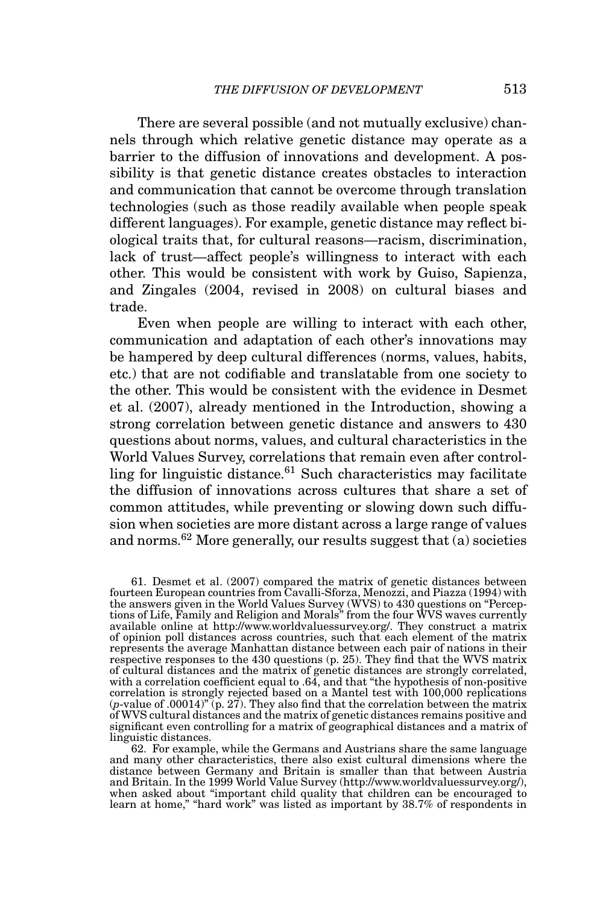There are several possible (and not mutually exclusive) channels through which relative genetic distance may operate as a barrier to the diffusion of innovations and development. A possibility is that genetic distance creates obstacles to interaction and communication that cannot be overcome through translation technologies (such as those readily available when people speak different languages). For example, genetic distance may reflect biological traits that, for cultural reasons—racism, discrimination, lack of trust—affect people's willingness to interact with each other. This would be consistent with work by Guiso, Sapienza, and Zingales (2004, revised in 2008) on cultural biases and trade.

Even when people are willing to interact with each other, communication and adaptation of each other's innovations may be hampered by deep cultural differences (norms, values, habits, etc.) that are not codifiable and translatable from one society to the other. This would be consistent with the evidence in Desmet et al. (2007), already mentioned in the Introduction, showing a strong correlation between genetic distance and answers to 430 questions about norms, values, and cultural characteristics in the World Values Survey, correlations that remain even after controlling for linguistic distance. $61$  Such characteristics may facilitate the diffusion of innovations across cultures that share a set of common attitudes, while preventing or slowing down such diffusion when societies are more distant across a large range of values and norms.<sup>62</sup> More generally, our results suggest that (a) societies

61. Desmet et al. (2007) compared the matrix of genetic distances between fourteen European countries from Cavalli-Sforza, Menozzi, and Piazza (1994) with<br>the answers given in the World Values Survey (WVS) to 430 questions on "Percep-<br>tions of Life, Family and Religion and Morals" from the four of opinion poll distances across countries, such that each element of the matrix represents the average Manhattan distance between each pair of nations in their respective responses to the 430 questions (p. 25). They find that the WVS matrix of cultural distances and the matrix of genetic distances are strongly correlated,<br>with a correlation coefficient equal to .64, and that "the hypothesis of non-positive<br>correlation is strongly rejected based on a Mantel te  $(p$ -value of .00014)<sup>"</sup> (p. 27). They also find that the correlation between the matrix of WVS cultural distances and the matrix of genetic distances remains positive and significant even controlling for a matrix of geographical distances and a matrix of linguistic distances.

62. For example, while the Germans and Austrians share the same language and many other characteristics, there also exist cultural dimensions where the distance between Germany and Britain is smaller than that between Austria and Britain. In the 1999 World Value Survey (http://www.worldvaluessurvey.org/), when asked about "important child quality that children can be encouraged to learn at home," "hard work" was listed as important by 38.7% of respondents in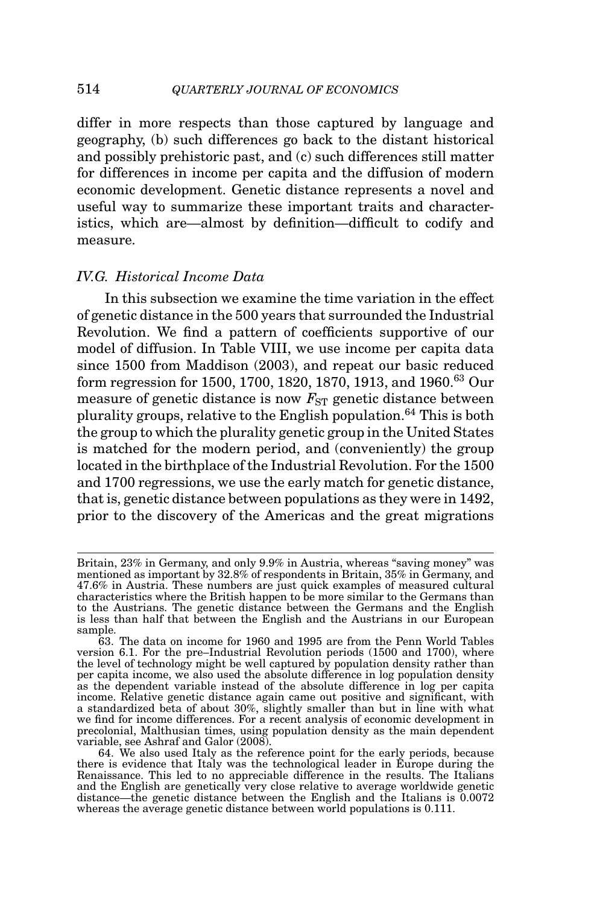#### 514 *QUARTERLY JOURNAL OF ECONOMICS*

differ in more respects than those captured by language and geography, (b) such differences go back to the distant historical and possibly prehistoric past, and (c) such differences still matter for differences in income per capita and the diffusion of modern economic development. Genetic distance represents a novel and useful way to summarize these important traits and characteristics, which are—almost by definition—difficult to codify and measure.

## *IV.G. Historical Income Data*

In this subsection we examine the time variation in the effect of genetic distance in the 500 years that surrounded the Industrial Revolution. We find a pattern of coefficients supportive of our model of diffusion. In Table VIII, we use income per capita data since 1500 from Maddison (2003), and repeat our basic reduced form regression for 1500, 1700, 1820, 1870, 1913, and 1960.63 Our measure of genetic distance is now  $F_{ST}$  genetic distance between plurality groups, relative to the English population.<sup>64</sup> This is both the group to which the plurality genetic group in the United States is matched for the modern period, and (conveniently) the group located in the birthplace of the Industrial Revolution. For the 1500 and 1700 regressions, we use the early match for genetic distance, that is, genetic distance between populations as they were in 1492, prior to the discovery of the Americas and the great migrations

Britain, 23% in Germany, and only 9.9% in Austria, whereas "saving money" was mentioned as important by 32.8% of respondents in Britain, 35% in Germany, and 47.6% in Austria. These numbers are just quick examples of measured cultural characteristics where the British happen to be more similar to the Germans than to the Austrians. The genetic distance between the Germans and the English is less than half that between the English and the Austrians in our European sample.

<sup>63.</sup> The data on income for 1960 and 1995 are from the Penn World Tables version 6.1. For the pre–Industrial Revolution periods (1500 and 1700), where the level of technology might be well captured by population density rather than per capita income, we also used the absolute difference in log population density as the dependent variable instead of the absolute difference in log per capita income. Relative genetic distance again came out positive and significant, with a standardized beta of about 30%, slightly smaller than but in line with what we find for income differences. For a recent analysis of economic development in precolonial, Malthusian times, using population density as the main dependent variable, see Ashraf and Galor (2008).

<sup>64.</sup> We also used Italy as the reference point for the early periods, because there is evidence that Italy was the technological leader in Europe during the Renaissance. This led to no appreciable difference in the results. The Italians and the English are genetically very close relative to average worldwide genetic distance—the genetic distance between the English and the Italians is 0.0072 whereas the average genetic distance between world populations is 0.111.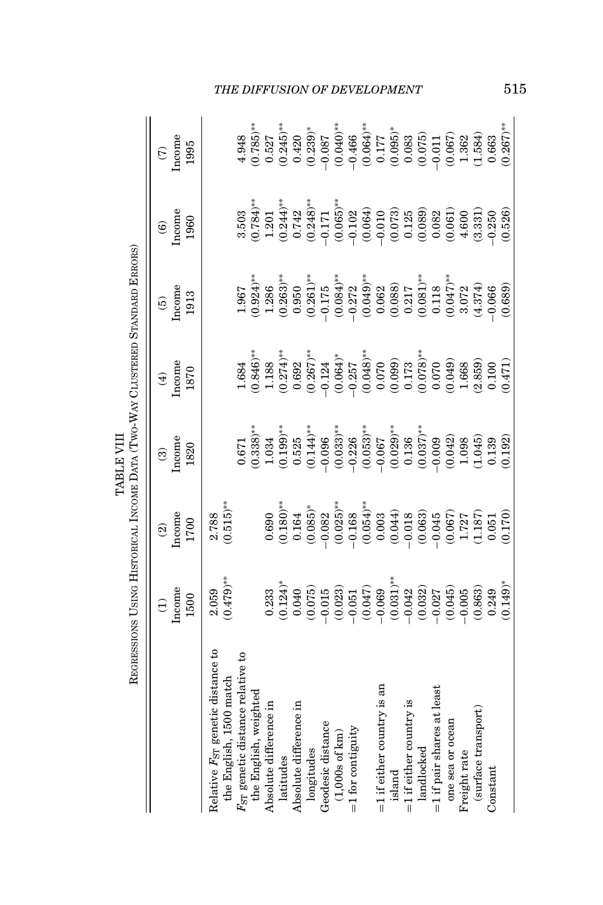|                                              | Regressions Using Historical Income Data (Two-Way Clustered Standard Errors)                                             |                                                                                                                                                                                                                                                                                                     |                                                                                                                                                                                                                                                                     |                                                                                                                                                                                                                                                                                                                                                                                                                             |                                                                                                                                                                                                                                                                                               |                                                    |                                                                                                                                                                                          |
|----------------------------------------------|--------------------------------------------------------------------------------------------------------------------------|-----------------------------------------------------------------------------------------------------------------------------------------------------------------------------------------------------------------------------------------------------------------------------------------------------|---------------------------------------------------------------------------------------------------------------------------------------------------------------------------------------------------------------------------------------------------------------------|-----------------------------------------------------------------------------------------------------------------------------------------------------------------------------------------------------------------------------------------------------------------------------------------------------------------------------------------------------------------------------------------------------------------------------|-----------------------------------------------------------------------------------------------------------------------------------------------------------------------------------------------------------------------------------------------------------------------------------------------|----------------------------------------------------|------------------------------------------------------------------------------------------------------------------------------------------------------------------------------------------|
|                                              | $\ominus$                                                                                                                | $\widehat{\mathfrak{D}}$                                                                                                                                                                                                                                                                            | $\widehat{\mathfrak{G}}$                                                                                                                                                                                                                                            | $\bigoplus$                                                                                                                                                                                                                                                                                                                                                                                                                 | $\widehat{\mathfrak{G}}$                                                                                                                                                                                                                                                                      | $\widehat{\mathfrak{S}}$                           | $\begin{pmatrix} 7 \\ \end{pmatrix}$<br>Income                                                                                                                                           |
|                                              | Income                                                                                                                   | Income                                                                                                                                                                                                                                                                                              | Income                                                                                                                                                                                                                                                              | Income                                                                                                                                                                                                                                                                                                                                                                                                                      | Income                                                                                                                                                                                                                                                                                        | Income                                             |                                                                                                                                                                                          |
|                                              | 1500                                                                                                                     | 1700                                                                                                                                                                                                                                                                                                | 1820                                                                                                                                                                                                                                                                | 1870                                                                                                                                                                                                                                                                                                                                                                                                                        | 1913                                                                                                                                                                                                                                                                                          | 1960                                               | 1995                                                                                                                                                                                     |
| Relative F <sub>ST</sub> genetic distance to | 2.059                                                                                                                    | 2.788                                                                                                                                                                                                                                                                                               |                                                                                                                                                                                                                                                                     |                                                                                                                                                                                                                                                                                                                                                                                                                             |                                                                                                                                                                                                                                                                                               |                                                    |                                                                                                                                                                                          |
| the English, 1500 match                      | (6270)                                                                                                                   | $(0.515)$ **                                                                                                                                                                                                                                                                                        |                                                                                                                                                                                                                                                                     |                                                                                                                                                                                                                                                                                                                                                                                                                             |                                                                                                                                                                                                                                                                                               |                                                    |                                                                                                                                                                                          |
| $F_{ST}$ genetic distance relative to        |                                                                                                                          |                                                                                                                                                                                                                                                                                                     |                                                                                                                                                                                                                                                                     |                                                                                                                                                                                                                                                                                                                                                                                                                             |                                                                                                                                                                                                                                                                                               |                                                    |                                                                                                                                                                                          |
| the English, weighted                        |                                                                                                                          |                                                                                                                                                                                                                                                                                                     |                                                                                                                                                                                                                                                                     | $\begin{array}{c} 1.684 \\ 0.846) \\ 1.188 \\ 1.188 \\ 0.274) \\ \end{array}$                                                                                                                                                                                                                                                                                                                                               |                                                                                                                                                                                                                                                                                               | $^{3.503}_{(0.784)**}$                             | $4.948$<br>(0.785)**                                                                                                                                                                     |
| Absolute difference in                       |                                                                                                                          |                                                                                                                                                                                                                                                                                                     |                                                                                                                                                                                                                                                                     |                                                                                                                                                                                                                                                                                                                                                                                                                             |                                                                                                                                                                                                                                                                                               |                                                    |                                                                                                                                                                                          |
| latitudes                                    | $\begin{array}{c} 0.233 \ 0.124)^* \ 0.040 \end{array}$                                                                  |                                                                                                                                                                                                                                                                                                     |                                                                                                                                                                                                                                                                     |                                                                                                                                                                                                                                                                                                                                                                                                                             |                                                                                                                                                                                                                                                                                               | $\begin{array}{c} 1.201 \\ (0.244) \end{array}$ ** | $\frac{0.527}{(0.245) }$<br>**<br>0.420                                                                                                                                                  |
| Absolute difference in                       |                                                                                                                          |                                                                                                                                                                                                                                                                                                     |                                                                                                                                                                                                                                                                     |                                                                                                                                                                                                                                                                                                                                                                                                                             |                                                                                                                                                                                                                                                                                               |                                                    |                                                                                                                                                                                          |
| longitudes                                   |                                                                                                                          |                                                                                                                                                                                                                                                                                                     |                                                                                                                                                                                                                                                                     |                                                                                                                                                                                                                                                                                                                                                                                                                             |                                                                                                                                                                                                                                                                                               |                                                    |                                                                                                                                                                                          |
| Geodesic distance                            |                                                                                                                          |                                                                                                                                                                                                                                                                                                     |                                                                                                                                                                                                                                                                     |                                                                                                                                                                                                                                                                                                                                                                                                                             |                                                                                                                                                                                                                                                                                               |                                                    |                                                                                                                                                                                          |
| $(1,000s$ of $km)$                           | $(0.075)$ $(0.015)$ $(0.023)$ $(0.031)$ $(0.047)$ $(0.047)$ $(0.031)$ $(0.031)$ $(0.032)$ $(0.0332)$ $(0.045)$ $(0.045)$ | $\begin{array}{c} 690 \\ 0.180 \\ 0.160 \\ 0.080 \\ 0.000 \\ 0.000 \\ 0.000 \\ 0.000 \\ 0.000 \\ 0.000 \\ 0.000 \\ 0.000 \\ 0.000 \\ 0.000 \\ 0.000 \\ 0.000 \\ 0.000 \\ 0.000 \\ 0.000 \\ 0.000 \\ 0.000 \\ 0.000 \\ 0.000 \\ 0.000 \\ 0.000 \\ 0.000 \\ 0.000 \\ 0.000 \\ 0.000 \\ 0.000 \\ 0.00$ | $\begin{array}{cccc} 0.671 & 0.383^*\\ 0.3383^* & 0.034 & 0.034\\ 0.0394 & 0.0199^*\\ 0.01935 & 0.025\\ 0.0144 & 0.096\\ 0.00000 & 0.00000\\ 0.00000 & 0.00000\\ 0.00000 & 0.00000\\ 0.00000 & 0.00000\\ 0.00000 & 0.0000\\ 0.00000 & 0.0000\\ 0.00000 & 0.0000\\ $ | $\begin{array}{l} \left(0.267\right)^{**} \\ \left(0.124\right) \\ \left(0.064\right)^{*} \\ \left(0.064\right)^{*} \\ \left(0.064\right)^{*} \\ \left(0.048\right)^{*} \\ \left(0.070\right) \\ \left(0.070\right) \\ \left(0.078\right)^{**} \\ \left(0.076\right)^{*} \\ \left(0.076\right)^{*} \\ \left(0.049\right) \\ \left(0.049\right) \\ \left(0.049\right) \\ \left(0.049\right) \\ \left(0.049\right) \\ \left($ | $\begin{array}{l} 1.967\\[-4pt] 0.924)\\[-4pt] 0.286\\[-4pt] 0.263)\\[-4pt] 0.263)\\[-4pt] 0.263)\\[-4pt] 0.263)\\[-4pt] 0.263)\\[-4pt] 0.263)\\[-4pt] 0.263)\\[-4pt] 0.263)\\[-4pt] 0.263)\\[-4pt] 0.263)\\[-4pt] 0.263)\\[-4pt] 0.263)\\[-4pt] 0.263)\\[-4pt] 0.263)\\[-4pt] 0.263)\\[-4pt$ |                                                    | $\begin{array}{l} (0.239)^*\\ -0.087\\ -0.064\\ (0.040)^*\\ (0.064)^*\\ (0.064)^*\\ (0.064)^*\\ (0.064)^*\\ (0.005)^*\\ (0.0075)\\ (0.0075)\\ (1.087)\\ (1.084)\\ (1.084)\\ \end{array}$ |
| $=1$ for contiguity                          |                                                                                                                          |                                                                                                                                                                                                                                                                                                     |                                                                                                                                                                                                                                                                     |                                                                                                                                                                                                                                                                                                                                                                                                                             |                                                                                                                                                                                                                                                                                               |                                                    |                                                                                                                                                                                          |
|                                              |                                                                                                                          |                                                                                                                                                                                                                                                                                                     |                                                                                                                                                                                                                                                                     |                                                                                                                                                                                                                                                                                                                                                                                                                             |                                                                                                                                                                                                                                                                                               |                                                    |                                                                                                                                                                                          |
| $=1$ if either country is an                 |                                                                                                                          |                                                                                                                                                                                                                                                                                                     |                                                                                                                                                                                                                                                                     |                                                                                                                                                                                                                                                                                                                                                                                                                             |                                                                                                                                                                                                                                                                                               |                                                    |                                                                                                                                                                                          |
| island                                       |                                                                                                                          |                                                                                                                                                                                                                                                                                                     |                                                                                                                                                                                                                                                                     |                                                                                                                                                                                                                                                                                                                                                                                                                             |                                                                                                                                                                                                                                                                                               |                                                    |                                                                                                                                                                                          |
| $=1$ if either country is                    |                                                                                                                          |                                                                                                                                                                                                                                                                                                     |                                                                                                                                                                                                                                                                     |                                                                                                                                                                                                                                                                                                                                                                                                                             |                                                                                                                                                                                                                                                                                               |                                                    |                                                                                                                                                                                          |
| landlocked                                   |                                                                                                                          |                                                                                                                                                                                                                                                                                                     |                                                                                                                                                                                                                                                                     |                                                                                                                                                                                                                                                                                                                                                                                                                             |                                                                                                                                                                                                                                                                                               |                                                    |                                                                                                                                                                                          |
| =1 if pair shares at least                   |                                                                                                                          |                                                                                                                                                                                                                                                                                                     |                                                                                                                                                                                                                                                                     |                                                                                                                                                                                                                                                                                                                                                                                                                             |                                                                                                                                                                                                                                                                                               |                                                    |                                                                                                                                                                                          |
| one sea or ocean                             |                                                                                                                          |                                                                                                                                                                                                                                                                                                     |                                                                                                                                                                                                                                                                     |                                                                                                                                                                                                                                                                                                                                                                                                                             |                                                                                                                                                                                                                                                                                               |                                                    |                                                                                                                                                                                          |
| Freight rate                                 | $-0.005$                                                                                                                 |                                                                                                                                                                                                                                                                                                     |                                                                                                                                                                                                                                                                     | $\begin{array}{c} 1.668 \\ (2.859) \\ 0.100 \\ (0.471) \end{array}$                                                                                                                                                                                                                                                                                                                                                         |                                                                                                                                                                                                                                                                                               |                                                    |                                                                                                                                                                                          |
| (surface transport)                          | (0.863)                                                                                                                  |                                                                                                                                                                                                                                                                                                     |                                                                                                                                                                                                                                                                     |                                                                                                                                                                                                                                                                                                                                                                                                                             |                                                                                                                                                                                                                                                                                               | (3.331)                                            |                                                                                                                                                                                          |
| Constant                                     | 0.249                                                                                                                    |                                                                                                                                                                                                                                                                                                     | $(1.045)$<br>$0.139$<br>$(0.192)$                                                                                                                                                                                                                                   |                                                                                                                                                                                                                                                                                                                                                                                                                             |                                                                                                                                                                                                                                                                                               | $-0.250$                                           | 0.663                                                                                                                                                                                    |
|                                              | $(0.149)^*$                                                                                                              | (0.170)                                                                                                                                                                                                                                                                                             |                                                                                                                                                                                                                                                                     |                                                                                                                                                                                                                                                                                                                                                                                                                             | (0.689)                                                                                                                                                                                                                                                                                       | (0.526)                                            | $(0.267)$ **                                                                                                                                                                             |

TABLE VIII TABLE VIII

THE DIFFUSION OF DEVELOPMENT 515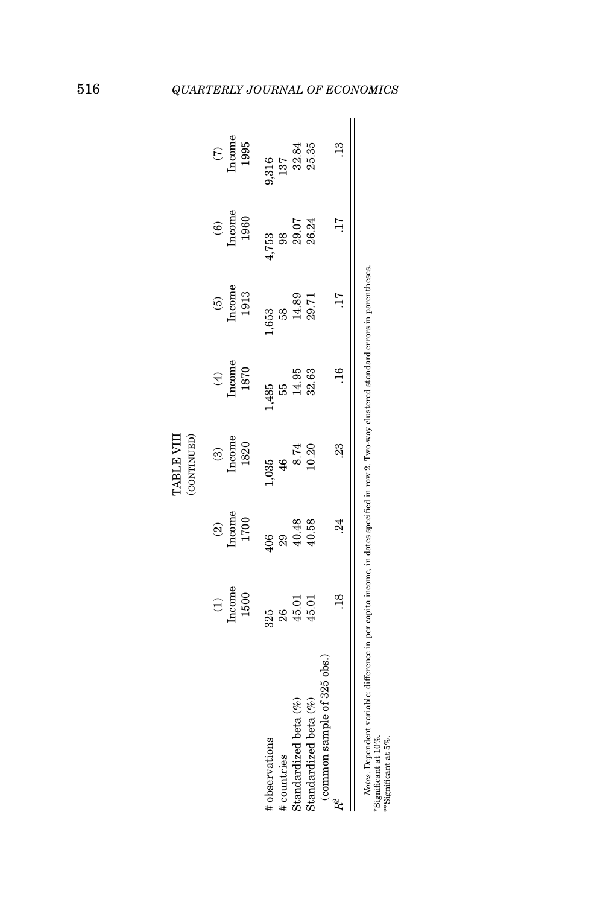|                                                                                                                                                                                           |                |                                 | TABLE VIII<br>(CONTINUED)                |                               |                                 |                                          |                                                        |
|-------------------------------------------------------------------------------------------------------------------------------------------------------------------------------------------|----------------|---------------------------------|------------------------------------------|-------------------------------|---------------------------------|------------------------------------------|--------------------------------------------------------|
|                                                                                                                                                                                           | Income<br>1500 | Income<br>1700<br>$\widehat{S}$ | Income<br>1820<br>$\widehat{\mathbf{e}}$ | Income<br>1870<br>$\bigoplus$ | Income<br>1913<br>$\widehat{e}$ | Income<br>1960<br>$\widehat{\mathbf{e}}$ | $\begin{pmatrix} 7 \\ \end{pmatrix}$<br>Income<br>1995 |
| # observations                                                                                                                                                                            | 325            | 406                             | 035                                      | .485                          | 1.653                           | 4,753                                    |                                                        |
| #countries                                                                                                                                                                                | 26             | 29                              | 46                                       | 55                            | 58                              | 98                                       | 9,316<br>137                                           |
| Standardized beta (%)                                                                                                                                                                     | 45.01          | 40.48                           | 8.74                                     | 14.95                         |                                 |                                          |                                                        |
| Standardized beta (%)                                                                                                                                                                     | 45.01          | 40.58                           | 10.20                                    | 32.63                         | 14.89<br>29.71                  | 29.07<br>26.24                           | 32.84<br>25.35                                         |
| (common sample of 325 obs.)                                                                                                                                                               |                |                                 |                                          |                               |                                 |                                          |                                                        |
| $R^2$                                                                                                                                                                                     | $\frac{8}{1}$  | $\frac{24}{3}$                  | 23                                       | $\frac{6}{1}$                 |                                 | $\overline{17}$                          | $\mathbf{r}_3$                                         |
| Notes. Dependent variable: difference in per capita income, in dates specified in row 2. Two-way clustered standard errors in parentheses.<br>Significant at 10%.<br>**Significant at 5%. |                |                                 |                                          |                               |                                 |                                          |                                                        |

\*Significant at 10%.<br>\*\*Significant at 5%.

# 516 *QUARTERLY JOURNAL OF ECONOMICS*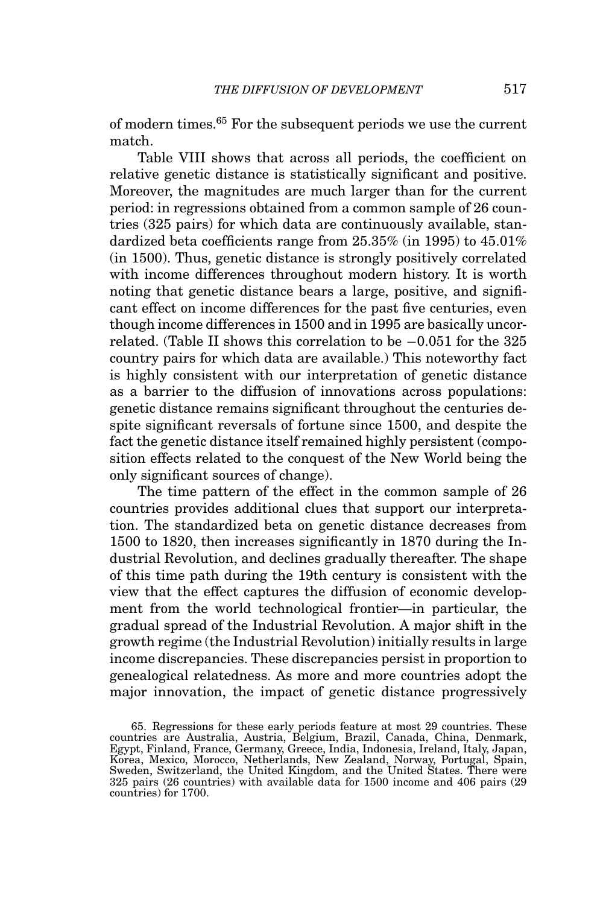of modern times.<sup>65</sup> For the subsequent periods we use the current match.

Table VIII shows that across all periods, the coefficient on relative genetic distance is statistically significant and positive. Moreover, the magnitudes are much larger than for the current period: in regressions obtained from a common sample of 26 countries (325 pairs) for which data are continuously available, standardized beta coefficients range from 25.35% (in 1995) to 45.01% (in 1500). Thus, genetic distance is strongly positively correlated with income differences throughout modern history. It is worth noting that genetic distance bears a large, positive, and significant effect on income differences for the past five centuries, even though income differences in 1500 and in 1995 are basically uncorrelated. (Table II shows this correlation to be −0.051 for the 325 country pairs for which data are available.) This noteworthy fact is highly consistent with our interpretation of genetic distance as a barrier to the diffusion of innovations across populations: genetic distance remains significant throughout the centuries despite significant reversals of fortune since 1500, and despite the fact the genetic distance itself remained highly persistent (composition effects related to the conquest of the New World being the only significant sources of change).

The time pattern of the effect in the common sample of 26 countries provides additional clues that support our interpretation. The standardized beta on genetic distance decreases from 1500 to 1820, then increases significantly in 1870 during the Industrial Revolution, and declines gradually thereafter. The shape of this time path during the 19th century is consistent with the view that the effect captures the diffusion of economic development from the world technological frontier—in particular, the gradual spread of the Industrial Revolution. A major shift in the growth regime (the Industrial Revolution) initially results in large income discrepancies. These discrepancies persist in proportion to genealogical relatedness. As more and more countries adopt the major innovation, the impact of genetic distance progressively

<sup>65.</sup> Regressions for these early periods feature at most 29 countries. These countries are Australia, Austria, Belgium, Brazil, Canada, China, Denmark,<br>Egypt, Finland, France, Germany, Greece, India, Indonesia, Ireland, Italy, Japan,<br>Korea, Mexico, Morocco, Netherlands, New Zealand, Norway, Portuga countries) for 1700.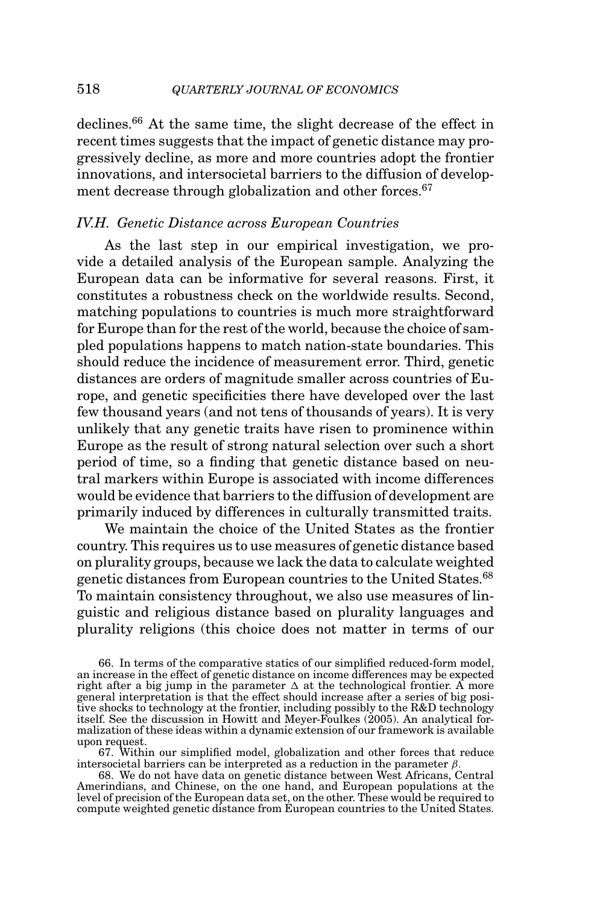declines.<sup>66</sup> At the same time, the slight decrease of the effect in recent times suggests that the impact of genetic distance may progressively decline, as more and more countries adopt the frontier innovations, and intersocietal barriers to the diffusion of development decrease through globalization and other forces.<sup>67</sup>

# *IV.H. Genetic Distance across European Countries*

As the last step in our empirical investigation, we provide a detailed analysis of the European sample. Analyzing the European data can be informative for several reasons. First, it constitutes a robustness check on the worldwide results. Second, matching populations to countries is much more straightforward for Europe than for the rest of the world, because the choice of sampled populations happens to match nation-state boundaries. This should reduce the incidence of measurement error. Third, genetic distances are orders of magnitude smaller across countries of Europe, and genetic specificities there have developed over the last few thousand years (and not tens of thousands of years). It is very unlikely that any genetic traits have risen to prominence within Europe as the result of strong natural selection over such a short period of time, so a finding that genetic distance based on neutral markers within Europe is associated with income differences would be evidence that barriers to the diffusion of development are primarily induced by differences in culturally transmitted traits.

We maintain the choice of the United States as the frontier country. This requires us to use measures of genetic distance based on plurality groups, because we lack the data to calculate weighted genetic distances from European countries to the United States.68 To maintain consistency throughout, we also use measures of linguistic and religious distance based on plurality languages and plurality religions (this choice does not matter in terms of our

67. Within our simplified model, globalization and other forces that reduce intersocietal barriers can be interpreted as a reduction in the parameter  $\beta$ .

68. We do not have data on genetic distance between West Africans, Central Amerindians, and Chinese, on the one hand, and European populations at the level of precision of the European data set, on the other. These would be required to compute weighted genetic distance from European countries to the United States.

<sup>66.</sup> In terms of the comparative statics of our simplified reduced-form model, an increase in the effect of genetic distance on income differences may be expected right after a big jump in the parameter  $\Delta$  at the technological frontier. A more general interpretation is that the effect should increase after a series of big positive shocks to technology at the frontier, including possibly to the R&D technology itself. See the discussion in Howitt and Meyer-Foulkes (2005). An analytical formalization of these ideas within a dynamic extension of our framework is available upon request.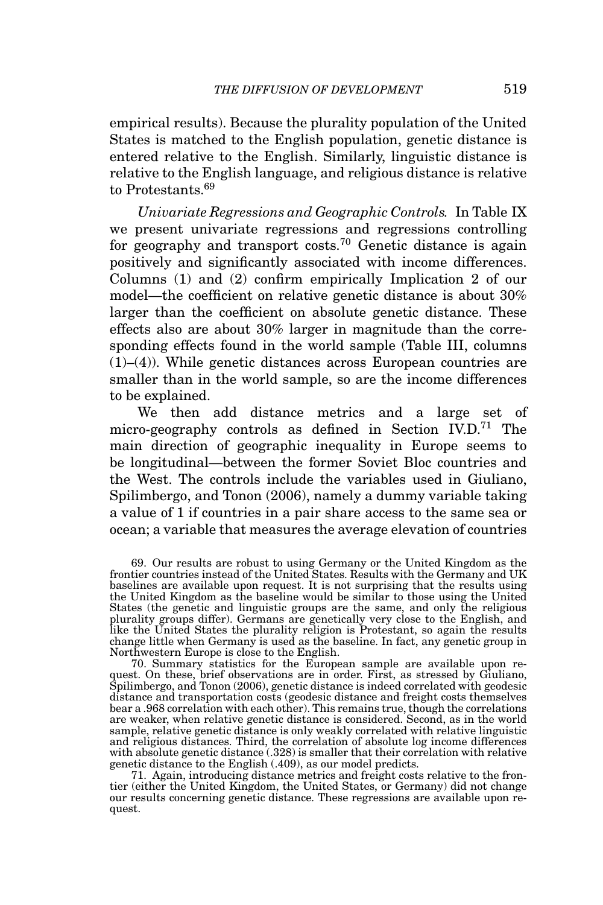empirical results). Because the plurality population of the United States is matched to the English population, genetic distance is entered relative to the English. Similarly, linguistic distance is relative to the English language, and religious distance is relative to Protestants.69

*Univariate Regressions and Geographic Controls.* In Table IX we present univariate regressions and regressions controlling for geography and transport costs.<sup>70</sup> Genetic distance is again positively and significantly associated with income differences. Columns (1) and (2) confirm empirically Implication 2 of our model—the coefficient on relative genetic distance is about 30% larger than the coefficient on absolute genetic distance. These effects also are about 30% larger in magnitude than the corresponding effects found in the world sample (Table III, columns (1)–(4)). While genetic distances across European countries are smaller than in the world sample, so are the income differences to be explained.

We then add distance metrics and a large set of micro-geography controls as defined in Section IV.D.71 The main direction of geographic inequality in Europe seems to be longitudinal—between the former Soviet Bloc countries and the West. The controls include the variables used in Giuliano, Spilimbergo, and Tonon (2006), namely a dummy variable taking a value of 1 if countries in a pair share access to the same sea or ocean; a variable that measures the average elevation of countries

69. Our results are robust to using Germany or the United Kingdom as the frontier countries instead of the United States. Results with the Germany and UK baselines are available upon request. It is not surprising that the results using the United Kingdom as the baseline would be similar to those using the United States (the genetic and linguistic groups are the same, and only the religious plurality groups differ). Germans are genetically very close to the English, and like the United States the plurality religion is Protestant, so again the results change little when Germany is used as the baseline. In fact, any genetic group in Northwestern Europe is close to the English.

70. Summary statistics for the European sample are available upon request. On these, brief observations are in order. First, as stressed by Giuliano, Spilimbergo, and Tonon (2006), genetic distance is indeed correlated wit distance and transportation costs (geodesic distance and freight costs themselves bear a .968 correlation with each other). This remains true, though the correlations are weaker, when relative genetic distance is considered. Second, as in the world sample, relative genetic distance is only weakly correlated with relative linguistic<br>and religious distances. Third, the correlation of absolute log income differences<br>with absolute genetic distance (.328) is smaller that genetic distance to the English (.409), as our model predicts.

71. Again, introducing distance metrics and freight costs relative to the fron-tier (either the United Kingdom, the United States, or Germany) did not change our results concerning genetic distance. These regressions are available upon request.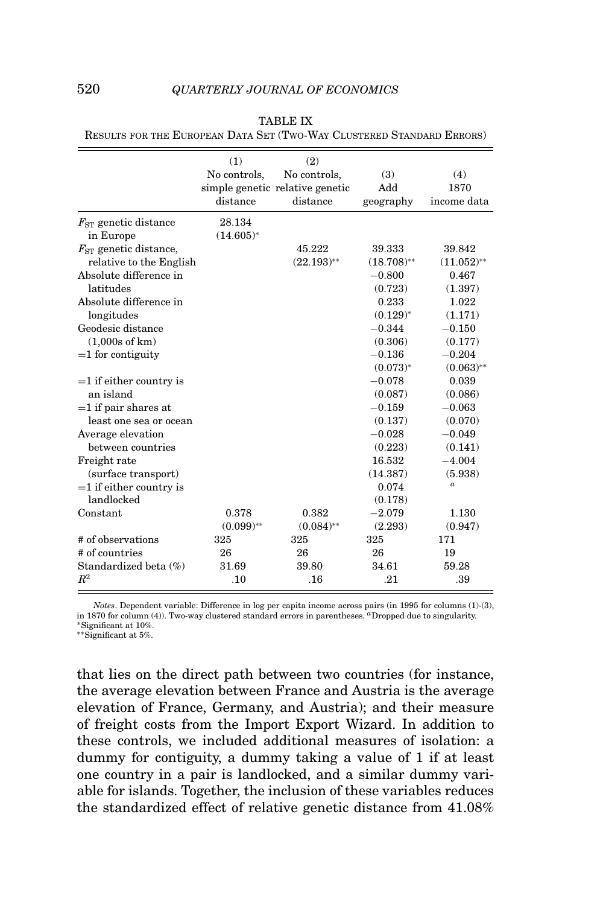|                            | (1)<br>No controls, | (2)<br>No controls,             | (3)           | (4)           |
|----------------------------|---------------------|---------------------------------|---------------|---------------|
|                            |                     | simple genetic relative genetic | Add           | 1870          |
|                            | distance            | distance                        |               | income data   |
|                            |                     |                                 | geography     |               |
| $F_{ST}$ genetic distance  | 28.134              |                                 |               |               |
| in Europe                  | $(14.605)^{*}$      |                                 |               |               |
| $F_{ST}$ genetic distance, |                     | 45.222                          | 39.333        | 39.842        |
| relative to the English    |                     | $(22.193)$ **                   | $(18.708)$ ** | $(11.052)$ ** |
| Absolute difference in     |                     |                                 | $-0.800$      | 0.467         |
| latitudes                  |                     |                                 | (0.723)       | (1.397)       |
| Absolute difference in     |                     |                                 | 0.233         | 1.022         |
| longitudes                 |                     |                                 | $(0.129)^{*}$ | (1.171)       |
| Geodesic distance          |                     |                                 | $-0.344$      | $-0.150$      |
| $(1,000s$ of km $)$        |                     |                                 | (0.306)       | (0.177)       |
| $=1$ for contiguity        |                     |                                 | $-0.136$      | $-0.204$      |
|                            |                     |                                 | $(0.073)^*$   | $(0.063)$ **  |
| $=1$ if either country is  |                     |                                 | $-0.078$      | 0.039         |
| an island                  |                     |                                 | (0.087)       | (0.086)       |
| $=1$ if pair shares at     |                     |                                 | $-0.159$      | $-0.063$      |
| least one sea or ocean     |                     |                                 | (0.137)       | (0.070)       |
| Average elevation          |                     |                                 | $-0.028$      | $-0.049$      |
| between countries          |                     |                                 | (0.223)       | (0.141)       |
| Freight rate               |                     |                                 | 16.532        | $-4.004$      |
| (surface transport)        |                     |                                 | (14.387)      | (5.938)       |
| $=1$ if either country is  |                     |                                 | 0.074         | $\alpha$      |
| landlocked                 |                     |                                 | (0.178)       |               |
| Constant                   | 0.378               | 0.382                           | $-2.079$      | 1.130         |
|                            | $(0.099)$ **        | $(0.084)$ **                    | (2.293)       | (0.947)       |
| # of observations          | 325                 | 325                             | 325           | 171           |
| # of countries             | 26                  | 26                              | 26            | 19            |
| Standardized beta $(\%)$   | 31.69               | 39.80                           | 34.61         | 59.28         |
| $R^2$                      | .10                 | .16                             | .21           | .39           |

| TABLE IX |  |
|----------|--|
|----------|--|

RESULTS FOR THE EUROPEAN DATA SET (TWO-WAY CLUSTERED STANDARD ERRORS)

*Notes*. Dependent variable: Difference in log per capita income across pairs (in 1995 for columns (1)-(3), in 1870 for column (4)). Two-way clustered standard errors in parentheses. <sup>*a*</sup>Dropped due to singularity. *\**Significant at 10%.

∗∗Significant at 5%.

that lies on the direct path between two countries (for instance, the average elevation between France and Austria is the average elevation of France, Germany, and Austria); and their measure of freight costs from the Import Export Wizard. In addition to these controls, we included additional measures of isolation: a dummy for contiguity, a dummy taking a value of 1 if at least one country in a pair is landlocked, and a similar dummy variable for islands. Together, the inclusion of these variables reduces the standardized effect of relative genetic distance from 41.08%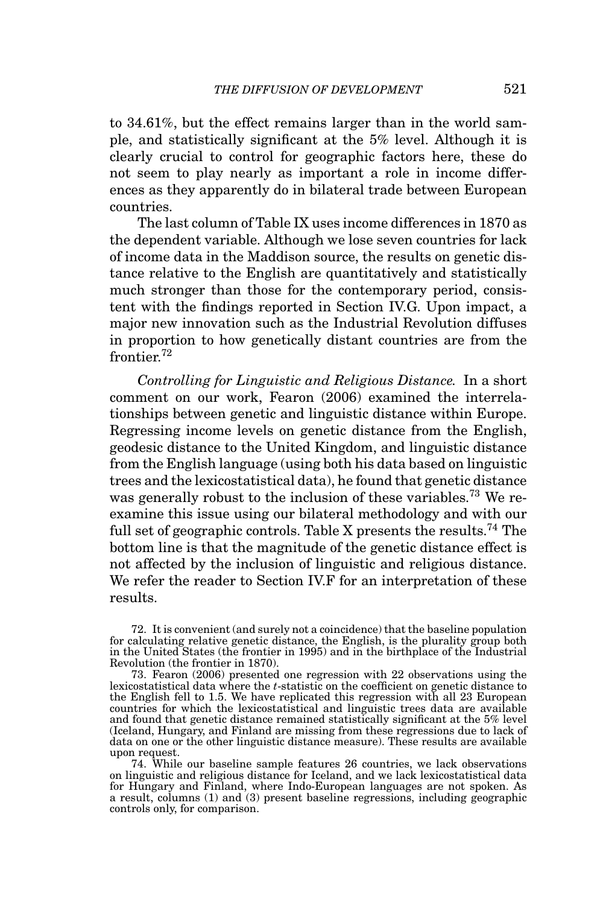to 34.61%, but the effect remains larger than in the world sample, and statistically significant at the 5% level. Although it is clearly crucial to control for geographic factors here, these do not seem to play nearly as important a role in income differences as they apparently do in bilateral trade between European countries.

The last column of Table IX uses income differences in 1870 as the dependent variable. Although we lose seven countries for lack of income data in the Maddison source, the results on genetic distance relative to the English are quantitatively and statistically much stronger than those for the contemporary period, consistent with the findings reported in Section IV.G. Upon impact, a major new innovation such as the Industrial Revolution diffuses in proportion to how genetically distant countries are from the frontier.<sup>72</sup>

*Controlling for Linguistic and Religious Distance.* In a short comment on our work, Fearon (2006) examined the interrelationships between genetic and linguistic distance within Europe. Regressing income levels on genetic distance from the English, geodesic distance to the United Kingdom, and linguistic distance from the English language (using both his data based on linguistic trees and the lexicostatistical data), he found that genetic distance was generally robust to the inclusion of these variables.<sup>73</sup> We reexamine this issue using our bilateral methodology and with our full set of geographic controls. Table X presents the results.<sup>74</sup> The bottom line is that the magnitude of the genetic distance effect is not affected by the inclusion of linguistic and religious distance. We refer the reader to Section IV.F for an interpretation of these results.

72. It is convenient (and surely not a coincidence) that the baseline population for calculating relative genetic distance, the English, is the plurality group both in the United States (the frontier in 1995) and in the birthplace of the Industrial Revolution (the frontier in 1870).

73. Fearon (2006) presented one regression with 22 observations using the lexicostatistical data where the *t*-statistic on the coefficient on genetic distance to the English fell to 1.5. We have replicated this regression with all 23 European countries for which the lexicostatistical and linguistic trees data are available and found that genetic distance remained statistically significant at the 5% level (Iceland, Hungary, and Finland are missing from these regressions due to lack of data on one or the other linguistic distance measure). These results are available upon request.

74. While our baseline sample features 26 countries, we lack observations on linguistic and religious distance for Iceland, and we lack lexicostatistical data for Hungary and Finland, where Indo-European languages are not spoken. As a result, columns (1) and (3) present baseline regressions, including geographic controls only, for comparison.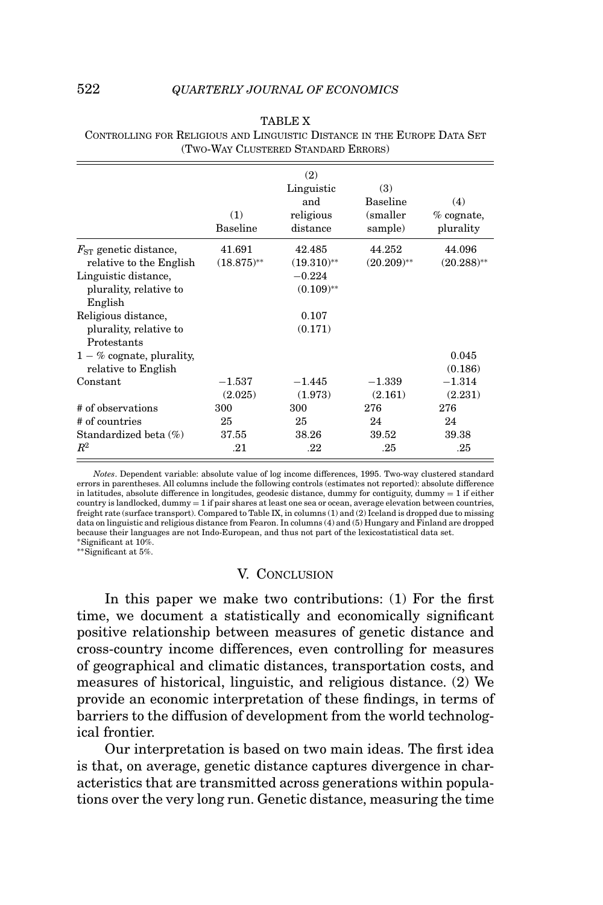|                                                                               | (1)<br>Baseline         | (2)<br>Linguistic<br>and<br>religious<br>distance | (3)<br><b>Baseline</b><br>(smaller<br>sample) | (4)<br>$%$ cognate,<br>plurality |
|-------------------------------------------------------------------------------|-------------------------|---------------------------------------------------|-----------------------------------------------|----------------------------------|
| $F_{ST}$ genetic distance,<br>relative to the English<br>Linguistic distance, | 41.691<br>$(18.875)$ ** | 42.485<br>$(19.310)$ **<br>$-0.224$               | 44 252<br>$(20.209)$ **                       | 44.096<br>$(20.288)$ **          |
| plurality, relative to<br>English                                             |                         | $(0.109)$ **                                      |                                               |                                  |
| Religious distance,<br>plurality, relative to<br>Protestants                  |                         | 0.107<br>(0.171)                                  |                                               |                                  |
| $1 - \%$ cognate, plurality,<br>relative to English                           |                         |                                                   |                                               | 0.045<br>(0.186)                 |
| Constant                                                                      | $-1.537$<br>(2.025)     | $-1.445$<br>(1.973)                               | $-1.339$<br>(2.161)                           | $-1.314$<br>(2.231)              |
| # of observations<br># of countries                                           | 300<br>25               | 300<br>25                                         | 276<br>24                                     | 276<br>24                        |
| Standardized beta (%)<br>$R^2$                                                | 37.55<br>.21            | 38.26<br>.22                                      | 39.52<br>.25                                  | 39.38<br>.25                     |

| TABLE X                                                                  |
|--------------------------------------------------------------------------|
| CONTROLLING FOR RELIGIOUS AND LINGUISTIC DISTANCE IN THE EUROPE DATA SET |
| (TWO-WAY CLUSTERED STANDARD ERRORS)                                      |

*Notes*. Dependent variable: absolute value of log income differences, 1995. Two-way clustered standard errors in parentheses. All columns include the following controls (estimates not reported): absolute difference in latitudes, absolute difference in longitudes, geodesic distance, dummy for contiguity, dummy  $= 1$  if either country is landlocked, dummy = 1 if pair shares at least one sea or ocean, average elevation between countries, freight rate (surface transport). Compared to Table IX, in columns (1) and (2) Iceland is dropped due to missing data on linguistic and religious distance from Fearon. In columns (4) and (5) Hungary and Finland are dropped because their languages are not Indo-European, and thus not part of the lexicostatistical data set. <sup>∗</sup>Significant at 10%.

∗∗Significant at 5%.

# V. CONCLUSION

In this paper we make two contributions: (1) For the first time, we document a statistically and economically significant positive relationship between measures of genetic distance and cross-country income differences, even controlling for measures of geographical and climatic distances, transportation costs, and measures of historical, linguistic, and religious distance. (2) We provide an economic interpretation of these findings, in terms of barriers to the diffusion of development from the world technological frontier.

Our interpretation is based on two main ideas. The first idea is that, on average, genetic distance captures divergence in characteristics that are transmitted across generations within populations over the very long run. Genetic distance, measuring the time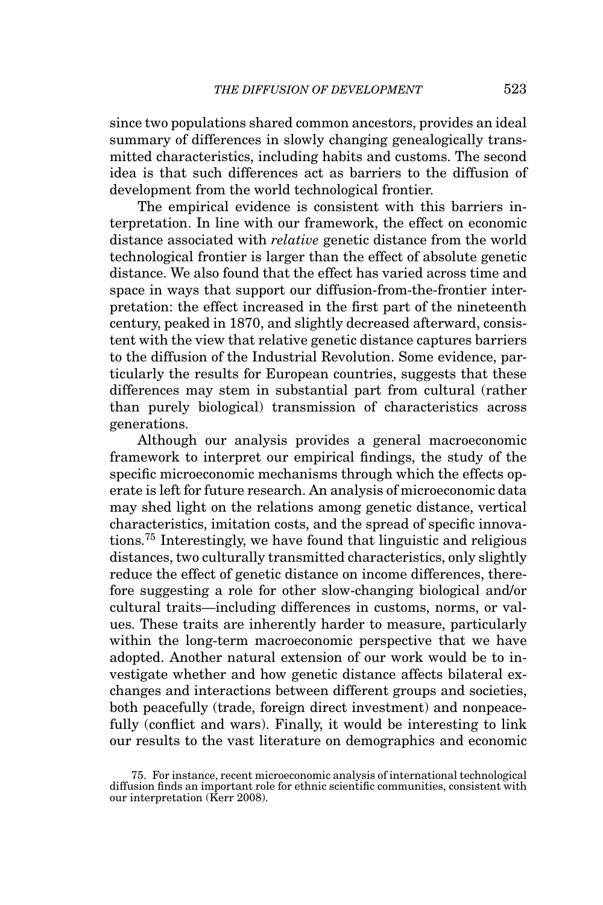since two populations shared common ancestors, provides an ideal summary of differences in slowly changing genealogically transmitted characteristics, including habits and customs. The second idea is that such differences act as barriers to the diffusion of development from the world technological frontier.

The empirical evidence is consistent with this barriers interpretation. In line with our framework, the effect on economic distance associated with *relative* genetic distance from the world technological frontier is larger than the effect of absolute genetic distance. We also found that the effect has varied across time and space in ways that support our diffusion-from-the-frontier interpretation: the effect increased in the first part of the nineteenth century, peaked in 1870, and slightly decreased afterward, consistent with the view that relative genetic distance captures barriers to the diffusion of the Industrial Revolution. Some evidence, particularly the results for European countries, suggests that these differences may stem in substantial part from cultural (rather than purely biological) transmission of characteristics across generations.

Although our analysis provides a general macroeconomic framework to interpret our empirical findings, the study of the specific microeconomic mechanisms through which the effects operate is left for future research. An analysis of microeconomic data may shed light on the relations among genetic distance, vertical characteristics, imitation costs, and the spread of specific innovations.<sup>75</sup> Interestingly, we have found that linguistic and religious distances, two culturally transmitted characteristics, only slightly reduce the effect of genetic distance on income differences, therefore suggesting a role for other slow-changing biological and/or cultural traits—including differences in customs, norms, or values. These traits are inherently harder to measure, particularly within the long-term macroeconomic perspective that we have adopted. Another natural extension of our work would be to investigate whether and how genetic distance affects bilateral exchanges and interactions between different groups and societies, both peacefully (trade, foreign direct investment) and nonpeacefully (conflict and wars). Finally, it would be interesting to link our results to the vast literature on demographics and economic

<sup>75.</sup> For instance, recent microeconomic analysis of international technological diffusion finds an important role for ethnic scientific communities, consistent with our interpretation (Kerr 2008).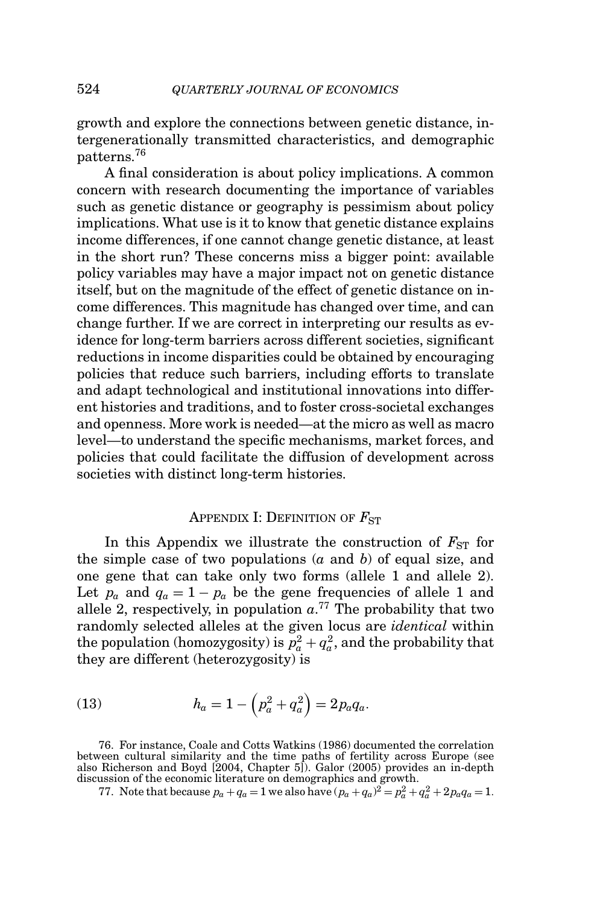growth and explore the connections between genetic distance, intergenerationally transmitted characteristics, and demographic patterns.76

A final consideration is about policy implications. A common concern with research documenting the importance of variables such as genetic distance or geography is pessimism about policy implications. What use is it to know that genetic distance explains income differences, if one cannot change genetic distance, at least in the short run? These concerns miss a bigger point: available policy variables may have a major impact not on genetic distance itself, but on the magnitude of the effect of genetic distance on income differences. This magnitude has changed over time, and can change further. If we are correct in interpreting our results as evidence for long-term barriers across different societies, significant reductions in income disparities could be obtained by encouraging policies that reduce such barriers, including efforts to translate and adapt technological and institutional innovations into different histories and traditions, and to foster cross-societal exchanges and openness. More work is needed—at the micro as well as macro level—to understand the specific mechanisms, market forces, and policies that could facilitate the diffusion of development across societies with distinct long-term histories.

# APPENDIX I: DEFINITION OF  $F_{\rm ST}$

In this Appendix we illustrate the construction of  $F_{ST}$  for the simple case of two populations (*a* and *b*) of equal size, and one gene that can take only two forms (allele 1 and allele 2). Let  $p_a$  and  $q_a = 1 - p_a$  be the gene frequencies of allele 1 and allele 2, respectively, in population  $a^{77}$  The probability that two randomly selected alleles at the given locus are *identical* within the population (homozygosity) is  $p_a^2 + q_a^2$ , and the probability that they are different (heterozygosity) is

(13) 
$$
h_a = 1 - \left( p_a^2 + q_a^2 \right) = 2p_a q_a.
$$

77. Note that because  $p_a + q_a = 1$  we also have  $(p_a + q_a)^2 = p_a^2 + q_a^2 + 2p_aq_a = 1$ .

<sup>76.</sup> For instance, Coale and Cotts Watkins (1986) documented the correlation between cultural similarity and the time paths of fertility across Europe (see also Richerson and Boyd [2004, Chapter 5]). Galor (2005) provides an in-depth discussion of the economic literature on demographics and growth.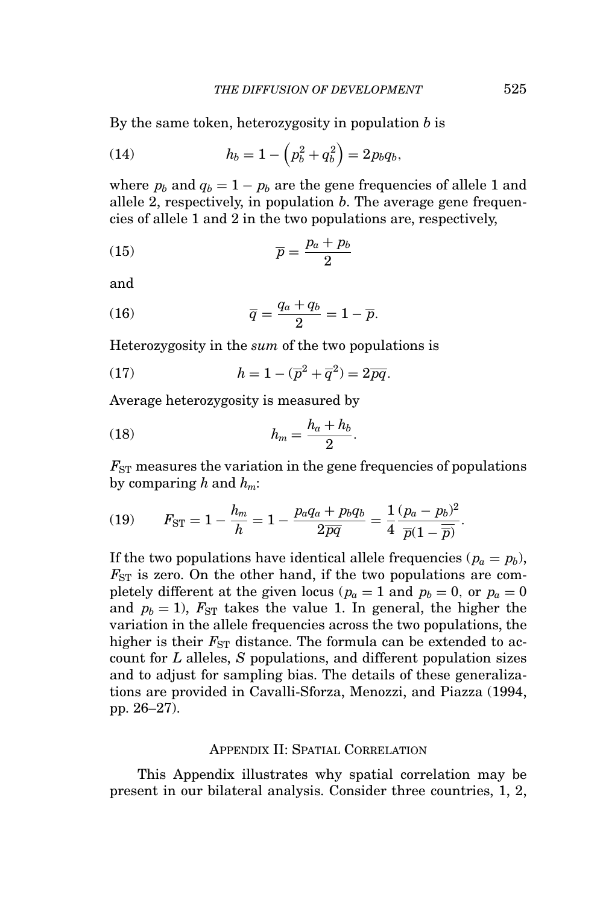By the same token, heterozygosity in population *b* is

(14) 
$$
h_b = 1 - \left(p_b^2 + q_b^2\right) = 2p_bq_b,
$$

where  $p_b$  and  $q_b = 1 - p_b$  are the gene frequencies of allele 1 and allele 2, respectively, in population *b*. The average gene frequencies of allele 1 and 2 in the two populations are, respectively,

$$
\overline{p} = \frac{p_a + p_b}{2}
$$

and

$$
\overline{q} = \frac{q_a + q_b}{2} = 1 - \overline{p}.
$$

Heterozygosity in the *sum* of the two populations is

(17) 
$$
h = 1 - (\overline{p}^2 + \overline{q}^2) = 2\overline{pq}.
$$

Average heterozygosity is measured by

$$
(18) \t\t\t\t h_m = \frac{h_a + h_b}{2}.
$$

 $F_{ST}$  measures the variation in the gene frequencies of populations by comparing *h* and *hm*:

(19) 
$$
F_{ST} = 1 - \frac{h_m}{h} = 1 - \frac{p_a q_a + p_b q_b}{2 \overline{pq}} = \frac{1}{4} \frac{(p_a - p_b)^2}{\overline{p}(1 - \overline{p})}.
$$

If the two populations have identical allele frequencies ( $p_a = p_b$ ),  $F_{ST}$  is zero. On the other hand, if the two populations are completely different at the given locus ( $p_a = 1$  and  $p_b = 0$ , or  $p_a = 0$ ) and  $p_b = 1$ ),  $F_{ST}$  takes the value 1. In general, the higher the variation in the allele frequencies across the two populations, the higher is their  $F_{ST}$  distance. The formula can be extended to account for *L* alleles, *S* populations, and different population sizes and to adjust for sampling bias. The details of these generalizations are provided in Cavalli-Sforza, Menozzi, and Piazza (1994, pp. 26–27).

## APPENDIX II: SPATIAL CORRELATION

This Appendix illustrates why spatial correlation may be present in our bilateral analysis. Consider three countries, 1, 2,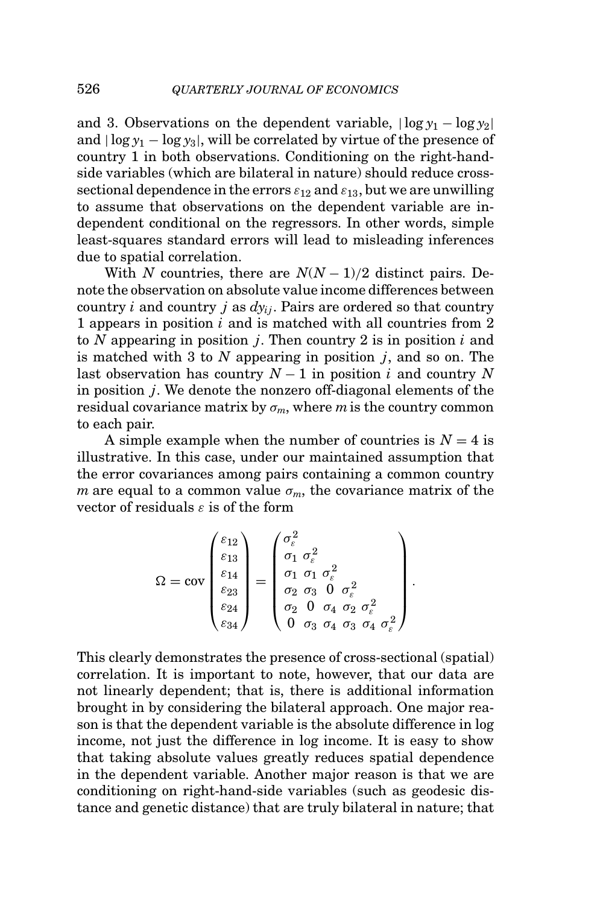and 3. Observations on the dependent variable,  $|\log y_1 - \log y_2|$ and  $\log y_1 - \log y_3$ , will be correlated by virtue of the presence of country 1 in both observations. Conditioning on the right-handside variables (which are bilateral in nature) should reduce crosssectional dependence in the errors  $\varepsilon_{12}$  and  $\varepsilon_{13}$ , but we are unwilling to assume that observations on the dependent variable are independent conditional on the regressors. In other words, simple least-squares standard errors will lead to misleading inferences due to spatial correlation.

With *N* countries, there are  $N(N-1)/2$  distinct pairs. Denote the observation on absolute value income differences between country *i* and country *j* as  $dy_{ii}$ . Pairs are ordered so that country 1 appears in position *i* and is matched with all countries from 2 to  $N$  appearing in position  $j$ . Then country  $2$  is in position  $i$  and is matched with 3 to *N* appearing in position *j*, and so on. The last observation has country  $N-1$  in position *i* and country  $N$ in position *j*. We denote the nonzero off-diagonal elements of the residual covariance matrix by  $\sigma_m$ , where *m* is the country common to each pair.

A simple example when the number of countries is  $N = 4$  is illustrative. In this case, under our maintained assumption that the error covariances among pairs containing a common country *m* are equal to a common value  $\sigma_m$ , the covariance matrix of the vector of residuals  $\varepsilon$  is of the form

$$
\Omega = \text{cov}\begin{pmatrix} \varepsilon_{12} \\ \varepsilon_{13} \\ \varepsilon_{14} \\ \varepsilon_{23} \\ \varepsilon_{34} \end{pmatrix} = \begin{pmatrix} \sigma_{\varepsilon}^2 \\ \sigma_1 & \sigma_{\varepsilon}^2 \\ \sigma_1 & \sigma_1 & \sigma_{\varepsilon}^2 \\ \sigma_2 & \sigma_3 & 0 & \sigma_{\varepsilon}^2 \\ \sigma_2 & 0 & \sigma_4 & \sigma_2 & \sigma_{\varepsilon}^2 \\ 0 & \sigma_3 & \sigma_4 & \sigma_3 & \sigma_4 & \sigma_{\varepsilon}^2 \end{pmatrix}
$$

.

This clearly demonstrates the presence of cross-sectional (spatial) correlation. It is important to note, however, that our data are not linearly dependent; that is, there is additional information brought in by considering the bilateral approach. One major reason is that the dependent variable is the absolute difference in log income, not just the difference in log income. It is easy to show that taking absolute values greatly reduces spatial dependence in the dependent variable. Another major reason is that we are conditioning on right-hand-side variables (such as geodesic distance and genetic distance) that are truly bilateral in nature; that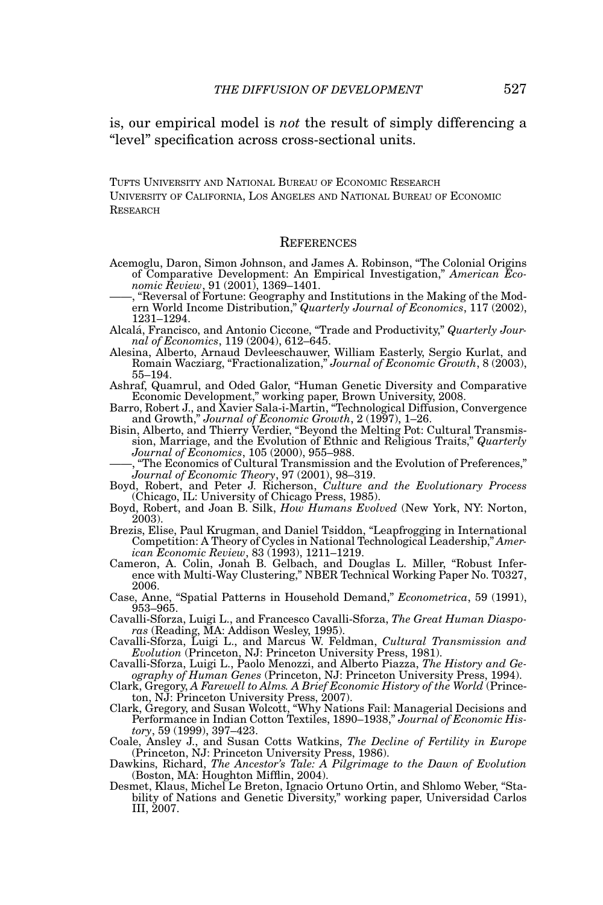is, our empirical model is *not* the result of simply differencing a "level" specification across cross-sectional units.

TUFTS UNIVERSITY AND NATIONAL BUREAU OF ECONOMIC RESEARCH UNIVERSITY OF CALIFORNIA, LOS ANGELES AND NATIONAL BUREAU OF ECONOMIC **RESEARCH** 

#### **REFERENCES**

- Acemoglu, Daron, Simon Johnson, and James A. Robinson, "The Colonial Origins of Comparative Development: An Empirical Investigation," *American Economic Review*, 91 (2001), 1369–1401.
- ——, "Reversal of Fortune: Geography and Institutions in the Making of the Mod-ern World Income Distribution," *Quarterly Journal of Economics*, 117 (2002), 1231–1294.
- Alcalá, Francisco, and Antonio Ciccone, "Trade and Productivity," Quarterly Jour*nal of Economics*, 119 (2004), 612–645.
- Alesina, Alberto, Arnaud Devleeschauwer, William Easterly, Sergio Kurlat, and Romain Wacziarg, "Fractionalization," *Journal of Economic Growth*, 8 (2003), 55–194.
- Ashraf, Quamrul, and Oded Galor, "Human Genetic Diversity and Comparative Economic Development," working paper, Brown University, 2008. Barro, Robert J., and Xavier Sala-i-Martin, "Technological Diffusion, Convergence
- 
- and Growth," *Journal of Economic Growth*, 2 (1997), 1–26. Bisin, Alberto, and Thierry Verdier, "Beyond the Melting Pot: Cultural Transmission, Marriage, and the Evolution of Ethnic and Religious Traits," *Quarterly Journal of Economics*, 105 (2000), 955–988. ——, "The Economics of Cultural Transmission and the Evolution of Preferences,"
- *Journal of Economic Theory*, 97 (2001), 98–319.
- Boyd, Robert, and Peter J. Richerson, *Culture and the Evolutionary Process* (Chicago, IL: University of Chicago Press, 1985).
- Boyd, Robert, and Joan B. Silk, *How Humans Evolved* (New York, NY: Norton, 2003).
- Brezis, Elise, Paul Krugman, and Daniel Tsiddon, "Leapfrogging in International Competition: A Theory of Cycles in National Technological Leadership," *American Economic Review*, 83 (1993), 1211–1219.
- Cameron, A. Colin, Jonah B. Gelbach, and Douglas L. Miller, "Robust Inference with Multi-Way Clustering," NBER Technical Working Paper No. T0327, 2006.
- Case, Anne, "Spatial Patterns in Household Demand," *Econometrica*, 59 (1991), 953–965.
- Cavalli-Sforza, Luigi L., and Francesco Cavalli-Sforza, *The Great Human Diasporas* (Reading, MA: Addison Wesley, 1995).
- Cavalli-Sforza, Luigi L., and Marcus W. Feldman, *Cultural Transmission and Evolution* (Princeton, NJ: Princeton University Press, 1981).
- Cavalli-Sforza, Luigi L., Paolo Menozzi, and Alberto Piazza, *The History and Geography of Human Genes* (Princeton, NJ: Princeton University Press, 1994).
- Clark, Gregory, *A Farewell to Alms. A Brief Economic History of the World* (Prince-
- ton, NJ: Princeton University Press, 2007). Clark, Gregory, and Susan Wolcott, "Why Nations Fail: Managerial Decisions and Performance in Indian Cotton Textiles, 1890–1938," *Journal of Economic History*, 59 (1999), 397–423.
- Coale, Ansley J., and Susan Cotts Watkins, *The Decline of Fertility in Europe* (Princeton, NJ: Princeton University Press, 1986).
- Dawkins, Richard, *The Ancestor's Tale: A Pilgrimage to the Dawn of Evolution* (Boston, MA: Houghton Mifflin, 2004).
- Desmet, Klaus, Michel Le Breton, Ignacio Ortuno Ortin, and Shlomo Weber, "Stability of Nations and Genetic Diversity," working paper, Universidad Carlos III, 2007.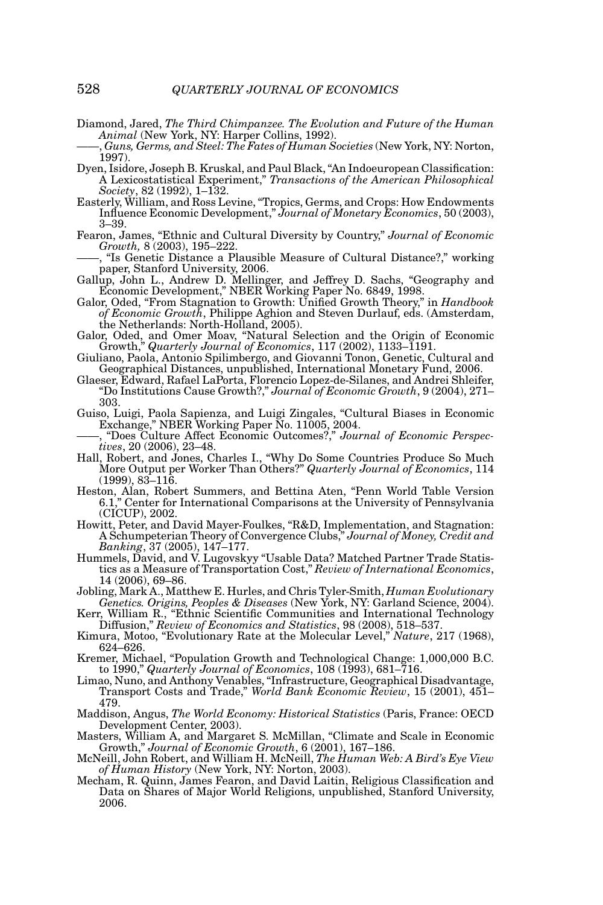- Diamond, Jared, *The Third Chimpanzee. The Evolution and Future of the Human Animal* (New York, NY: Harper Collins, 1992).
- ——, *Guns, Germs, and Steel: The Fates of Human Societies* (New York, NY: Norton, 1997).
- Dyen, Isidore, Joseph B. Kruskal, and Paul Black, "An Indoeuropean Classification: A Lexicostatistical Experiment," *Transactions of the American Philosophical Society*, 82 (1992), 1–132.
- Easterly, William, and Ross Levine, "Tropics, Germs, and Crops: How Endowments Influence Economic Development," *Journal of Monetary Economics*, 50 (2003), 3–39.
- Fearon, James, "Ethnic and Cultural Diversity by Country," *Journal of Economic Growth,* 8 (2003), 195–222.
- ——, "Is Genetic Distance a Plausible Measure of Cultural Distance?," working paper, Stanford University, 2006.
- Gallup, John L., Andrew D. Mellinger, and Jeffrey D. Sachs, "Geography and Economic Development," NBER Working Paper No. 6849, 1998.
- Galor, Oded, "From Stagnation to Growth: Unified Growth Theory," in *Handbook of Economic Growth*, Philippe Aghion and Steven Durlauf, eds. (Amsterdam, the Netherlands: North-Holland, 2005).
- Galor, Oded, and Omer Moav, "Natural Selection and the Origin of Economic Growth," *Quarterly Journal of Economics*, 117 (2002), 1133–1191.
- Giuliano, Paola, Antonio Spilimbergo, and Giovanni Tonon, Genetic, Cultural and
- Geographical Distances, unpublished, International Monetary Fund, 2006. Glaeser, Edward, Rafael LaPorta, Florencio Lopez-de-Silanes, and Andrei Shleifer, "Do Institutions Cause Growth?," *Journal of Economic Growth*, 9 (2004), 271– 303.
- Guiso, Luigi, Paola Sapienza, and Luigi Zingales, "Cultural Biases in Economic Exchange," NBER Working Paper No. 11005, 2004.
	- ——, "Does Culture Affect Economic Outcomes?," *Journal of Economic Perspectives*, 20 (2006), 23–48.
- Hall, Robert, and Jones, Charles I., "Why Do Some Countries Produce So Much More Output per Worker Than Others?" *Quarterly Journal of Economics*, 114 (1999), 83–116.
- Heston, Alan, Robert Summers, and Bettina Aten, "Penn World Table Version 6.1," Center for International Comparisons at the University of Pennsylvania (CICUP), 2002.
- Howitt, Peter, and David Mayer-Foulkes, "R&D, Implementation, and Stagnation: A Schumpeterian Theory of Convergence Clubs," *Journal of Money, Credit and Banking*, 37 (2005), 147–177.
- Hummels, David, and V. Lugovskyy "Usable Data? Matched Partner Trade Statistics as a Measure of Transportation Cost," *Review of International Economics*, 14 (2006), 69–86.
- Jobling, Mark A., Matthew E. Hurles, and Chris Tyler-Smith, *Human Evolutionary Genetics. Origins, Peoples & Diseases* (New York, NY: Garland Science, 2004).
- Kerr, William R., "Ethnic Scientific Communities and International Technology Diffusion," *Review of Economics and Statistics*, 98 (2008), 518–537.
- Kimura, Motoo, "Evolutionary Rate at the Molecular Level," *Nature*, 217 (1968), 624–626.
- Kremer, Michael, "Population Growth and Technological Change: 1,000,000 B.C. to 1990," *Quarterly Journal of Economics*, 108 (1993), 681–716.
- Limao, Nuno, and Anthony Venables, "Infrastructure, Geographical Disadvantage, Transport Costs and Trade," *World Bank Economic Review*, 15 (2001), 451– 479.
- Maddison, Angus, *The World Economy: Historical Statistics* (Paris, France: OECD Development Center, 2003).
- Masters, William A, and Margaret S. McMillan, "Climate and Scale in Economic Growth," *Journal of Economic Growth*, 6 (2001), 167–186.
- McNeill, John Robert, and William H. McNeill, *The Human Web: A Bird's Eye View of Human History* (New York, NY: Norton, 2003).
- Mecham, R. Quinn, James Fearon, and David Laitin, Religious Classification and Data on Shares of Major World Religions, unpublished, Stanford University, 2006.